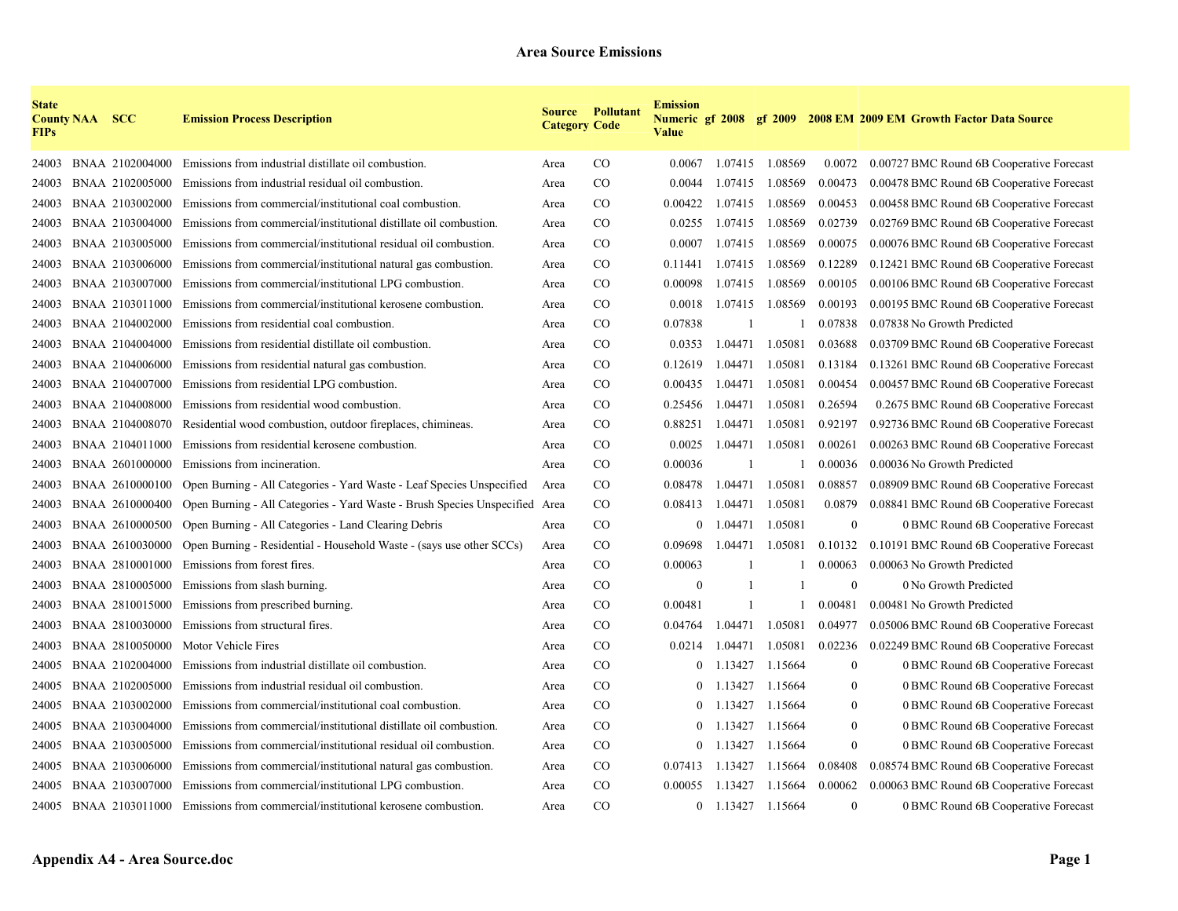| <b>State</b><br><b>FIPs</b> | <b>County NAA SCC</b> |                 | <b>Emission Process Description</b>                                                | <b>Category Code</b> | <b>Source Pollutant</b> | <b>Emission</b><br><b>Value</b> |              |                   |              | Numeric gf 2008 gf 2009 2008 EM 2009 EM Growth Factor Data Source |
|-----------------------------|-----------------------|-----------------|------------------------------------------------------------------------------------|----------------------|-------------------------|---------------------------------|--------------|-------------------|--------------|-------------------------------------------------------------------|
| 24003                       |                       | BNAA 2102004000 | Emissions from industrial distillate oil combustion.                               | Area                 | $\rm CO$                | 0.0067                          |              | 1.07415 1.08569   | 0.0072       | 0.00727 BMC Round 6B Cooperative Forecast                         |
| 24003                       |                       | BNAA 2102005000 | Emissions from industrial residual oil combustion.                                 | Area                 | CO                      | 0.0044                          | 1.07415      | 1.08569           | 0.00473      | 0.00478 BMC Round 6B Cooperative Forecast                         |
| 24003                       |                       | BNAA 2103002000 | Emissions from commercial/institutional coal combustion.                           | Area                 | $\rm CO$                | 0.00422                         | 1.07415      | 1.08569           | 0.00453      | 0.00458 BMC Round 6B Cooperative Forecast                         |
| 24003                       |                       | BNAA 2103004000 | Emissions from commercial/institutional distillate oil combustion.                 | Area                 | $\rm CO$                | 0.0255                          | 1.07415      | 1.08569           | 0.02739      | 0.02769 BMC Round 6B Cooperative Forecast                         |
| 24003                       |                       | BNAA 2103005000 | Emissions from commercial/institutional residual oil combustion.                   | Area                 | CO.                     | 0.0007                          |              | 1.07415 1.08569   | 0.00075      | 0.00076 BMC Round 6B Cooperative Forecast                         |
| 24003                       |                       | BNAA 2103006000 | Emissions from commercial/institutional natural gas combustion.                    | Area                 | CO.                     | 0.11441                         |              | 1.07415 1.08569   | 0.12289      | 0.12421 BMC Round 6B Cooperative Forecast                         |
| 24003                       |                       | BNAA 2103007000 | Emissions from commercial/institutional LPG combustion.                            | Area                 | CO                      | 0.00098                         | 1.07415      | 1.08569           | 0.00105      | 0.00106 BMC Round 6B Cooperative Forecast                         |
| 24003                       |                       | BNAA 2103011000 | Emissions from commercial/institutional kerosene combustion.                       | Area                 | $\rm CO$                | 0.0018                          | 1.07415      | 1.08569           | 0.00193      | 0.00195 BMC Round 6B Cooperative Forecast                         |
| 24003                       |                       | BNAA 2104002000 | Emissions from residential coal combustion.                                        | Area                 | $\rm CO$                | 0.07838                         | -1           |                   | 0.07838      | 0.07838 No Growth Predicted                                       |
| 24003                       |                       | BNAA 2104004000 | Emissions from residential distillate oil combustion.                              | Area                 | $\rm CO$                | 0.0353                          | 1.04471      | 1.05081           | 0.03688      | 0.03709 BMC Round 6B Cooperative Forecast                         |
| 24003                       |                       | BNAA 2104006000 | Emissions from residential natural gas combustion.                                 | Area                 | $\rm CO$                | 0.12619                         | 1.04471      | 1.05081           | 0.13184      | 0.13261 BMC Round 6B Cooperative Forecast                         |
| 24003                       |                       | BNAA 2104007000 | Emissions from residential LPG combustion.                                         | Area                 | $\rm CO$                | 0.00435                         | 1.04471      | 1.05081           | 0.00454      | 0.00457 BMC Round 6B Cooperative Forecast                         |
| 24003                       |                       | BNAA 2104008000 | Emissions from residential wood combustion.                                        | Area                 | $\rm CO$                | 0.25456                         | 1.04471      | 1.05081           | 0.26594      | 0.2675 BMC Round 6B Cooperative Forecast                          |
| 24003                       |                       | BNAA 2104008070 | Residential wood combustion, outdoor fireplaces, chimineas.                        | Area                 | CO                      | 0.88251                         | 1.04471      | 1.05081           | 0.92197      | 0.92736 BMC Round 6B Cooperative Forecast                         |
| 24003                       |                       | BNAA 2104011000 | Emissions from residential kerosene combustion.                                    | Area                 | $\rm CO$                | 0.0025                          | 1.04471      | 1.05081           | 0.00261      | 0.00263 BMC Round 6B Cooperative Forecast                         |
| 24003                       |                       | BNAA 2601000000 | Emissions from incineration.                                                       | Area                 | CO.                     | 0.00036                         |              |                   | 0.00036      | 0.00036 No Growth Predicted                                       |
| 24003                       |                       | BNAA 2610000100 | Open Burning - All Categories - Yard Waste - Leaf Species Unspecified              | Area                 | CO                      | 0.08478                         | 1.04471      | 1.05081           | 0.08857      | 0.08909 BMC Round 6B Cooperative Forecast                         |
| 24003                       |                       | BNAA 2610000400 | Open Burning - All Categories - Yard Waste - Brush Species Unspecified Area        |                      | $\rm CO$                | 0.08413                         | 1.04471      | 1.05081           | 0.0879       | 0.08841 BMC Round 6B Cooperative Forecast                         |
| 24003                       |                       | BNAA 2610000500 | Open Burning - All Categories - Land Clearing Debris                               | Area                 | $\rm CO$                | $\overline{0}$                  | 1.04471      | 1.05081           | $\mathbf{0}$ | 0 BMC Round 6B Cooperative Forecast                               |
| 24003                       |                       | BNAA 2610030000 | Open Burning - Residential - Household Waste - (says use other SCCs)               | Area                 | CO                      | 0.09698                         | 1.04471      | 1.05081           | 0.10132      | 0.10191 BMC Round 6B Cooperative Forecast                         |
| 24003                       |                       | BNAA 2810001000 | Emissions from forest fires.                                                       | Area                 | CO.                     | 0.00063                         |              |                   | 0.00063      | 0.00063 No Growth Predicted                                       |
| 24003                       |                       | BNAA 2810005000 | Emissions from slash burning.                                                      | Area                 | $\rm CO$                | $\boldsymbol{0}$                | $\mathbf{1}$ |                   | $\mathbf{0}$ | 0 No Growth Predicted                                             |
| 24003                       |                       | BNAA 2810015000 | Emissions from prescribed burning.                                                 | Area                 | $\rm CO$                | 0.00481                         | $\mathbf{1}$ |                   | 0.00481      | 0.00481 No Growth Predicted                                       |
| 24003                       |                       | BNAA 2810030000 | Emissions from structural fires.                                                   | Area                 | CO                      | 0.04764                         | 1.04471      | 1.05081           | 0.04977      | 0.05006 BMC Round 6B Cooperative Forecast                         |
| 24003                       |                       | BNAA 2810050000 | Motor Vehicle Fires                                                                | Area                 | $\rm CO$                | 0.0214                          | 1.04471      | 1.05081           | 0.02236      | 0.02249 BMC Round 6B Cooperative Forecast                         |
| 24005                       |                       | BNAA 2102004000 | Emissions from industrial distillate oil combustion.                               | Area                 | CO                      | $\overline{0}$                  | 1.13427      | 1.15664           | $\mathbf{0}$ | 0 BMC Round 6B Cooperative Forecast                               |
| 24005                       |                       | BNAA 2102005000 | Emissions from industrial residual oil combustion.                                 | Area                 | CO                      | $\theta$                        | 1.13427      | 1.15664           | $\mathbf{0}$ | 0 BMC Round 6B Cooperative Forecast                               |
| 24005                       |                       | BNAA 2103002000 | Emissions from commercial/institutional coal combustion.                           | Area                 | $\rm CO$                | $\mathbf{0}$                    | 1.13427      | 1.15664           | $\mathbf{0}$ | 0 BMC Round 6B Cooperative Forecast                               |
| 24005                       |                       | BNAA 2103004000 | Emissions from commercial/institutional distillate oil combustion.                 | Area                 | $\rm CO$                | $\overline{0}$                  | 1.13427      | 1.15664           | $\mathbf{0}$ | 0 BMC Round 6B Cooperative Forecast                               |
| 24005                       |                       | BNAA 2103005000 | Emissions from commercial/institutional residual oil combustion.                   | Area                 | $\rm CO$                | $\overline{0}$                  | 1.13427      | 1.15664           | $\mathbf{0}$ | 0 BMC Round 6B Cooperative Forecast                               |
| 24005                       |                       | BNAA 2103006000 | Emissions from commercial/institutional natural gas combustion.                    | Area                 | CO.                     | 0.07413                         | 1.13427      | 1.15664           | 0.08408      | 0.08574 BMC Round 6B Cooperative Forecast                         |
| 24005                       |                       | BNAA 2103007000 | Emissions from commercial/institutional LPG combustion.                            | Area                 | $\rm CO$                | 0.00055                         | 1.13427      | 1.15664           | 0.00062      | 0.00063 BMC Round 6B Cooperative Forecast                         |
|                             |                       |                 | 24005 BNAA 2103011000 Emissions from commercial/institutional kerosene combustion. | Area                 | $\rm CO$                |                                 |              | 0 1.13427 1.15664 | $\mathbf{0}$ | 0 BMC Round 6B Cooperative Forecast                               |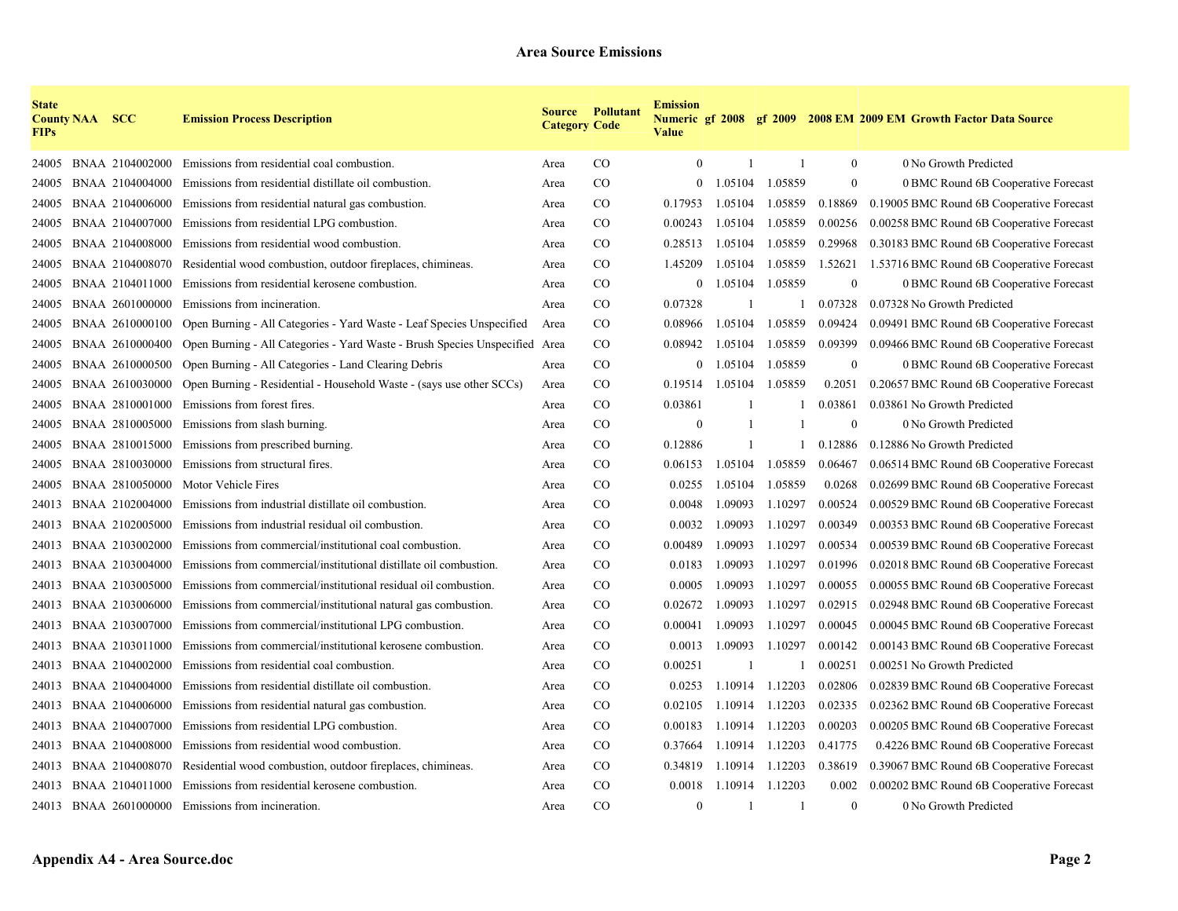| <b>State</b><br><b>FIPs</b> | <b>County NAA SCC</b> |                 | <b>Emission Process Description</b>                                         | <b>Category Code</b> | <b>Source Pollutant</b> | <b>Emission</b><br><b>Value</b> |              |                |                  | Numeric gf 2008 gf 2009 2008 EM 2009 EM Growth Factor Data Source |
|-----------------------------|-----------------------|-----------------|-----------------------------------------------------------------------------|----------------------|-------------------------|---------------------------------|--------------|----------------|------------------|-------------------------------------------------------------------|
| 24005                       |                       | BNAA 2104002000 | Emissions from residential coal combustion.                                 | Area                 | $\rm CO$                | $\mathbf{0}$                    | $\mathbf{1}$ | $\mathbf{1}$   | $\boldsymbol{0}$ | 0 No Growth Predicted                                             |
| 24005                       |                       | BNAA 2104004000 | Emissions from residential distillate oil combustion.                       | Area                 | CO                      | $\mathbf{0}$                    | 1.05104      | 1.05859        | $\boldsymbol{0}$ | 0 BMC Round 6B Cooperative Forecast                               |
| 24005                       |                       | BNAA 2104006000 | Emissions from residential natural gas combustion.                          | Area                 | $\rm CO$                | 0.17953                         | 1.05104      | 1.05859        | 0.18869          | 0.19005 BMC Round 6B Cooperative Forecast                         |
| 24005                       |                       | BNAA 2104007000 | Emissions from residential LPG combustion.                                  | Area                 | $\rm CO$                | 0.00243                         | 1.05104      | 1.05859        | 0.00256          | 0.00258 BMC Round 6B Cooperative Forecast                         |
| 24005                       |                       | BNAA 2104008000 | Emissions from residential wood combustion.                                 | Area                 | <sub>CO</sub>           | 0.28513                         | 1.05104      | 1.05859        | 0.29968          | 0.30183 BMC Round 6B Cooperative Forecast                         |
| 24005                       |                       |                 | BNAA 2104008070 Residential wood combustion, outdoor fireplaces, chimineas. | Area                 | <sub>CO</sub>           | 1.45209                         | 1.05104      | 1.05859        | 1.52621          | 1.53716 BMC Round 6B Cooperative Forecast                         |
| 24005                       |                       | BNAA 2104011000 | Emissions from residential kerosene combustion.                             | Area                 | $\rm CO$                | $\mathbf{0}$                    | 1.05104      | 1.05859        | $\boldsymbol{0}$ | 0 BMC Round 6B Cooperative Forecast                               |
| 24005                       |                       | BNAA 2601000000 | Emissions from incineration.                                                | Area                 | $\rm CO$                | 0.07328                         | 1            |                | 0.07328          | 0.07328 No Growth Predicted                                       |
| 24005                       |                       | BNAA 2610000100 | Open Burning - All Categories - Yard Waste - Leaf Species Unspecified       | Area                 | $\rm CO$                | 0.08966                         | 1.05104      | 1.05859        | 0.09424          | 0.09491 BMC Round 6B Cooperative Forecast                         |
| 24005                       |                       | BNAA 2610000400 | Open Burning - All Categories - Yard Waste - Brush Species Unspecified Area |                      | $\rm CO$                | 0.08942                         | 1.05104      | 1.05859        | 0.09399          | 0.09466 BMC Round 6B Cooperative Forecast                         |
| 24005                       |                       | BNAA 2610000500 | Open Burning - All Categories - Land Clearing Debris                        | Area                 | $\rm CO$                | $\mathbf{0}$                    | 1.05104      | 1.05859        | $\boldsymbol{0}$ | 0 BMC Round 6B Cooperative Forecast                               |
| 24005                       |                       | BNAA 2610030000 | Open Burning - Residential - Household Waste - (says use other SCCs)        | Area                 | $\rm CO$                | 0.19514                         | 1.05104      | 1.05859        | 0.2051           | 0.20657 BMC Round 6B Cooperative Forecast                         |
| 24005                       |                       | BNAA 2810001000 | Emissions from forest fires.                                                | Area                 | $\rm CO$                | 0.03861                         |              |                | 0.03861          | 0.03861 No Growth Predicted                                       |
| 24005                       |                       | BNAA 2810005000 | Emissions from slash burning.                                               | Area                 | $\rm CO$                | $\theta$                        | -1           |                | $\mathbf{0}$     | 0 No Growth Predicted                                             |
| 24005                       |                       | BNAA 2810015000 | Emissions from prescribed burning.                                          | Area                 | $_{\rm CO}$             | 0.12886                         | 1            |                | 0.12886          | 0.12886 No Growth Predicted                                       |
| 24005                       |                       | BNAA 2810030000 | Emissions from structural fires.                                            | Area                 | $\rm CO$                | 0.06153                         | 1.05104      | 1.05859        | 0.06467          | 0.06514 BMC Round 6B Cooperative Forecast                         |
| 24005                       |                       | BNAA 2810050000 | Motor Vehicle Fires                                                         | Area                 | $\rm CO$                | 0.0255                          | 1.05104      | 1.05859        | 0.0268           | 0.02699 BMC Round 6B Cooperative Forecast                         |
| 24013                       |                       | BNAA 2102004000 | Emissions from industrial distillate oil combustion.                        | Area                 | $\rm CO$                | 0.0048                          | 1.09093      | 1.10297        | 0.00524          | 0.00529 BMC Round 6B Cooperative Forecast                         |
| 24013                       |                       | BNAA 2102005000 | Emissions from industrial residual oil combustion.                          | Area                 | $\rm CO$                | 0.0032                          | 1.09093      | 1.10297        | 0.00349          | 0.00353 BMC Round 6B Cooperative Forecast                         |
| 24013                       |                       | BNAA 2103002000 | Emissions from commercial/institutional coal combustion.                    | Area                 | $\rm CO$                | 0.00489                         | 1.09093      | 1.10297        | 0.00534          | 0.00539 BMC Round 6B Cooperative Forecast                         |
| 24013                       |                       | BNAA 2103004000 | Emissions from commercial/institutional distillate oil combustion.          | Area                 | $_{\rm CO}$             | 0.0183                          | 1.09093      | 1.10297        | 0.01996          | 0.02018 BMC Round 6B Cooperative Forecast                         |
| 24013                       |                       | BNAA 2103005000 | Emissions from commercial/institutional residual oil combustion.            | Area                 | $\rm CO$                | 0.0005                          | 1.09093      | 1.10297        | 0.00055          | 0.00055 BMC Round 6B Cooperative Forecast                         |
| 24013                       |                       | BNAA 2103006000 | Emissions from commercial/institutional natural gas combustion.             | Area                 | $\rm CO$                | 0.02672                         | 1.09093      | 1.10297        | 0.02915          | 0.02948 BMC Round 6B Cooperative Forecast                         |
| 24013                       |                       | BNAA 2103007000 | Emissions from commercial/institutional LPG combustion.                     | Area                 | $\rm CO$                | 0.00041                         | 1.09093      | 1.10297        | 0.00045          | 0.00045 BMC Round 6B Cooperative Forecast                         |
| 24013                       |                       | BNAA 2103011000 | Emissions from commercial/institutional kerosene combustion.                | Area                 | $_{\rm CO}$             | 0.0013                          | 1.09093      | 1.10297        | 0.00142          | 0.00143 BMC Round 6B Cooperative Forecast                         |
| 24013                       |                       | BNAA 2104002000 | Emissions from residential coal combustion.                                 | Area                 | $_{\rm CO}$             | 0.00251                         | -1           | -1             | 0.00251          | 0.00251 No Growth Predicted                                       |
| 24013                       |                       | BNAA 2104004000 | Emissions from residential distillate oil combustion.                       | Area                 | CO                      | 0.0253                          | 1.10914      | 1.12203        | 0.02806          | 0.02839 BMC Round 6B Cooperative Forecast                         |
| 24013                       |                       | BNAA 2104006000 | Emissions from residential natural gas combustion.                          | Area                 | $\rm CO$                | 0.02105                         | 1.10914      | 1.12203        | 0.02335          | 0.02362 BMC Round 6B Cooperative Forecast                         |
| 24013                       |                       | BNAA 2104007000 | Emissions from residential LPG combustion.                                  | Area                 | $\rm CO$                | 0.00183                         | 1.10914      | 1.12203        | 0.00203          | 0.00205 BMC Round 6B Cooperative Forecast                         |
| 24013                       |                       | BNAA 2104008000 | Emissions from residential wood combustion.                                 | Area                 | $\rm CO$                | 0.37664                         | 1.10914      | 1.12203        | 0.41775          | 0.4226 BMC Round 6B Cooperative Forecast                          |
| 24013                       |                       |                 | BNAA 2104008070 Residential wood combustion, outdoor fireplaces, chimineas. | Area                 | $_{\rm CO}$             | 0.34819                         | 1.10914      | 1.12203        | 0.38619          | 0.39067 BMC Round 6B Cooperative Forecast                         |
| 24013                       |                       |                 | BNAA 2104011000 Emissions from residential kerosene combustion.             | Area                 | $\rm CO$                | 0.0018                          | 1.10914      | 1.12203        | 0.002            | 0.00202 BMC Round 6B Cooperative Forecast                         |
|                             |                       |                 | 24013 BNAA 2601000000 Emissions from incineration.                          | Area                 | CO                      | $\Omega$                        |              | $\overline{1}$ | $\mathbf{0}$     | 0 No Growth Predicted                                             |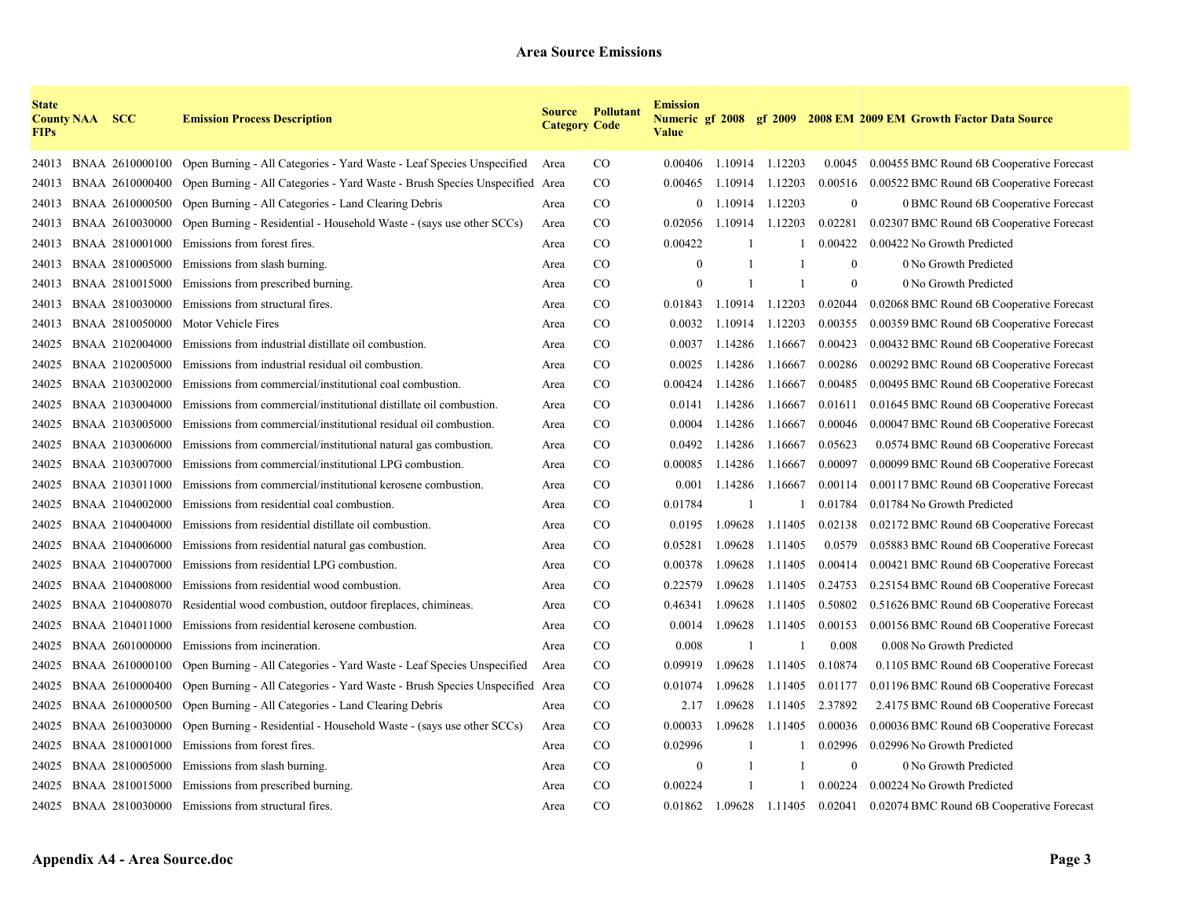| <b>State</b><br><b>FIPs</b> | <b>County NAA SCC</b> |                 | <b>Emission Process Description</b>                                         | <b>Category Code</b> | <b>Source Pollutant</b> | <b>Emission</b><br><b>Value</b> |         |         |                 | Numeric gf 2008 gf 2009 2008 EM 2009 EM Growth Factor Data Source |
|-----------------------------|-----------------------|-----------------|-----------------------------------------------------------------------------|----------------------|-------------------------|---------------------------------|---------|---------|-----------------|-------------------------------------------------------------------|
| 24013                       |                       | BNAA 2610000100 | Open Burning - All Categories - Yard Waste - Leaf Species Unspecified       | Area                 | $_{\rm CO}$             | 0.00406                         | 1.10914 | 1.12203 | 0.0045          | 0.00455 BMC Round 6B Cooperative Forecast                         |
| 24013                       |                       | BNAA 2610000400 | Open Burning - All Categories - Yard Waste - Brush Species Unspecified Area |                      | $\rm CO$                | 0.00465                         | 1.10914 | 1.12203 | 0.00516         | 0.00522 BMC Round 6B Cooperative Forecast                         |
| 24013                       |                       | BNAA 2610000500 | Open Burning - All Categories - Land Clearing Debris                        | Area                 | $\rm CO$                | $\theta$                        | 1.10914 | 1.12203 | $\overline{0}$  | 0 BMC Round 6B Cooperative Forecast                               |
| 24013                       |                       | BNAA 2610030000 | Open Burning - Residential - Household Waste - (says use other SCCs)        | Area                 | $\rm CO$                | 0.02056                         | 1.10914 | 1.12203 | 0.02281         | 0.02307 BMC Round 6B Cooperative Forecast                         |
| 24013                       |                       | BNAA 2810001000 | Emissions from forest fires.                                                | Area                 | <sub>CO</sub>           | 0.00422                         |         |         | 0.00422         | 0.00422 No Growth Predicted                                       |
| 24013                       |                       | BNAA 2810005000 | Emissions from slash burning.                                               | Area                 | <sub>CO</sub>           | $\theta$                        |         |         | $\overline{0}$  | 0 No Growth Predicted                                             |
| 24013                       |                       | BNAA 2810015000 | Emissions from prescribed burning.                                          | Area                 | $\rm CO$                | $\Omega$                        | -1      | -1      | $\overline{0}$  | 0 No Growth Predicted                                             |
| 24013                       |                       | BNAA 2810030000 | Emissions from structural fires.                                            | Area                 | $\rm CO$                | 0.01843                         | 1.10914 | 1.12203 | 0.02044         | 0.02068 BMC Round 6B Cooperative Forecast                         |
| 24013                       |                       | BNAA 2810050000 | Motor Vehicle Fires                                                         | Area                 | <sub>CO</sub>           | 0.0032                          | 1.10914 | 1.12203 | 0.00355         | 0.00359 BMC Round 6B Cooperative Forecast                         |
| 24025                       |                       | BNAA 2102004000 | Emissions from industrial distillate oil combustion.                        | Area                 | $_{\rm CO}$             | 0.0037                          | 1.14286 | 1.16667 | 0.00423         | 0.00432 BMC Round 6B Cooperative Forecast                         |
| 24025                       |                       | BNAA 2102005000 | Emissions from industrial residual oil combustion.                          | Area                 | $_{\rm CO}$             | 0.0025                          | 1.14286 | 1.16667 | 0.00286         | 0.00292 BMC Round 6B Cooperative Forecast                         |
| 24025                       |                       | BNAA 2103002000 | Emissions from commercial/institutional coal combustion.                    | Area                 | $\rm CO$                | 0.00424                         | 1.14286 | 1.16667 | 0.00485         | 0.00495 BMC Round 6B Cooperative Forecast                         |
| 24025                       |                       | BNAA 2103004000 | Emissions from commercial/institutional distillate oil combustion.          | Area                 | $\rm CO$                | 0.0141                          | 1.14286 | 1.16667 | 0.01611         | 0.01645 BMC Round 6B Cooperative Forecast                         |
| 24025                       |                       | BNAA 2103005000 | Emissions from commercial/institutional residual oil combustion.            | Area                 | $_{\rm CO}$             | 0.0004                          | 1.14286 | 1.16667 | 0.00046         | 0.00047 BMC Round 6B Cooperative Forecast                         |
| 24025                       |                       | BNAA 2103006000 | Emissions from commercial/institutional natural gas combustion.             | Area                 | $_{\rm CO}$             | 0.0492                          | 1.14286 | 1.16667 | 0.05623         | 0.0574 BMC Round 6B Cooperative Forecast                          |
| 24025                       |                       | BNAA 2103007000 | Emissions from commercial/institutional LPG combustion.                     | Area                 | $_{\rm CO}$             | 0.00085                         | 1.14286 | 1.16667 | 0.00097         | 0.00099 BMC Round 6B Cooperative Forecast                         |
| 24025                       |                       | BNAA 2103011000 | Emissions from commercial/institutional kerosene combustion.                | Area                 | $\rm CO$                | 0.001                           | 1.14286 | 1.16667 | 0.00114         | 0.00117 BMC Round 6B Cooperative Forecast                         |
| 24025                       |                       | BNAA 2104002000 | Emissions from residential coal combustion.                                 | Area                 | $\rm CO$                | 0.01784                         |         |         | 0.01784         | 0.01784 No Growth Predicted                                       |
| 24025                       |                       | BNAA 2104004000 | Emissions from residential distillate oil combustion.                       | Area                 | <sub>CO</sub>           | 0.0195                          | 1.09628 | 1.11405 | 0.02138         | 0.02172 BMC Round 6B Cooperative Forecast                         |
| 24025                       |                       | BNAA 2104006000 | Emissions from residential natural gas combustion.                          | Area                 | <sub>CO</sub>           | 0.05281                         | 1.09628 | 1.11405 | 0.0579          | 0.05883 BMC Round 6B Cooperative Forecast                         |
| 24025                       |                       | BNAA 2104007000 | Emissions from residential LPG combustion.                                  | Area                 | $_{\rm CO}$             | 0.00378                         | 1.09628 | 1.11405 | 0.00414         | 0.00421 BMC Round 6B Cooperative Forecast                         |
| 24025                       |                       | BNAA 2104008000 | Emissions from residential wood combustion.                                 | Area                 | $\rm CO$                | 0.22579                         | 1.09628 | 1.11405 | 0.24753         | 0.25154 BMC Round 6B Cooperative Forecast                         |
| 24025                       |                       | BNAA 2104008070 | Residential wood combustion, outdoor fireplaces, chimineas.                 | Area                 | $_{\rm CO}$             | 0.46341                         | 1.09628 | 1.11405 | 0.50802         | 0.51626 BMC Round 6B Cooperative Forecast                         |
| 24025                       |                       | BNAA 2104011000 | Emissions from residential kerosene combustion.                             | Area                 | $\rm CO$                | 0.0014                          | 1.09628 | 1.11405 | 0.00153         | 0.00156 BMC Round 6B Cooperative Forecast                         |
| 24025                       |                       | BNAA 2601000000 | Emissions from incineration.                                                | Area                 | $\rm CO$                | 0.008                           | -1      |         | 0.008           | 0.008 No Growth Predicted                                         |
| 24025                       |                       | BNAA 2610000100 | Open Burning - All Categories - Yard Waste - Leaf Species Unspecified       | Area                 | $_{\rm CO}$             | 0.09919                         | 1.09628 | 1.11405 | 0.10874         | 0.1105 BMC Round 6B Cooperative Forecast                          |
| 24025                       |                       | BNAA 2610000400 | Open Burning - All Categories - Yard Waste - Brush Species Unspecified Area |                      | $\rm CO$                | 0.01074                         | 1.09628 | 1.11405 | 0.01177         | 0.01196 BMC Round 6B Cooperative Forecast                         |
| 24025                       |                       | BNAA 2610000500 | Open Burning - All Categories - Land Clearing Debris                        | Area                 | $_{\rm CO}$             | 2.17                            | 1.09628 | 1.11405 | 2.37892         | 2.4175 BMC Round 6B Cooperative Forecast                          |
| 24025                       |                       | BNAA 2610030000 | Open Burning - Residential - Household Waste - (says use other SCCs)        | Area                 | $\rm CO$                | 0.00033                         | 1.09628 | 1.11405 | 0.00036         | 0.00036 BMC Round 6B Cooperative Forecast                         |
| 24025                       |                       | BNAA 2810001000 | Emissions from forest fires.                                                | Area                 | $\rm CO$                | 0.02996                         |         |         | 0.02996         | 0.02996 No Growth Predicted                                       |
| 24025                       |                       | BNAA 2810005000 | Emissions from slash burning.                                               | Area                 | $_{\rm CO}$             | $\mathbf{0}$                    |         |         | $\overline{0}$  | 0 No Growth Predicted                                             |
| 24025                       |                       | BNAA 2810015000 | Emissions from prescribed burning.                                          | Area                 | $_{\rm CO}$             | 0.00224                         |         |         | 0.00224         | 0.00224 No Growth Predicted                                       |
|                             |                       |                 | 24025 BNAA 2810030000 Emissions from structural fires.                      | Area                 | CO                      | 0.01862                         | 1.09628 |         | 1.11405 0.02041 | 0.02074 BMC Round 6B Cooperative Forecast                         |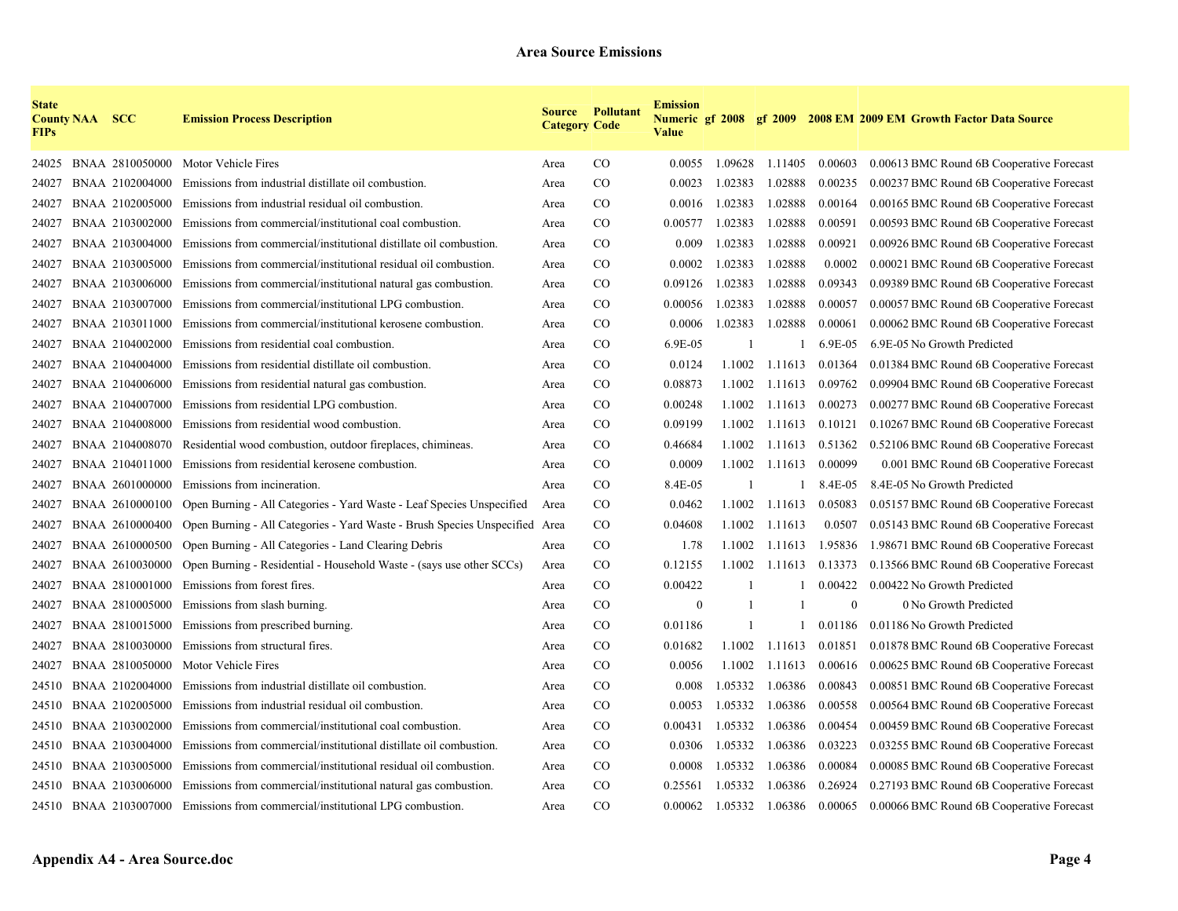| <b>State</b><br><b>FIPs</b> | <b>County NAA SCC</b> |                 | <b>Emission Process Description</b>                                           | <b>Category Code</b> | <b>Source Pollutant</b> | <b>Emission</b><br><b>Value</b> |              |                 |          | Numeric gf 2008 gf 2009 2008 EM 2009 EM Growth Factor Data Source |
|-----------------------------|-----------------------|-----------------|-------------------------------------------------------------------------------|----------------------|-------------------------|---------------------------------|--------------|-----------------|----------|-------------------------------------------------------------------|
| 24025                       |                       | BNAA 2810050000 | Motor Vehicle Fires                                                           | Area                 | CO                      | 0.0055                          |              | 1.09628 1.11405 | 0.00603  | 0.00613 BMC Round 6B Cooperative Forecast                         |
| 24027                       |                       | BNAA 2102004000 | Emissions from industrial distillate oil combustion.                          | Area                 | CO                      | 0.0023                          | 1.02383      | 1.02888         | 0.00235  | 0.00237 BMC Round 6B Cooperative Forecast                         |
| 24027                       |                       | BNAA 2102005000 | Emissions from industrial residual oil combustion.                            | Area                 | CO                      | 0.0016                          | 1.02383      | 1.02888         | 0.00164  | 0.00165 BMC Round 6B Cooperative Forecast                         |
| 24027                       |                       | BNAA 2103002000 | Emissions from commercial/institutional coal combustion.                      | Area                 | $\rm CO$                | 0.00577                         | 1.02383      | 1.02888         | 0.00591  | 0.00593 BMC Round 6B Cooperative Forecast                         |
| 24027                       |                       | BNAA 2103004000 | Emissions from commercial/institutional distillate oil combustion.            | Area                 | $\rm CO$                | 0.009                           | 1.02383      | 1.02888         | 0.00921  | 0.00926 BMC Round 6B Cooperative Forecast                         |
| 24027                       |                       | BNAA 2103005000 | Emissions from commercial/institutional residual oil combustion.              | Area                 | CO.                     | 0.0002                          | 1.02383      | 1.02888         | 0.0002   | 0.00021 BMC Round 6B Cooperative Forecast                         |
| 24027                       |                       | BNAA 2103006000 | Emissions from commercial/institutional natural gas combustion.               | Area                 | $\rm CO$                | 0.09126                         | 1.02383      | 1.02888         | 0.09343  | 0.09389 BMC Round 6B Cooperative Forecast                         |
| 24027                       |                       | BNAA 2103007000 | Emissions from commercial/institutional LPG combustion.                       | Area                 | $\rm CO$                | 0.00056                         | 1.02383      | 1.02888         | 0.00057  | 0.00057 BMC Round 6B Cooperative Forecast                         |
| 24027                       |                       | BNAA 2103011000 | Emissions from commercial/institutional kerosene combustion.                  | Area                 | $\rm CO$                | 0.0006                          | 1.02383      | 1.02888         | 0.00061  | 0.00062 BMC Round 6B Cooperative Forecast                         |
| 24027                       |                       | BNAA 2104002000 | Emissions from residential coal combustion.                                   | Area                 | $\rm CO$                | 6.9E-05                         | $\mathbf{1}$ |                 | 6.9E-05  | 6.9E-05 No Growth Predicted                                       |
| 24027                       |                       | BNAA 2104004000 | Emissions from residential distillate oil combustion.                         | Area                 | $\rm CO$                | 0.0124                          | 1.1002       | 1.11613         | 0.01364  | 0.01384 BMC Round 6B Cooperative Forecast                         |
| 24027                       |                       | BNAA 2104006000 | Emissions from residential natural gas combustion.                            | Area                 | $\rm CO$                | 0.08873                         | 1.1002       | 1.11613         | 0.09762  | 0.09904 BMC Round 6B Cooperative Forecast                         |
| 24027                       |                       | BNAA 2104007000 | Emissions from residential LPG combustion.                                    | Area                 | $\rm CO$                | 0.00248                         | 1.1002       | 1.11613         | 0.00273  | 0.00277 BMC Round 6B Cooperative Forecast                         |
| 24027                       |                       | BNAA 2104008000 | Emissions from residential wood combustion.                                   | Area                 | $\rm CO$                | 0.09199                         | 1.1002       | 1.11613         | 0.10121  | 0.10267 BMC Round 6B Cooperative Forecast                         |
| 24027                       |                       | BNAA 2104008070 | Residential wood combustion, outdoor fireplaces, chimineas.                   | Area                 | $\rm CO$                | 0.46684                         | 1.1002       | 1.11613         | 0.51362  | 0.52106 BMC Round 6B Cooperative Forecast                         |
| 24027                       |                       | BNAA 2104011000 | Emissions from residential kerosene combustion.                               | Area                 | $\rm CO$                | 0.0009                          | 1.1002       | 1.11613         | 0.00099  | 0.001 BMC Round 6B Cooperative Forecast                           |
| 24027                       |                       | BNAA 2601000000 | Emissions from incineration.                                                  | Area                 | CO                      | 8.4E-05                         |              |                 | 8.4E-05  | 8.4E-05 No Growth Predicted                                       |
| 24027                       |                       | BNAA 2610000100 | Open Burning - All Categories - Yard Waste - Leaf Species Unspecified         | Area                 | $\rm CO$                | 0.0462                          | 1.1002       | 1.11613         | 0.05083  | 0.05157 BMC Round 6B Cooperative Forecast                         |
| 24027                       |                       | BNAA 2610000400 | Open Burning - All Categories - Yard Waste - Brush Species Unspecified Area   |                      | $\rm CO$                | 0.04608                         | 1.1002       | 1.11613         | 0.0507   | 0.05143 BMC Round 6B Cooperative Forecast                         |
| 24027                       |                       | BNAA 2610000500 | Open Burning - All Categories - Land Clearing Debris                          | Area                 | $\rm CO$                | 1.78                            | 1.1002       | 1.11613         | 1.95836  | 1.98671 BMC Round 6B Cooperative Forecast                         |
| 24027                       |                       | BNAA 2610030000 | Open Burning - Residential - Household Waste - (says use other SCCs)          | Area                 | CO <sub>1</sub>         | 0.12155                         | 1.1002       | 1.11613         | 0.13373  | 0.13566 BMC Round 6B Cooperative Forecast                         |
| 24027                       |                       | BNAA 2810001000 | Emissions from forest fires.                                                  | Area                 | $\rm CO$                | 0.00422                         | $\mathbf{1}$ |                 | 0.00422  | 0.00422 No Growth Predicted                                       |
| 24027                       |                       | BNAA 2810005000 | Emissions from slash burning.                                                 | Area                 | $\rm CO$                | $\mathbf{0}$                    | $\mathbf{1}$ |                 | $\theta$ | 0 No Growth Predicted                                             |
| 24027                       |                       | BNAA 2810015000 | Emissions from prescribed burning.                                            | Area                 | $\rm CO$                | 0.01186                         | $\mathbf{1}$ |                 | 0.01186  | 0.01186 No Growth Predicted                                       |
| 24027                       |                       | BNAA 2810030000 | Emissions from structural fires.                                              | Area                 | $\rm CO$                | 0.01682                         | 1.1002       | 1.11613         | 0.01851  | 0.01878 BMC Round 6B Cooperative Forecast                         |
| 24027                       |                       | BNAA 2810050000 | Motor Vehicle Fires                                                           | Area                 | CO                      | 0.0056                          | 1.1002       | 1.11613         | 0.00616  | 0.00625 BMC Round 6B Cooperative Forecast                         |
| 24510                       |                       | BNAA 2102004000 | Emissions from industrial distillate oil combustion.                          | Area                 | CO                      | 0.008                           | 1.05332      | 1.06386         | 0.00843  | 0.00851 BMC Round 6B Cooperative Forecast                         |
| 24510                       |                       | BNAA 2102005000 | Emissions from industrial residual oil combustion.                            | Area                 | $\rm CO$                | 0.0053                          | 1.05332      | 1.06386         | 0.00558  | 0.00564 BMC Round 6B Cooperative Forecast                         |
| 24510                       |                       | BNAA 2103002000 | Emissions from commercial/institutional coal combustion.                      | Area                 | $\rm CO$                | 0.00431                         | 1.05332      | 1.06386         | 0.00454  | 0.00459 BMC Round 6B Cooperative Forecast                         |
| 24510                       |                       | BNAA 2103004000 | Emissions from commercial/institutional distillate oil combustion.            | Area                 | $\rm CO$                | 0.0306                          | 1.05332      | 1.06386         | 0.03223  | 0.03255 BMC Round 6B Cooperative Forecast                         |
| 24510                       |                       | BNAA 2103005000 | Emissions from commercial/institutional residual oil combustion.              | Area                 | $\rm CO$                | 0.0008                          | 1.05332      | 1.06386         | 0.00084  | 0.00085 BMC Round 6B Cooperative Forecast                         |
| 24510                       |                       | BNAA 2103006000 | Emissions from commercial/institutional natural gas combustion.               | Area                 | $\rm CO$                | 0.25561                         | 1.05332      | 1.06386         | 0.26924  | 0.27193 BMC Round 6B Cooperative Forecast                         |
|                             |                       |                 | 24510 BNAA 2103007000 Emissions from commercial/institutional LPG combustion. | Area                 | CO                      | 0.00062                         |              | 1.05332 1.06386 | 0.00065  | 0.00066 BMC Round 6B Cooperative Forecast                         |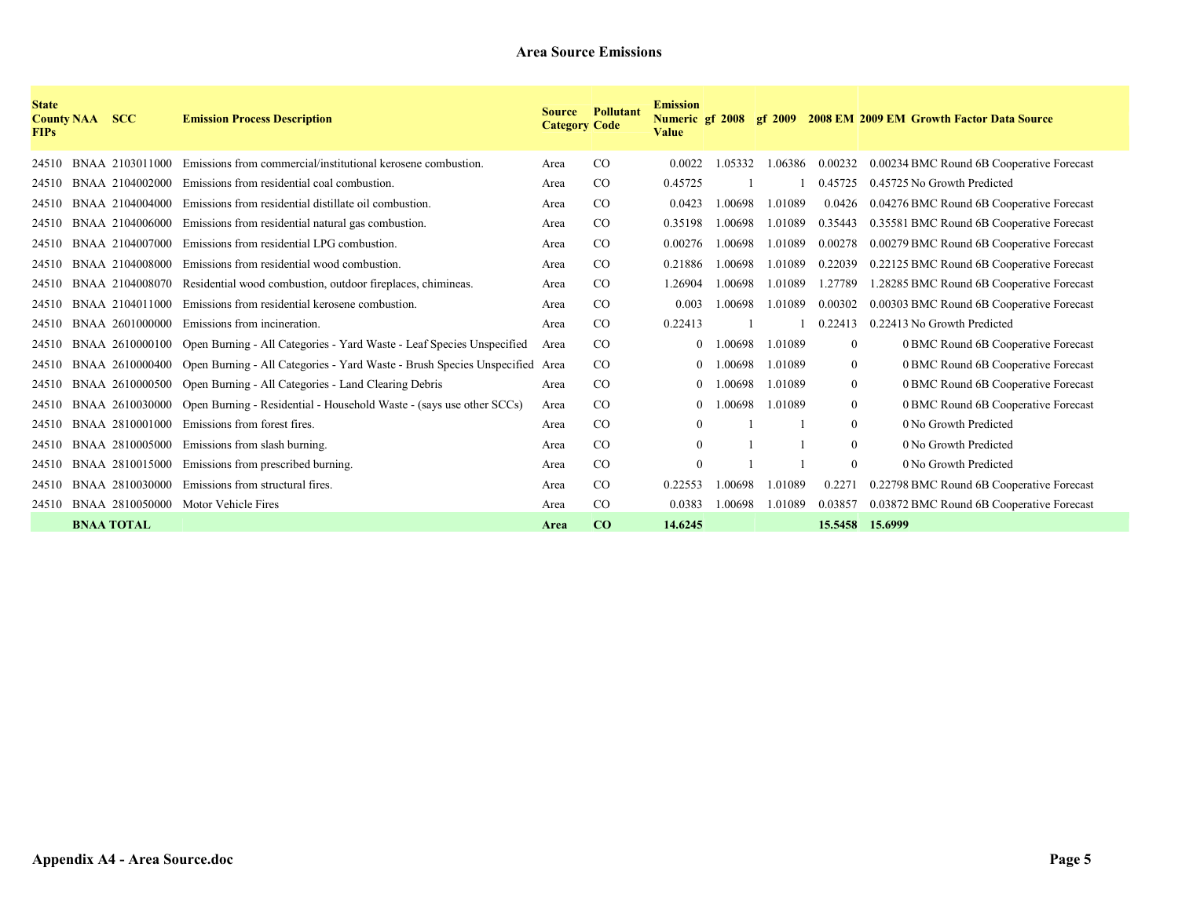| <b>State</b><br><b>County NAA</b><br><b>FIPs</b> | <b>SCC</b>        | <b>Emission Process Description</b>                                                         | <b>Source</b><br><b>Category Code</b> | <b>Pollutant</b> | <b>Emission</b><br>Numeric gf 2008<br><b>Value</b> |        |         |                 | gf 2009 2008 EM 2009 EM Growth Factor Data Source |
|--------------------------------------------------|-------------------|---------------------------------------------------------------------------------------------|---------------------------------------|------------------|----------------------------------------------------|--------|---------|-----------------|---------------------------------------------------|
| 24510                                            | BNAA 2103011000   | Emissions from commercial/institutional kerosene combustion.                                | Area                                  | CO               | 0.0022                                             | .05332 | 1.06386 | 0.00232         | 0.00234 BMC Round 6B Cooperative Forecast         |
| 24510                                            | BNAA 2104002000   | Emissions from residential coal combustion.                                                 | Area                                  | CO               | 0.45725                                            |        |         | 0.45725         | 0.45725 No Growth Predicted                       |
| 24510                                            | BNAA 2104004000   | Emissions from residential distillate oil combustion.                                       | Area                                  | CO               | 0.0423                                             | 00698  | 1.01089 | 0.0426          | 0.04276 BMC Round 6B Cooperative Forecast         |
| 24510                                            | BNAA 2104006000   | Emissions from residential natural gas combustion.                                          | Area                                  | CO               | 0.35198                                            | .00698 | 1.01089 | 0.35443         | 0.35581 BMC Round 6B Cooperative Forecast         |
| 24510                                            | BNAA 2104007000   | Emissions from residential LPG combustion.                                                  | Area                                  | CO               | 0.00276                                            | .00698 | 1.01089 | 0.00278         | 0.00279 BMC Round 6B Cooperative Forecast         |
| 24510                                            | BNAA 2104008000   | Emissions from residential wood combustion.                                                 | Area                                  | CO               | 0.21886                                            | .00698 | 1.01089 | 0.22039         | 0.22125 BMC Round 6B Cooperative Forecast         |
| 24510                                            | BNAA 2104008070   | Residential wood combustion, outdoor fireplaces, chimineas.                                 | Area                                  | CO               | 1.26904                                            | .00698 | 1.01089 | 1.27789         | 1.28285 BMC Round 6B Cooperative Forecast         |
| 24510                                            | BNAA 2104011000   | Emissions from residential kerosene combustion.                                             | Area                                  | CO               | 0.003                                              | .00698 | 1.01089 | 0.00302         | 0.00303 BMC Round 6B Cooperative Forecast         |
| 24510                                            | BNAA 2601000000   | Emissions from incineration.                                                                | Area                                  | CO               | 0.22413                                            |        |         | 0.22413         | 0.22413 No Growth Predicted                       |
| 24510                                            |                   | BNAA 2610000100 Open Burning - All Categories - Yard Waste - Leaf Species Unspecified       | Area                                  | CO               | $\Omega$                                           | .00698 | 1.01089 | $\mathbf{0}$    | 0 BMC Round 6B Cooperative Forecast               |
| 24510                                            |                   | BNAA 2610000400 Open Burning - All Categories - Yard Waste - Brush Species Unspecified Area |                                       | CO               | 0                                                  | .00698 | 1.01089 | $\mathbf{0}$    | 0 BMC Round 6B Cooperative Forecast               |
| 24510                                            | BNAA 2610000500   | Open Burning - All Categories - Land Clearing Debris                                        | Area                                  | CO               | $\theta$                                           | .00698 | 1.01089 | $\mathbf{0}$    | 0 BMC Round 6B Cooperative Forecast               |
| 24510                                            | BNAA 2610030000   | Open Burning - Residential - Household Waste - (says use other SCCs)                        | Area                                  | CO               | $\Omega$                                           | 00698  | 1.01089 | $\mathbf{0}$    | 0 BMC Round 6B Cooperative Forecast               |
| 24510                                            | BNAA 2810001000   | Emissions from forest fires.                                                                | Area                                  | CO               | $\mathbf{0}$                                       |        |         | $\mathbf{0}$    | 0 No Growth Predicted                             |
| 24510                                            | BNAA 2810005000   | Emissions from slash burning.                                                               | Area                                  | CO               | $\theta$                                           |        |         | $\theta$        | 0 No Growth Predicted                             |
| 24510                                            | BNAA 2810015000   | Emissions from prescribed burning.                                                          | Area                                  | CO               | $\theta$                                           |        |         | $\theta$        | 0 No Growth Predicted                             |
| 24510                                            | BNAA 2810030000   | Emissions from structural fires.                                                            | Area                                  | CO               | 0.22553                                            | .00698 | 1.01089 | 0.2271          | 0.22798 BMC Round 6B Cooperative Forecast         |
| 24510                                            | BNAA 2810050000   | Motor Vehicle Fires                                                                         | Area                                  | $\rm CO$         | 0.0383                                             | .00698 | 1.01089 | 0.03857         | 0.03872 BMC Round 6B Cooperative Forecast         |
|                                                  | <b>BNAA TOTAL</b> |                                                                                             | Area                                  | CO               | 14.6245                                            |        |         | 15.5458 15.6999 |                                                   |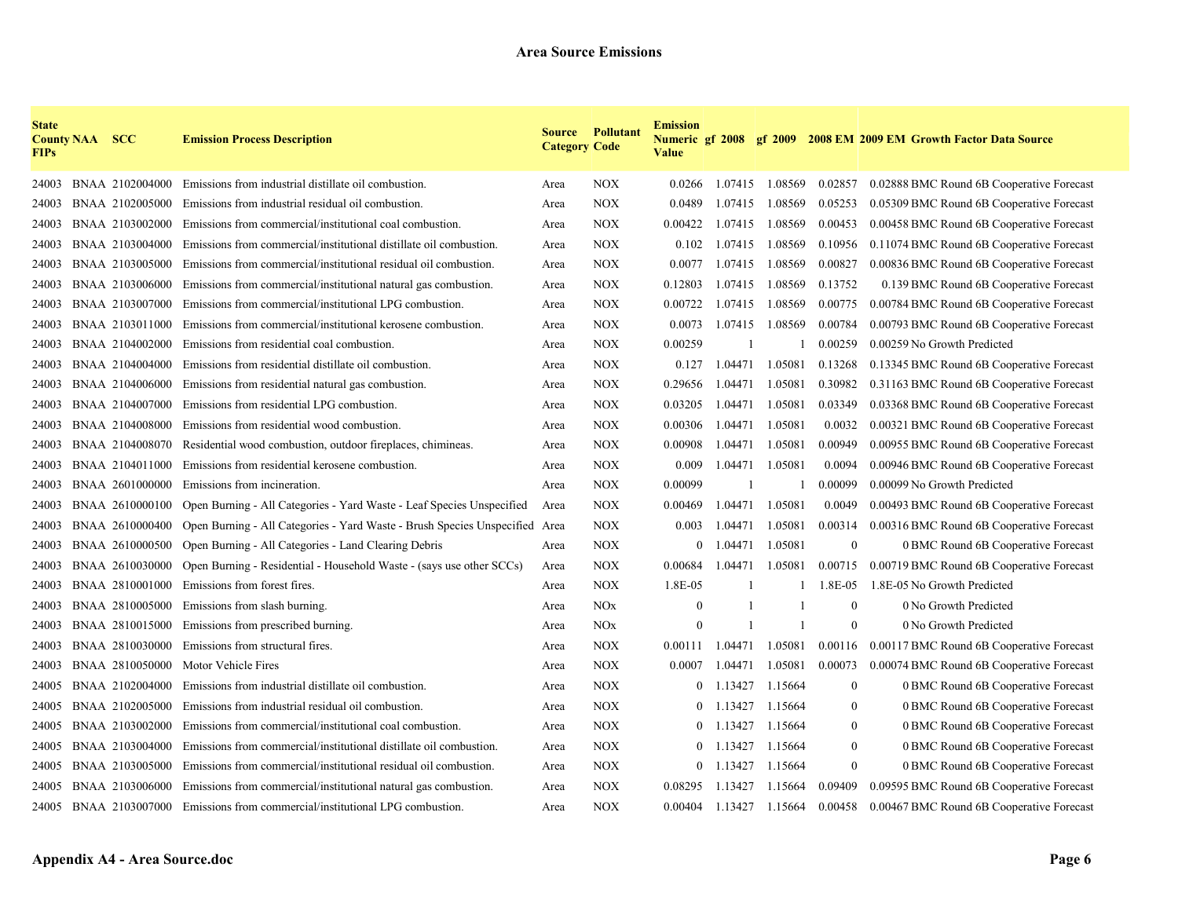| <b>State</b><br><b>FIPs</b> | <b>County NAA SCC</b> |                 | <b>Emission Process Description</b>                                           | <b>Category Code</b> | <b>Source Pollutant</b> | <b>Emission</b><br><b>Numeric gf 2008 gf 2009</b><br><b>Value</b> |              |                 |              | <b>2008 EM 2009 EM Growth Factor Data Source</b> |
|-----------------------------|-----------------------|-----------------|-------------------------------------------------------------------------------|----------------------|-------------------------|-------------------------------------------------------------------|--------------|-----------------|--------------|--------------------------------------------------|
| 24003                       |                       |                 | BNAA 2102004000 Emissions from industrial distillate oil combustion.          | Area                 | <b>NOX</b>              | 0.0266                                                            |              | 1.07415 1.08569 | 0.02857      | 0.02888 BMC Round 6B Cooperative Forecast        |
| 24003                       |                       | BNAA 2102005000 | Emissions from industrial residual oil combustion.                            | Area                 | <b>NOX</b>              | 0.0489                                                            | 1.07415      | 1.08569         | 0.05253      | 0.05309 BMC Round 6B Cooperative Forecast        |
| 24003                       |                       | BNAA 2103002000 | Emissions from commercial/institutional coal combustion.                      | Area                 | <b>NOX</b>              | 0.00422                                                           | 1.07415      | 1.08569         | 0.00453      | 0.00458 BMC Round 6B Cooperative Forecast        |
| 24003                       |                       | BNAA 2103004000 | Emissions from commercial/institutional distillate oil combustion.            | Area                 | <b>NOX</b>              | 0.102                                                             | 1.07415      | 1.08569         | 0.10956      | 0.11074 BMC Round 6B Cooperative Forecast        |
| 24003                       |                       | BNAA 2103005000 | Emissions from commercial/institutional residual oil combustion.              | Area                 | <b>NOX</b>              | 0.0077                                                            |              | 1.07415 1.08569 | 0.00827      | 0.00836 BMC Round 6B Cooperative Forecast        |
| 24003                       |                       | BNAA 2103006000 | Emissions from commercial/institutional natural gas combustion.               | Area                 | <b>NOX</b>              | 0.12803                                                           | 1.07415      | 1.08569         | 0.13752      | 0.139 BMC Round 6B Cooperative Forecast          |
| 24003                       |                       | BNAA 2103007000 | Emissions from commercial/institutional LPG combustion.                       | Area                 | <b>NOX</b>              | 0.00722                                                           | 1.07415      | 1.08569         | 0.00775      | 0.00784 BMC Round 6B Cooperative Forecast        |
| 24003                       |                       | BNAA 2103011000 | Emissions from commercial/institutional kerosene combustion.                  | Area                 | <b>NOX</b>              | 0.0073                                                            | 1.07415      | 1.08569         | 0.00784      | 0.00793 BMC Round 6B Cooperative Forecast        |
| 24003                       |                       | BNAA 2104002000 | Emissions from residential coal combustion.                                   | Area                 | <b>NOX</b>              | 0.00259                                                           |              |                 | 0.00259      | 0.00259 No Growth Predicted                      |
| 24003                       |                       | BNAA 2104004000 | Emissions from residential distillate oil combustion.                         | Area                 | <b>NOX</b>              | 0.127                                                             | 1.04471      | 1.05081         | 0.13268      | 0.13345 BMC Round 6B Cooperative Forecast        |
| 24003                       |                       | BNAA 2104006000 | Emissions from residential natural gas combustion.                            | Area                 | <b>NOX</b>              | 0.29656                                                           | 1.04471      | 1.05081         | 0.30982      | 0.31163 BMC Round 6B Cooperative Forecast        |
| 24003                       |                       | BNAA 2104007000 | Emissions from residential LPG combustion.                                    | Area                 | <b>NOX</b>              | 0.03205                                                           | 1.04471      | 1.05081         | 0.03349      | 0.03368 BMC Round 6B Cooperative Forecast        |
| 24003                       |                       | BNAA 2104008000 | Emissions from residential wood combustion.                                   | Area                 | <b>NOX</b>              | 0.00306                                                           | 1.04471      | 1.05081         | 0.0032       | 0.00321 BMC Round 6B Cooperative Forecast        |
| 24003                       |                       | BNAA 2104008070 | Residential wood combustion, outdoor fireplaces, chimineas.                   | Area                 | <b>NOX</b>              | 0.00908                                                           | 1.04471      | 1.05081         | 0.00949      | 0.00955 BMC Round 6B Cooperative Forecast        |
| 24003                       |                       | BNAA 2104011000 | Emissions from residential kerosene combustion.                               | Area                 | <b>NOX</b>              | 0.009                                                             | 1.04471      | 1.05081         | 0.0094       | 0.00946 BMC Round 6B Cooperative Forecast        |
| 24003                       |                       | BNAA 2601000000 | Emissions from incineration.                                                  | Area                 | <b>NOX</b>              | 0.00099                                                           |              |                 | 0.00099      | 0.00099 No Growth Predicted                      |
| 24003                       |                       | BNAA 2610000100 | Open Burning - All Categories - Yard Waste - Leaf Species Unspecified         | Area                 | <b>NOX</b>              | 0.00469                                                           | 1.04471      | 1.05081         | 0.0049       | 0.00493 BMC Round 6B Cooperative Forecast        |
| 24003                       |                       | BNAA 2610000400 | Open Burning - All Categories - Yard Waste - Brush Species Unspecified Area   |                      | <b>NOX</b>              | 0.003                                                             | 1.04471      | 1.05081         | 0.00314      | 0.00316 BMC Round 6B Cooperative Forecast        |
| 24003                       |                       | BNAA 2610000500 | Open Burning - All Categories - Land Clearing Debris                          | Area                 | <b>NOX</b>              | $\mathbf{0}$                                                      | 1.04471      | 1.05081         | $\mathbf{0}$ | 0 BMC Round 6B Cooperative Forecast              |
| 24003                       |                       | BNAA 2610030000 | Open Burning - Residential - Household Waste - (says use other SCCs)          | Area                 | <b>NOX</b>              | 0.00684                                                           | 1.04471      | 1.05081         | 0.00715      | 0.00719 BMC Round 6B Cooperative Forecast        |
| 24003                       |                       | BNAA 2810001000 | Emissions from forest fires.                                                  | Area                 | <b>NOX</b>              | 1.8E-05                                                           |              |                 | 1.8E-05      | 1.8E-05 No Growth Predicted                      |
| 24003                       |                       | BNAA 2810005000 | Emissions from slash burning.                                                 | Area                 | <b>NOx</b>              | $\theta$                                                          |              |                 | $\mathbf{0}$ | 0 No Growth Predicted                            |
| 24003                       |                       | BNAA 2810015000 | Emissions from prescribed burning.                                            | Area                 | <b>NO</b> x             | $\mathbf{0}$                                                      | $\mathbf{1}$ |                 | $\mathbf{0}$ | 0 No Growth Predicted                            |
| 24003                       |                       | BNAA 2810030000 | Emissions from structural fires.                                              | Area                 | <b>NOX</b>              | 0.00111                                                           | 1.04471      | 1.05081         | 0.00116      | 0.00117 BMC Round 6B Cooperative Forecast        |
| 24003                       |                       | BNAA 2810050000 | Motor Vehicle Fires                                                           | Area                 | <b>NOX</b>              | 0.0007                                                            | 1.04471      | 1.05081         | 0.00073      | 0.00074 BMC Round 6B Cooperative Forecast        |
| 24005                       |                       | BNAA 2102004000 | Emissions from industrial distillate oil combustion.                          | Area                 | <b>NOX</b>              | $\Omega$                                                          | 1.13427      | 1.15664         | $\mathbf{0}$ | 0 BMC Round 6B Cooperative Forecast              |
| 24005                       |                       | BNAA 2102005000 | Emissions from industrial residual oil combustion.                            | Area                 | <b>NOX</b>              | $\theta$                                                          | 1.13427      | 1.15664         | $\mathbf{0}$ | 0 BMC Round 6B Cooperative Forecast              |
| 24005                       |                       | BNAA 2103002000 | Emissions from commercial/institutional coal combustion.                      | Area                 | <b>NOX</b>              | $\mathbf{0}$                                                      | 1.13427      | 1.15664         | $\mathbf{0}$ | 0 BMC Round 6B Cooperative Forecast              |
| 24005                       |                       | BNAA 2103004000 | Emissions from commercial/institutional distillate oil combustion.            | Area                 | <b>NOX</b>              |                                                                   | 1.13427      | 1.15664         | $\mathbf{0}$ | 0 BMC Round 6B Cooperative Forecast              |
| 24005                       |                       | BNAA 2103005000 | Emissions from commercial/institutional residual oil combustion.              | Area                 | <b>NOX</b>              | $\overline{0}$                                                    | 1.13427      | 1.15664         | $\mathbf{0}$ | 0 BMC Round 6B Cooperative Forecast              |
| 24005                       |                       | BNAA 2103006000 | Emissions from commercial/institutional natural gas combustion.               | Area                 | <b>NOX</b>              | 0.08295                                                           | 1.13427      | 1.15664         | 0.09409      | 0.09595 BMC Round 6B Cooperative Forecast        |
|                             |                       |                 | 24005 BNAA 2103007000 Emissions from commercial/institutional LPG combustion. | Area                 | <b>NOX</b>              | 0.00404                                                           |              | 1.13427 1.15664 | 0.00458      | 0.00467 BMC Round 6B Cooperative Forecast        |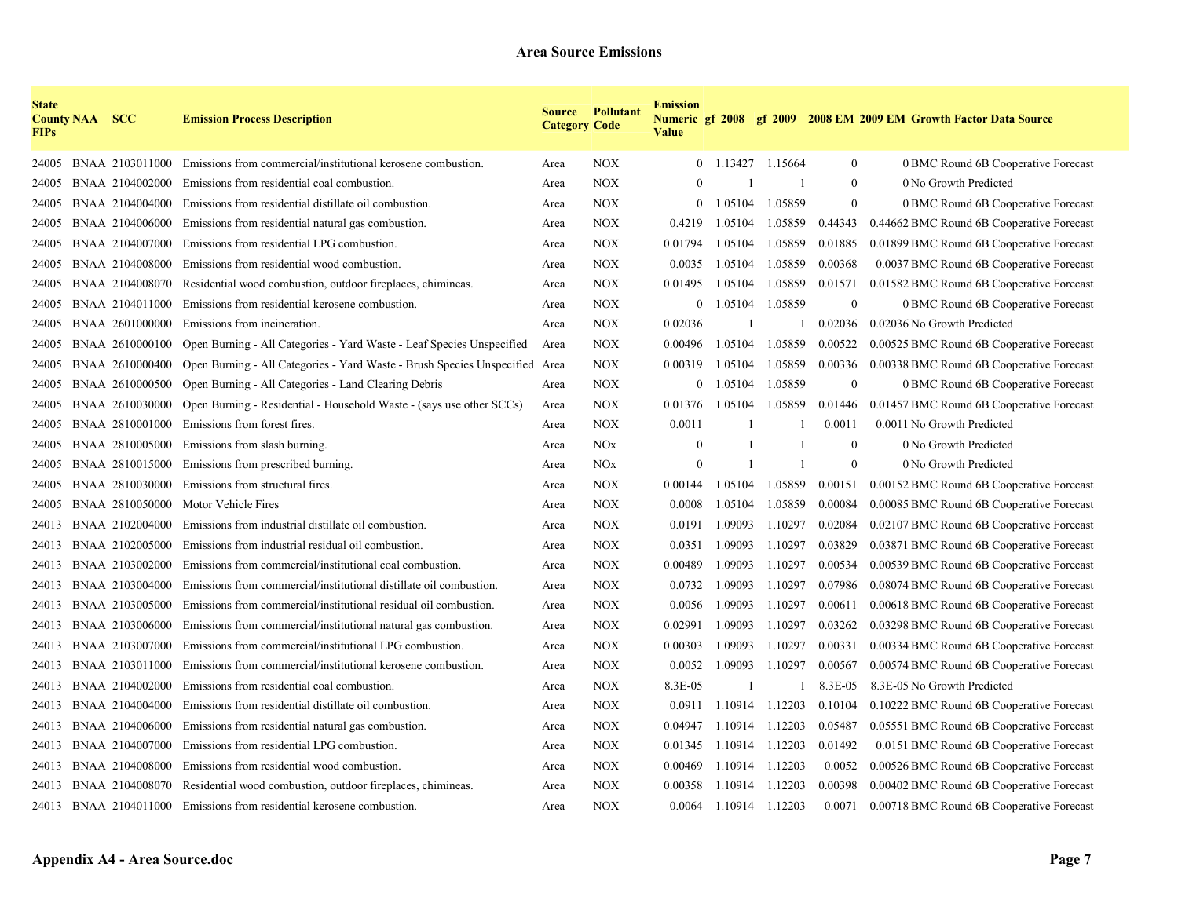| <b>State</b><br><b>FIPs</b> | <b>County NAA SCC</b> |                 | <b>Emission Process Description</b>                                         | <b>Category Code</b> | <b>Source Pollutant</b> | <b>Emission</b><br><b>Value</b> |         |              |                  | Numeric gf 2008 gf 2009 2008 EM 2009 EM Growth Factor Data Source |
|-----------------------------|-----------------------|-----------------|-----------------------------------------------------------------------------|----------------------|-------------------------|---------------------------------|---------|--------------|------------------|-------------------------------------------------------------------|
| 24005                       |                       | BNAA 2103011000 | Emissions from commercial/institutional kerosene combustion.                | Area                 | <b>NOX</b>              | $\overline{0}$                  | 1.13427 | 1.15664      | $\bf{0}$         | 0 BMC Round 6B Cooperative Forecast                               |
| 24005                       |                       | BNAA 2104002000 | Emissions from residential coal combustion.                                 | Area                 | <b>NOX</b>              |                                 |         | -1           | $\boldsymbol{0}$ | 0 No Growth Predicted                                             |
| 24005                       |                       | BNAA 2104004000 | Emissions from residential distillate oil combustion.                       | Area                 | <b>NOX</b>              | $\theta$                        | 1.05104 | 1.05859      | $\mathbf{0}$     | 0 BMC Round 6B Cooperative Forecast                               |
| 24005                       |                       | BNAA 2104006000 | Emissions from residential natural gas combustion.                          | Area                 | <b>NOX</b>              | 0.4219                          | 1.05104 | 1.05859      | 0.44343          | 0.44662 BMC Round 6B Cooperative Forecast                         |
| 24005                       |                       | BNAA 2104007000 | Emissions from residential LPG combustion.                                  | Area                 | <b>NOX</b>              | 0.01794                         | 1.05104 | 1.05859      | 0.01885          | 0.01899 BMC Round 6B Cooperative Forecast                         |
| 24005                       |                       | BNAA 2104008000 | Emissions from residential wood combustion.                                 | Area                 | <b>NOX</b>              | 0.0035                          | 1.05104 | 1.05859      | 0.00368          | 0.0037 BMC Round 6B Cooperative Forecast                          |
| 24005                       |                       | BNAA 2104008070 | Residential wood combustion, outdoor fireplaces, chimineas.                 | Area                 | <b>NOX</b>              | 0.01495                         | 1.05104 | 1.05859      | 0.01571          | 0.01582 BMC Round 6B Cooperative Forecast                         |
| 24005                       |                       | BNAA 2104011000 | Emissions from residential kerosene combustion.                             | Area                 | <b>NOX</b>              | $\Omega$                        | 1.05104 | 1.05859      | $\theta$         | 0 BMC Round 6B Cooperative Forecast                               |
| 24005                       |                       | BNAA 2601000000 | Emissions from incineration.                                                | Area                 | <b>NOX</b>              | 0.02036                         |         | 1            | 0.02036          | 0.02036 No Growth Predicted                                       |
| 24005                       |                       | BNAA 2610000100 | Open Burning - All Categories - Yard Waste - Leaf Species Unspecified       | Area                 | <b>NOX</b>              | 0.00496                         | 1.05104 | 1.05859      | 0.00522          | 0.00525 BMC Round 6B Cooperative Forecast                         |
| 24005                       |                       | BNAA 2610000400 | Open Burning - All Categories - Yard Waste - Brush Species Unspecified Area |                      | <b>NOX</b>              | 0.00319                         | 1.05104 | 1.05859      | 0.00336          | 0.00338 BMC Round 6B Cooperative Forecast                         |
| 24005                       |                       | BNAA 2610000500 | Open Burning - All Categories - Land Clearing Debris                        | Area                 | <b>NOX</b>              | $\overline{0}$                  | 1.05104 | 1.05859      | $\theta$         | 0 BMC Round 6B Cooperative Forecast                               |
| 24005                       |                       | BNAA 2610030000 | Open Burning - Residential - Household Waste - (says use other SCCs)        | Area                 | <b>NOX</b>              | 0.01376                         | 1.05104 | 1.05859      | 0.01446          | 0.01457 BMC Round 6B Cooperative Forecast                         |
| 24005                       |                       | BNAA 2810001000 | Emissions from forest fires.                                                | Area                 | <b>NOX</b>              | 0.0011                          |         |              | 0.0011           | 0.0011 No Growth Predicted                                        |
| 24005                       |                       | BNAA 2810005000 | Emissions from slash burning.                                               | Area                 | <b>NOx</b>              | $\theta$                        |         |              | $\theta$         | 0 No Growth Predicted                                             |
| 24005                       |                       | BNAA 2810015000 | Emissions from prescribed burning.                                          | Area                 | NOx                     | $\theta$                        |         | $\mathbf{1}$ | $\mathbf{0}$     | 0 No Growth Predicted                                             |
| 24005                       |                       | BNAA 2810030000 | Emissions from structural fires.                                            | Area                 | <b>NOX</b>              | 0.00144                         | 1.05104 | 1.05859      | 0.00151          | 0.00152 BMC Round 6B Cooperative Forecast                         |
| 24005                       |                       | BNAA 2810050000 | Motor Vehicle Fires                                                         | Area                 | <b>NOX</b>              | 0.0008                          | 1.05104 | 1.05859      | 0.00084          | 0.00085 BMC Round 6B Cooperative Forecast                         |
| 24013                       |                       | BNAA 2102004000 | Emissions from industrial distillate oil combustion.                        | Area                 | <b>NOX</b>              | 0.0191                          | 1.09093 | 1.10297      | 0.02084          | 0.02107 BMC Round 6B Cooperative Forecast                         |
| 24013                       |                       | BNAA 2102005000 | Emissions from industrial residual oil combustion.                          | Area                 | <b>NOX</b>              | 0.0351                          | 1.09093 | 1.10297      | 0.03829          | 0.03871 BMC Round 6B Cooperative Forecast                         |
| 24013                       |                       | BNAA 2103002000 | Emissions from commercial/institutional coal combustion.                    | Area                 | <b>NOX</b>              | 0.00489                         | 1.09093 | 1.10297      | 0.00534          | 0.00539 BMC Round 6B Cooperative Forecast                         |
| 24013                       |                       | BNAA 2103004000 | Emissions from commercial/institutional distillate oil combustion.          | Area                 | <b>NOX</b>              | 0.0732                          | 1.09093 | 1.10297      | 0.07986          | 0.08074 BMC Round 6B Cooperative Forecast                         |
| 24013                       |                       | BNAA 2103005000 | Emissions from commercial/institutional residual oil combustion.            | Area                 | <b>NOX</b>              | 0.0056                          | 1.09093 | 1.10297      | 0.00611          | 0.00618 BMC Round 6B Cooperative Forecast                         |
| 24013                       |                       | BNAA 2103006000 | Emissions from commercial/institutional natural gas combustion.             | Area                 | <b>NOX</b>              | 0.02991                         | 1.09093 | 1.10297      | 0.03262          | 0.03298 BMC Round 6B Cooperative Forecast                         |
| 24013                       |                       | BNAA 2103007000 | Emissions from commercial/institutional LPG combustion.                     | Area                 | <b>NOX</b>              | 0.00303                         | 1.09093 | 1.10297      | 0.00331          | 0.00334 BMC Round 6B Cooperative Forecast                         |
| 24013                       |                       | BNAA 2103011000 | Emissions from commercial/institutional kerosene combustion.                | Area                 | <b>NOX</b>              | 0.0052                          | 1.09093 | 1.10297      | 0.00567          | 0.00574 BMC Round 6B Cooperative Forecast                         |
| 24013                       |                       | BNAA 2104002000 | Emissions from residential coal combustion.                                 | Area                 | <b>NOX</b>              | 8.3E-05                         |         |              | 8.3E-05          | 8.3E-05 No Growth Predicted                                       |
| 24013                       |                       | BNAA 2104004000 | Emissions from residential distillate oil combustion.                       | Area                 | <b>NOX</b>              | 0.0911                          | 1.10914 | 1.12203      | 0.10104          | 0.10222 BMC Round 6B Cooperative Forecast                         |
| 24013                       |                       | BNAA 2104006000 | Emissions from residential natural gas combustion.                          | Area                 | <b>NOX</b>              | 0.04947                         | 1.10914 | 1.12203      | 0.05487          | 0.05551 BMC Round 6B Cooperative Forecast                         |
| 24013                       |                       | BNAA 2104007000 | Emissions from residential LPG combustion.                                  | Area                 | <b>NOX</b>              | 0.01345                         | 1.10914 | 1.12203      | 0.01492          | 0.0151 BMC Round 6B Cooperative Forecast                          |
| 24013                       |                       | BNAA 2104008000 | Emissions from residential wood combustion.                                 | Area                 | NOX                     | 0.00469                         | 1.10914 | 1.12203      | 0.0052           | 0.00526 BMC Round 6B Cooperative Forecast                         |
| 24013                       |                       |                 | BNAA 2104008070 Residential wood combustion, outdoor fireplaces, chimineas. | Area                 | <b>NOX</b>              | 0.00358                         | 1.10914 | 1.12203      | 0.00398          | 0.00402 BMC Round 6B Cooperative Forecast                         |
|                             |                       |                 | 24013 BNAA 2104011000 Emissions from residential kerosene combustion.       | Area                 | <b>NOX</b>              | 0.0064                          | 1.10914 | 1.12203      | 0.0071           | 0.00718 BMC Round 6B Cooperative Forecast                         |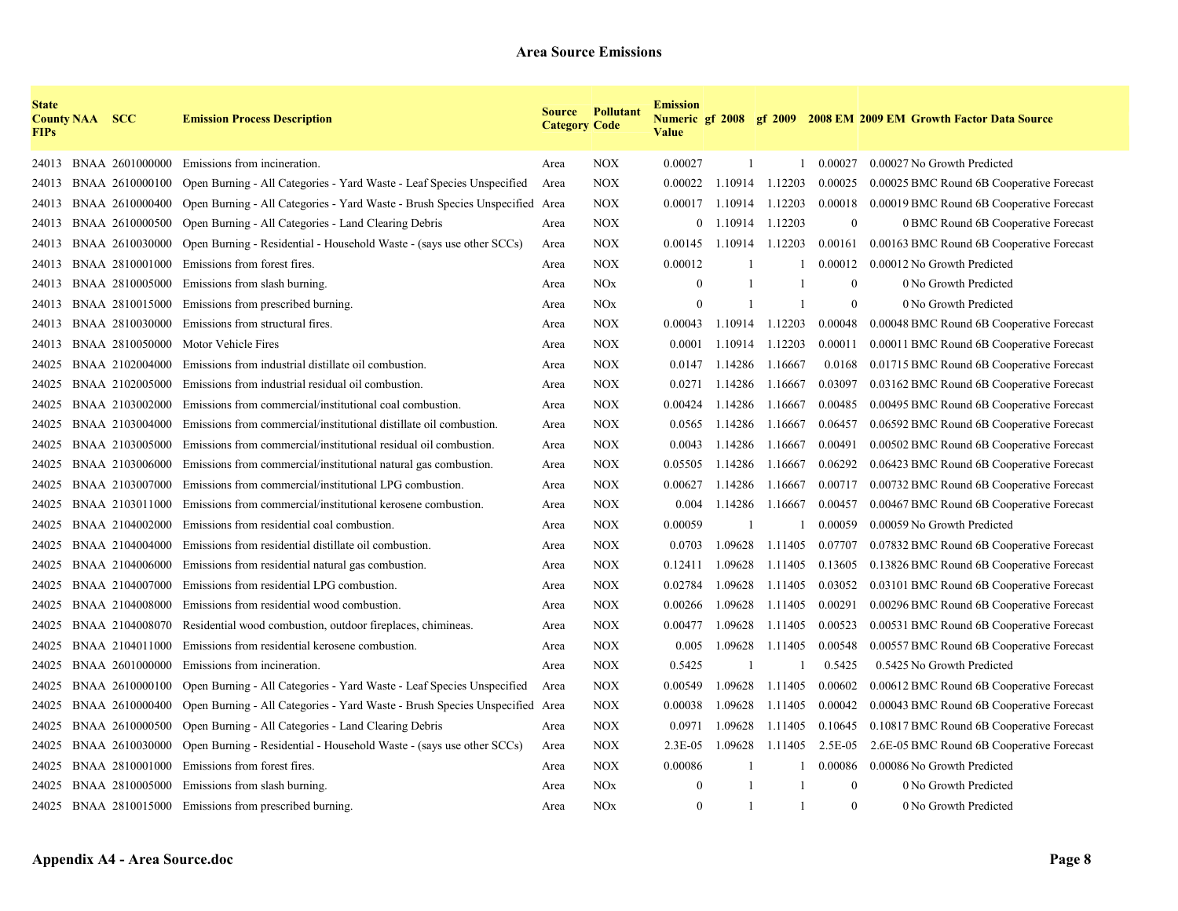| <b>State</b><br><b>FIPs</b> | <b>County NAA SCC</b> |                 | <b>Emission Process Description</b>                                         | <b>Category Code</b> | <b>Source Pollutant</b> | <b>Emission</b><br><b>Value</b> |         |         |              | Numeric gf 2008 gf 2009 2008 EM 2009 EM Growth Factor Data Source |  |
|-----------------------------|-----------------------|-----------------|-----------------------------------------------------------------------------|----------------------|-------------------------|---------------------------------|---------|---------|--------------|-------------------------------------------------------------------|--|
| 24013                       |                       | BNAA 2601000000 | Emissions from incineration.                                                | Area                 | <b>NOX</b>              | 0.00027                         | -1      | 1       | 0.00027      | 0.00027 No Growth Predicted                                       |  |
| 24013                       |                       | BNAA 2610000100 | Open Burning - All Categories - Yard Waste - Leaf Species Unspecified       | Area                 | <b>NOX</b>              | 0.00022                         | 1.10914 | 1.12203 | 0.00025      | 0.00025 BMC Round 6B Cooperative Forecast                         |  |
| 24013                       |                       | BNAA 2610000400 | Open Burning - All Categories - Yard Waste - Brush Species Unspecified Area |                      | <b>NOX</b>              | 0.00017                         | 1.10914 | 1.12203 | 0.00018      | 0.00019 BMC Round 6B Cooperative Forecast                         |  |
| 24013                       |                       | BNAA 2610000500 | Open Burning - All Categories - Land Clearing Debris                        | Area                 | <b>NOX</b>              | $\overline{0}$                  | 1.10914 | 1.12203 | $\mathbf{0}$ | 0 BMC Round 6B Cooperative Forecast                               |  |
| 24013                       |                       | BNAA 2610030000 | Open Burning - Residential - Household Waste - (says use other SCCs)        | Area                 | <b>NOX</b>              | 0.00145                         | 1.10914 | 1.12203 | 0.00161      | 0.00163 BMC Round 6B Cooperative Forecast                         |  |
| 24013                       |                       | BNAA 2810001000 | Emissions from forest fires.                                                | Area                 | <b>NOX</b>              | 0.00012                         |         |         | 0.00012      | 0.00012 No Growth Predicted                                       |  |
| 24013                       |                       | BNAA 2810005000 | Emissions from slash burning.                                               | Area                 | <b>NOx</b>              | $\theta$                        |         |         | $\theta$     | 0 No Growth Predicted                                             |  |
| 24013                       |                       | BNAA 2810015000 | Emissions from prescribed burning.                                          | Area                 | <b>NOx</b>              | $\mathbf{0}$                    |         |         | $\theta$     | 0 No Growth Predicted                                             |  |
| 24013                       |                       | BNAA 2810030000 | Emissions from structural fires.                                            | Area                 | <b>NOX</b>              | 0.00043                         | 1.10914 | 1.12203 | 0.00048      | 0.00048 BMC Round 6B Cooperative Forecast                         |  |
| 24013                       |                       | BNAA 2810050000 | Motor Vehicle Fires                                                         | Area                 | <b>NOX</b>              | 0.0001                          | 1.10914 | 1.12203 | 0.00011      | 0.00011 BMC Round 6B Cooperative Forecast                         |  |
| 24025                       |                       | BNAA 2102004000 | Emissions from industrial distillate oil combustion.                        | Area                 | <b>NOX</b>              | 0.0147                          | 1.14286 | 1.16667 | 0.0168       | 0.01715 BMC Round 6B Cooperative Forecast                         |  |
| 24025                       |                       | BNAA 2102005000 | Emissions from industrial residual oil combustion.                          | Area                 | <b>NOX</b>              | 0.0271                          | 1.14286 | 1.16667 | 0.03097      | 0.03162 BMC Round 6B Cooperative Forecast                         |  |
| 24025                       |                       | BNAA 2103002000 | Emissions from commercial/institutional coal combustion.                    | Area                 | <b>NOX</b>              | 0.00424                         | 1.14286 | 1.16667 | 0.00485      | 0.00495 BMC Round 6B Cooperative Forecast                         |  |
| 24025                       |                       | BNAA 2103004000 | Emissions from commercial/institutional distillate oil combustion.          | Area                 | <b>NOX</b>              | 0.0565                          | 1.14286 | 1.16667 | 0.06457      | 0.06592 BMC Round 6B Cooperative Forecast                         |  |
| 24025                       |                       | BNAA 2103005000 | Emissions from commercial/institutional residual oil combustion.            | Area                 | <b>NOX</b>              | 0.0043                          | 1.14286 | 1.16667 | 0.00491      | 0.00502 BMC Round 6B Cooperative Forecast                         |  |
| 24025                       |                       | BNAA 2103006000 | Emissions from commercial/institutional natural gas combustion.             | Area                 | <b>NOX</b>              | 0.05505                         | 1.14286 | 1.16667 | 0.06292      | 0.06423 BMC Round 6B Cooperative Forecast                         |  |
| 24025                       |                       | BNAA 2103007000 | Emissions from commercial/institutional LPG combustion.                     | Area                 | <b>NOX</b>              | 0.00627                         | 1.14286 | 1.16667 | 0.00717      | 0.00732 BMC Round 6B Cooperative Forecast                         |  |
| 24025                       |                       | BNAA 2103011000 | Emissions from commercial/institutional kerosene combustion.                | Area                 | <b>NOX</b>              | 0.004                           | 1.14286 | 1.16667 | 0.00457      | 0.00467 BMC Round 6B Cooperative Forecast                         |  |
| 24025                       |                       | BNAA 2104002000 | Emissions from residential coal combustion.                                 | Area                 | <b>NOX</b>              | 0.00059                         |         |         | 0.00059      | 0.00059 No Growth Predicted                                       |  |
| 24025                       |                       | BNAA 2104004000 | Emissions from residential distillate oil combustion.                       | Area                 | <b>NOX</b>              | 0.0703                          | 1.09628 | 1.11405 | 0.07707      | 0.07832 BMC Round 6B Cooperative Forecast                         |  |
| 24025                       |                       | BNAA 2104006000 | Emissions from residential natural gas combustion.                          | Area                 | <b>NOX</b>              | 0.12411                         | 1.09628 | 1.11405 | 0.13605      | 0.13826 BMC Round 6B Cooperative Forecast                         |  |
| 24025                       |                       | BNAA 2104007000 | Emissions from residential LPG combustion.                                  | Area                 | <b>NOX</b>              | 0.02784                         | 1.09628 | 1.11405 | 0.03052      | 0.03101 BMC Round 6B Cooperative Forecast                         |  |
| 24025                       |                       | BNAA 2104008000 | Emissions from residential wood combustion.                                 | Area                 | <b>NOX</b>              | 0.00266                         | 1.09628 | 1.11405 | 0.00291      | 0.00296 BMC Round 6B Cooperative Forecast                         |  |
| 24025                       |                       | BNAA 2104008070 | Residential wood combustion, outdoor fireplaces, chimineas.                 | Area                 | <b>NOX</b>              | 0.00477                         | 1.09628 | 1.11405 | 0.00523      | 0.00531 BMC Round 6B Cooperative Forecast                         |  |
| 24025                       |                       | BNAA 2104011000 | Emissions from residential kerosene combustion.                             | Area                 | <b>NOX</b>              | 0.005                           | 1.09628 | 1.11405 | 0.00548      | 0.00557 BMC Round 6B Cooperative Forecast                         |  |
| 24025                       |                       | BNAA 2601000000 | Emissions from incineration.                                                | Area                 | <b>NOX</b>              | 0.5425                          |         |         | 0.5425       | 0.5425 No Growth Predicted                                        |  |
| 24025                       |                       | BNAA 2610000100 | Open Burning - All Categories - Yard Waste - Leaf Species Unspecified       | Area                 | <b>NOX</b>              | 0.00549                         | 1.09628 | 1.11405 | 0.00602      | 0.00612 BMC Round 6B Cooperative Forecast                         |  |
| 24025                       |                       | BNAA 2610000400 | Open Burning - All Categories - Yard Waste - Brush Species Unspecified Area |                      | <b>NOX</b>              | 0.00038                         | 1.09628 | 1.11405 | 0.00042      | 0.00043 BMC Round 6B Cooperative Forecast                         |  |
| 24025                       |                       | BNAA 2610000500 | Open Burning - All Categories - Land Clearing Debris                        | Area                 | <b>NOX</b>              | 0.0971                          | 1.09628 | 1.11405 | 0.10645      | 0.10817 BMC Round 6B Cooperative Forecast                         |  |
| 24025                       |                       | BNAA 2610030000 | Open Burning - Residential - Household Waste - (says use other SCCs)        | Area                 | <b>NOX</b>              | $2.3E-0.5$                      | 1.09628 | 1.11405 | 2.5E-05      | 2.6E-05 BMC Round 6B Cooperative Forecast                         |  |
| 24025                       |                       | BNAA 2810001000 | Emissions from forest fires.                                                | Area                 | <b>NOX</b>              | 0.00086                         |         |         | 0.00086      | 0.00086 No Growth Predicted                                       |  |
| 24025                       |                       | BNAA 2810005000 | Emissions from slash burning.                                               | Area                 | <b>NOx</b>              | $\mathbf{0}$                    |         |         | $\mathbf{0}$ | 0 No Growth Predicted                                             |  |
|                             |                       |                 | 24025 BNAA 2810015000 Emissions from prescribed burning.                    | Area                 | NOx                     | $\mathbf{0}$                    |         |         | $\theta$     | 0 No Growth Predicted                                             |  |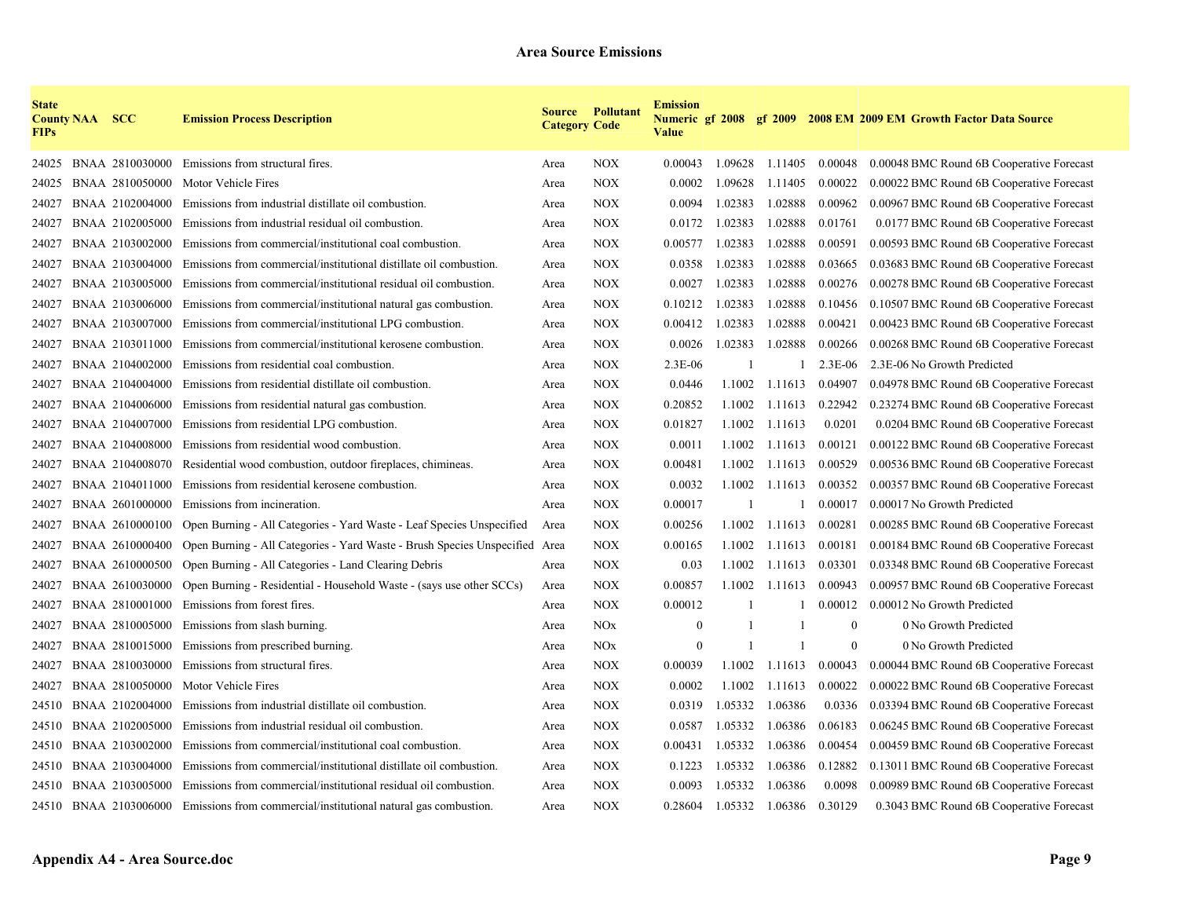| <b>State</b><br><b>FIPs</b> | <b>County NAA SCC</b> |                 | <b>Emission Process Description</b>                                                   | <b>Category Code</b> | <b>Source Pollutant</b> | <b>Emission</b><br><b>Value</b> |              |                 |                | Numeric gf 2008 gf 2009 2008 EM 2009 EM Growth Factor Data Source |
|-----------------------------|-----------------------|-----------------|---------------------------------------------------------------------------------------|----------------------|-------------------------|---------------------------------|--------------|-----------------|----------------|-------------------------------------------------------------------|
| 24025                       |                       | BNAA 2810030000 | Emissions from structural fires.                                                      | Area                 | <b>NOX</b>              | 0.00043                         |              | 1.09628 1.11405 | 0.00048        | 0.00048 BMC Round 6B Cooperative Forecast                         |
| 24025                       |                       | BNAA 2810050000 | Motor Vehicle Fires                                                                   | Area                 | <b>NOX</b>              | 0.0002                          | 1.09628      | 1.11405         | 0.00022        | 0.00022 BMC Round 6B Cooperative Forecast                         |
| 24027                       |                       | BNAA 2102004000 | Emissions from industrial distillate oil combustion.                                  | Area                 | <b>NOX</b>              | 0.0094                          | 1.02383      | 1.02888         | 0.00962        | 0.00967 BMC Round 6B Cooperative Forecast                         |
| 24027                       |                       | BNAA 2102005000 | Emissions from industrial residual oil combustion.                                    | Area                 | <b>NOX</b>              | 0.0172                          | 1.02383      | 1.02888         | 0.01761        | 0.0177 BMC Round 6B Cooperative Forecast                          |
| 24027                       |                       | BNAA 2103002000 | Emissions from commercial/institutional coal combustion.                              | Area                 | <b>NOX</b>              | 0.00577                         | 1.02383      | 1.02888         | 0.00591        | 0.00593 BMC Round 6B Cooperative Forecast                         |
| 24027                       |                       | BNAA 2103004000 | Emissions from commercial/institutional distillate oil combustion.                    | Area                 | <b>NOX</b>              | 0.0358                          | 1.02383      | 1.02888         | 0.03665        | 0.03683 BMC Round 6B Cooperative Forecast                         |
| 24027                       |                       | BNAA 2103005000 | Emissions from commercial/institutional residual oil combustion.                      | Area                 | <b>NOX</b>              | 0.0027                          | 1.02383      | 1.02888         | 0.00276        | 0.00278 BMC Round 6B Cooperative Forecast                         |
| 24027                       |                       | BNAA 2103006000 | Emissions from commercial/institutional natural gas combustion.                       | Area                 | <b>NOX</b>              | 0.10212                         | 1.02383      | 1.02888         | 0.10456        | 0.10507 BMC Round 6B Cooperative Forecast                         |
| 24027                       |                       | BNAA 2103007000 | Emissions from commercial/institutional LPG combustion.                               | Area                 | <b>NOX</b>              | 0.00412                         | 1.02383      | 1.02888         | 0.00421        | 0.00423 BMC Round 6B Cooperative Forecast                         |
| 24027                       |                       | BNAA 2103011000 | Emissions from commercial/institutional kerosene combustion.                          | Area                 | <b>NOX</b>              | 0.0026                          | 1.02383      | 1.02888         | 0.00266        | 0.00268 BMC Round 6B Cooperative Forecast                         |
| 24027                       |                       | BNAA 2104002000 | Emissions from residential coal combustion.                                           | Area                 | <b>NOX</b>              | $2.3E-06$                       | -1           |                 | $2.3E-06$      | 2.3E-06 No Growth Predicted                                       |
| 24027                       |                       | BNAA 2104004000 | Emissions from residential distillate oil combustion.                                 | Area                 | <b>NOX</b>              | 0.0446                          | 1.1002       | 1.11613         | 0.04907        | 0.04978 BMC Round 6B Cooperative Forecast                         |
| 24027                       |                       | BNAA 2104006000 | Emissions from residential natural gas combustion.                                    | Area                 | <b>NOX</b>              | 0.20852                         | 1.1002       | 1.11613         | 0.22942        | 0.23274 BMC Round 6B Cooperative Forecast                         |
| 24027                       |                       | BNAA 2104007000 | Emissions from residential LPG combustion.                                            | Area                 | <b>NOX</b>              | 0.01827                         | 1.1002       | 1.11613         | 0.0201         | 0.0204 BMC Round 6B Cooperative Forecast                          |
| 24027                       |                       | BNAA 2104008000 | Emissions from residential wood combustion.                                           | Area                 | <b>NOX</b>              | 0.0011                          | 1.1002       | 1.11613         | 0.00121        | 0.00122 BMC Round 6B Cooperative Forecast                         |
| 24027                       |                       | BNAA 2104008070 | Residential wood combustion, outdoor fireplaces, chimineas.                           | Area                 | <b>NOX</b>              | 0.00481                         | 1.1002       | 1.11613         | 0.00529        | 0.00536 BMC Round 6B Cooperative Forecast                         |
| 24027                       |                       | BNAA 2104011000 | Emissions from residential kerosene combustion.                                       | Area                 | <b>NOX</b>              | 0.0032                          | 1.1002       | 1.11613         | 0.00352        | 0.00357 BMC Round 6B Cooperative Forecast                         |
| 24027                       |                       | BNAA 2601000000 | Emissions from incineration.                                                          | Area                 | <b>NOX</b>              | 0.00017                         |              |                 | 0.00017        | 0.00017 No Growth Predicted                                       |
| 24027                       |                       | BNAA 2610000100 | Open Burning - All Categories - Yard Waste - Leaf Species Unspecified                 | Area                 | <b>NOX</b>              | 0.00256                         | 1.1002       | 1.11613         | 0.00281        | 0.00285 BMC Round 6B Cooperative Forecast                         |
| 24027                       |                       | BNAA 2610000400 | Open Burning - All Categories - Yard Waste - Brush Species Unspecified Area           |                      | <b>NOX</b>              | 0.00165                         | 1.1002       | 1.11613         | 0.00181        | 0.00184 BMC Round 6B Cooperative Forecast                         |
| 24027                       |                       | BNAA 2610000500 | Open Burning - All Categories - Land Clearing Debris                                  | Area                 | <b>NOX</b>              | 0.03                            | 1.1002       | 1.11613         | 0.03301        | 0.03348 BMC Round 6B Cooperative Forecast                         |
| 24027                       |                       | BNAA 2610030000 | Open Burning - Residential - Household Waste - (says use other SCCs)                  | Area                 | <b>NOX</b>              | 0.00857                         | 1.1002       | 1.11613         | 0.00943        | 0.00957 BMC Round 6B Cooperative Forecast                         |
| 24027                       |                       | BNAA 2810001000 | Emissions from forest fires.                                                          | Area                 | <b>NOX</b>              | 0.00012                         | $\mathbf{1}$ |                 | 0.00012        | 0.00012 No Growth Predicted                                       |
| 24027                       |                       | BNAA 2810005000 | Emissions from slash burning.                                                         | Area                 | <b>NOx</b>              | $\mathbf{0}$                    | $\mathbf{1}$ |                 | $\mathbf{0}$   | 0 No Growth Predicted                                             |
| 24027                       |                       | BNAA 2810015000 | Emissions from prescribed burning.                                                    | Area                 | <b>NOx</b>              | $\mathbf{0}$                    | $\mathbf{1}$ |                 | $\overline{0}$ | 0 No Growth Predicted                                             |
| 24027                       |                       | BNAA 2810030000 | Emissions from structural fires.                                                      | Area                 | <b>NOX</b>              | 0.00039                         | 1.1002       | 1.11613         | 0.00043        | 0.00044 BMC Round 6B Cooperative Forecast                         |
| 24027                       |                       | BNAA 2810050000 | Motor Vehicle Fires                                                                   | Area                 | <b>NOX</b>              | 0.0002                          | 1.1002       | 1.11613         | 0.00022        | 0.00022 BMC Round 6B Cooperative Forecast                         |
| 24510                       |                       | BNAA 2102004000 | Emissions from industrial distillate oil combustion.                                  | Area                 | <b>NOX</b>              | 0.0319                          | 1.05332      | 1.06386         | 0.0336         | 0.03394 BMC Round 6B Cooperative Forecast                         |
| 24510                       |                       | BNAA 2102005000 | Emissions from industrial residual oil combustion.                                    | Area                 | <b>NOX</b>              | 0.0587                          | 1.05332      | 1.06386         | 0.06183        | 0.06245 BMC Round 6B Cooperative Forecast                         |
| 24510                       |                       | BNAA 2103002000 | Emissions from commercial/institutional coal combustion.                              | Area                 | <b>NOX</b>              | 0.00431                         | 1.05332      | 1.06386         | 0.00454        | 0.00459 BMC Round 6B Cooperative Forecast                         |
| 24510                       |                       | BNAA 2103004000 | Emissions from commercial/institutional distillate oil combustion.                    | Area                 | <b>NOX</b>              | 0.1223                          | 1.05332      | 1.06386         | 0.12882        | 0.13011 BMC Round 6B Cooperative Forecast                         |
| 24510                       |                       | BNAA 2103005000 | Emissions from commercial/institutional residual oil combustion.                      | Area                 | <b>NOX</b>              | 0.0093                          | 1.05332      | 1.06386         | 0.0098         | 0.00989 BMC Round 6B Cooperative Forecast                         |
|                             |                       |                 | 24510 BNAA 2103006000 Emissions from commercial/institutional natural gas combustion. | Area                 | <b>NOX</b>              | 0.28604                         |              | 1.05332 1.06386 | 0.30129        | 0.3043 BMC Round 6B Cooperative Forecast                          |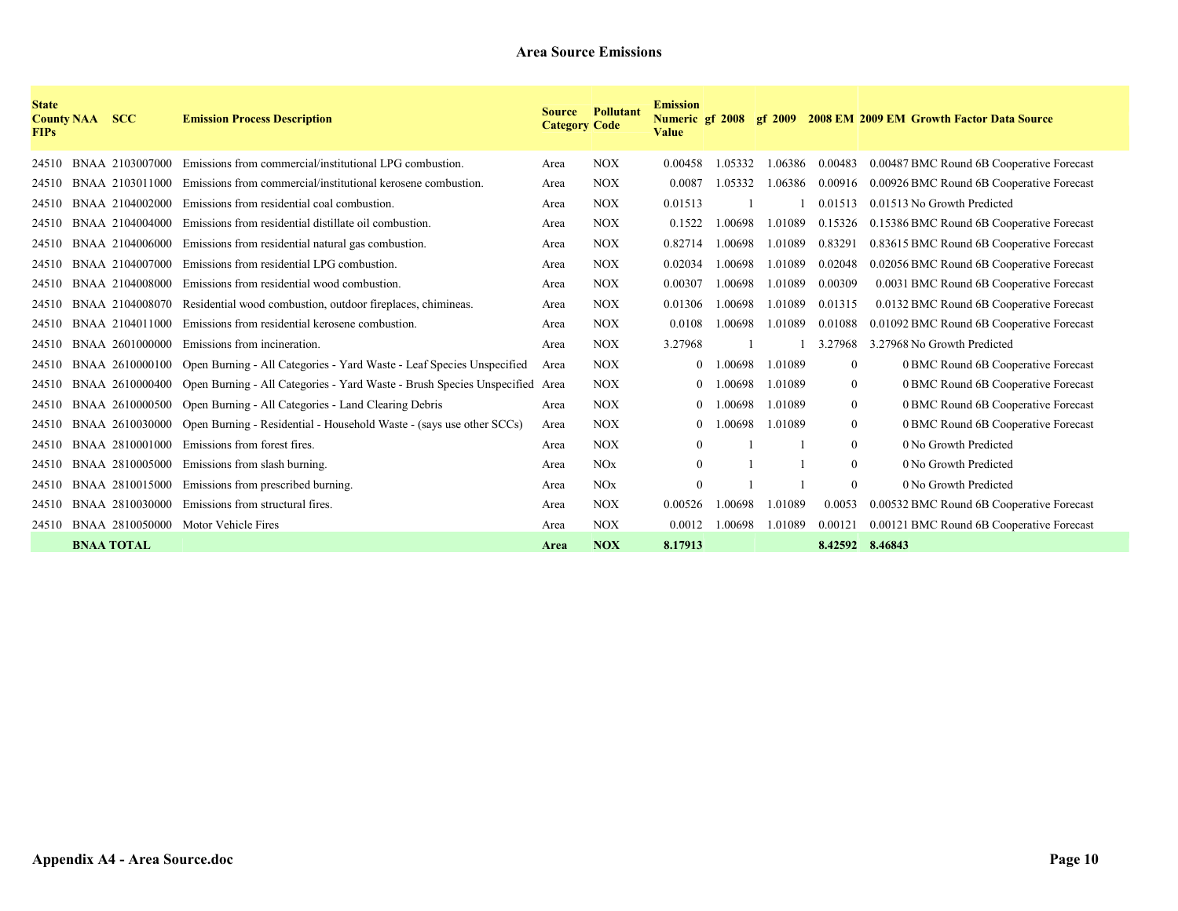| <b>State</b><br><b>County NAA</b><br><b>FIPs</b> | <b>SCC</b>        | <b>Emission Process Description</b>                                                         | <b>Source</b><br><b>Category Code</b> | <b>Pollutant</b> | <b>Emission</b><br>Numeric gf 2008<br>Value |         |         |                 | gf 2009 2008 EM 2009 EM Growth Factor Data Source |
|--------------------------------------------------|-------------------|---------------------------------------------------------------------------------------------|---------------------------------------|------------------|---------------------------------------------|---------|---------|-----------------|---------------------------------------------------|
| 24510                                            | BNAA 2103007000   | Emissions from commercial/institutional LPG combustion.                                     | Area                                  | <b>NOX</b>       | 0.00458                                     | 1.05332 | 1.06386 | 0.00483         | 0.00487 BMC Round 6B Cooperative Forecast         |
| 24510                                            | BNAA 2103011000   | Emissions from commercial/institutional kerosene combustion.                                | Area                                  | <b>NOX</b>       | 0.0087                                      | 1.05332 | 1.06386 | 0.00916         | 0.00926 BMC Round 6B Cooperative Forecast         |
| 24510                                            | BNAA 2104002000   | Emissions from residential coal combustion.                                                 | Area                                  | <b>NOX</b>       | 0.01513                                     |         |         | 0.01513         | 0.01513 No Growth Predicted                       |
| 24510                                            | BNAA 2104004000   | Emissions from residential distillate oil combustion.                                       | Area                                  | <b>NOX</b>       | 0.1522                                      | 1.00698 | 1.01089 | 0.15326         | 0.15386 BMC Round 6B Cooperative Forecast         |
| 24510                                            | BNAA 2104006000   | Emissions from residential natural gas combustion.                                          | Area                                  | <b>NOX</b>       | 0.82714                                     | 1.00698 | 1.01089 | 0.83291         | 0.83615 BMC Round 6B Cooperative Forecast         |
| 24510                                            | BNAA 2104007000   | Emissions from residential LPG combustion.                                                  | Area                                  | <b>NOX</b>       | 0.02034                                     | .00698  | 1.01089 | 0.02048         | 0.02056 BMC Round 6B Cooperative Forecast         |
| 24510                                            | BNAA 2104008000   | Emissions from residential wood combustion.                                                 | Area                                  | <b>NOX</b>       | 0.00307                                     | 1.00698 | 1.01089 | 0.00309         | 0.0031 BMC Round 6B Cooperative Forecast          |
| 24510                                            | BNAA 2104008070   | Residential wood combustion, outdoor fireplaces, chimineas.                                 | Area                                  | <b>NOX</b>       | 0.01306                                     | 1.00698 | 1.01089 | 0.01315         | 0.0132 BMC Round 6B Cooperative Forecast          |
| 24510                                            | BNAA 2104011000   | Emissions from residential kerosene combustion.                                             | Area                                  | <b>NOX</b>       | 0.0108                                      | .00698  | 1.01089 | 0.01088         | 0.01092 BMC Round 6B Cooperative Forecast         |
| 24510                                            | BNAA 2601000000   | Emissions from incineration.                                                                | Area                                  | <b>NOX</b>       | 3.27968                                     |         |         | 3.27968         | 3.27968 No Growth Predicted                       |
| 24510                                            |                   | BNAA 2610000100 Open Burning - All Categories - Yard Waste - Leaf Species Unspecified       | Area                                  | <b>NOX</b>       |                                             | 00698   | 1.01089 | $\mathbf{0}$    | 0 BMC Round 6B Cooperative Forecast               |
| 24510                                            |                   | BNAA 2610000400 Open Burning - All Categories - Yard Waste - Brush Species Unspecified Area |                                       | <b>NOX</b>       | $\theta$                                    | .00698  | 1.01089 | $\mathbf{0}$    | 0 BMC Round 6B Cooperative Forecast               |
| 24510                                            |                   | BNAA 2610000500 Open Burning - All Categories - Land Clearing Debris                        | Area                                  | <b>NOX</b>       | 0                                           | .00698  | 1.01089 | $\mathbf{0}$    | 0 BMC Round 6B Cooperative Forecast               |
| 24510                                            | BNAA 2610030000   | Open Burning - Residential - Household Waste - (says use other SCCs)                        | Area                                  | <b>NOX</b>       | $\mathbf{0}$                                | 00698   | 1.01089 | $\mathbf{0}$    | 0 BMC Round 6B Cooperative Forecast               |
| 24510                                            | BNAA 2810001000   | Emissions from forest fires.                                                                | Area                                  | <b>NOX</b>       | $\mathbf{0}$                                |         |         | $\mathbf{0}$    | 0 No Growth Predicted                             |
| 24510                                            | BNAA 2810005000   | Emissions from slash burning.                                                               | Area                                  | NOx              | $\mathbf{0}$                                |         |         | $\theta$        | 0 No Growth Predicted                             |
| 24510                                            | BNAA 2810015000   | Emissions from prescribed burning.                                                          | Area                                  | NOx              | $\mathbf{0}$                                |         |         | $\mathbf{0}$    | 0 No Growth Predicted                             |
| 24510                                            | BNAA 2810030000   | Emissions from structural fires.                                                            | Area                                  | <b>NOX</b>       | 0.00526                                     | .00698  | 1.01089 | 0.0053          | 0.00532 BMC Round 6B Cooperative Forecast         |
| 24510                                            |                   | BNAA 2810050000 Motor Vehicle Fires                                                         | Area                                  | <b>NOX</b>       | 0.0012                                      | .00698  | 1.01089 | 0.00121         | 0.00121 BMC Round 6B Cooperative Forecast         |
|                                                  | <b>BNAA TOTAL</b> |                                                                                             | Area                                  | <b>NOX</b>       | 8.17913                                     |         |         | 8.42592 8.46843 |                                                   |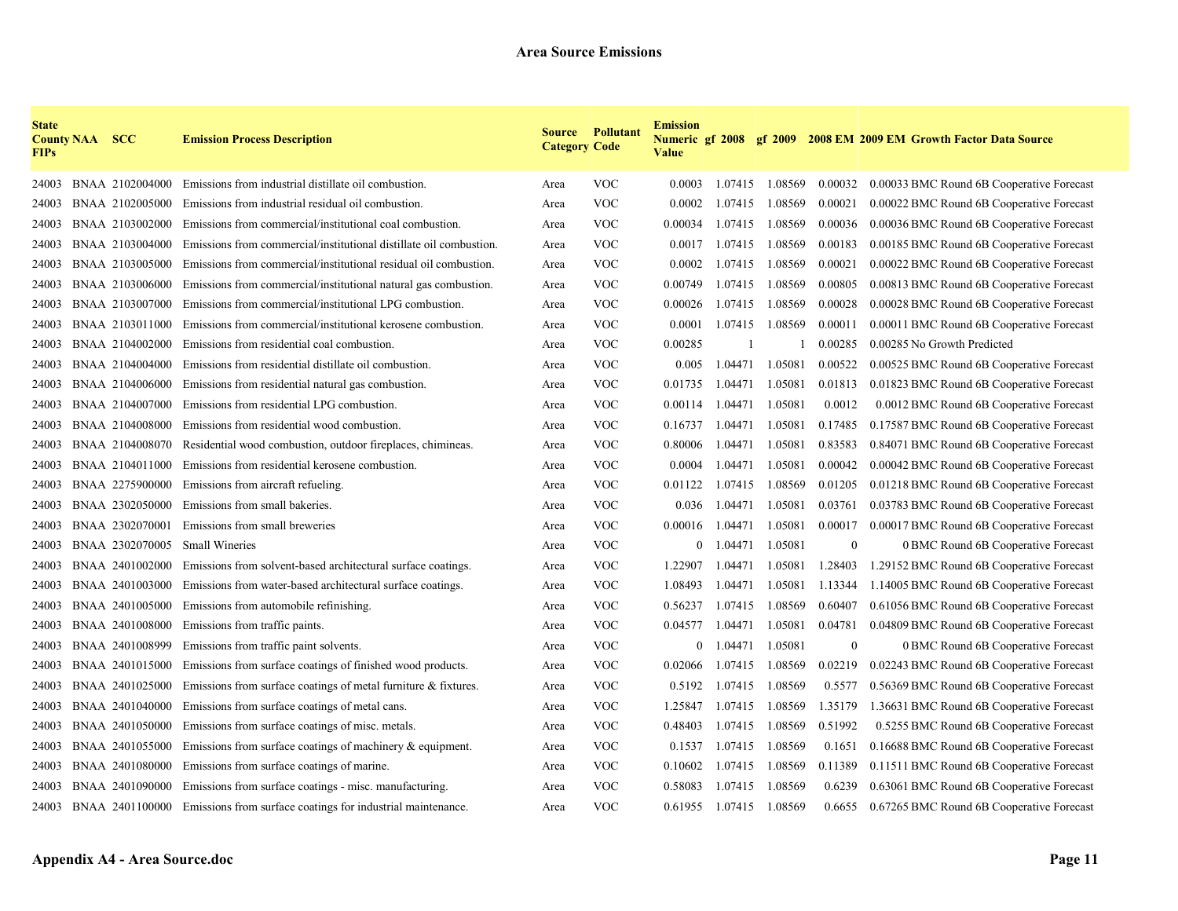| <b>State</b><br><b>FIPs</b> | <b>County NAA SCC</b> |                 | <b>Emission Process Description</b>                                         | <b>Category Code</b> | <b>Source Pollutant</b> | <b>Emission</b><br><b>Numeric gf 2008 gf 2009</b><br><b>Value</b> |         |                 |              | 2008 EM 2009 EM Growth Factor Data Source |
|-----------------------------|-----------------------|-----------------|-----------------------------------------------------------------------------|----------------------|-------------------------|-------------------------------------------------------------------|---------|-----------------|--------------|-------------------------------------------|
| 24003                       |                       | BNAA 2102004000 | Emissions from industrial distillate oil combustion.                        | Area                 | <b>VOC</b>              | 0.0003                                                            |         | 1.07415 1.08569 | 0.00032      | 0.00033 BMC Round 6B Cooperative Forecast |
| 24003                       |                       | BNAA 2102005000 | Emissions from industrial residual oil combustion.                          | Area                 | <b>VOC</b>              | 0.0002                                                            | 1.07415 | 1.08569         | 0.00021      | 0.00022 BMC Round 6B Cooperative Forecast |
| 24003                       |                       | BNAA 2103002000 | Emissions from commercial/institutional coal combustion.                    | Area                 | <b>VOC</b>              | 0.00034                                                           | 1.07415 | 1.08569         | 0.00036      | 0.00036 BMC Round 6B Cooperative Forecast |
| 24003                       |                       | BNAA 2103004000 | Emissions from commercial/institutional distillate oil combustion.          | Area                 | <b>VOC</b>              | 0.0017                                                            | 1.07415 | 1.08569         | 0.00183      | 0.00185 BMC Round 6B Cooperative Forecast |
| 24003                       |                       | BNAA 2103005000 | Emissions from commercial/institutional residual oil combustion.            | Area                 | <b>VOC</b>              | 0.0002                                                            | 1.07415 | 1.08569         | 0.00021      | 0.00022 BMC Round 6B Cooperative Forecast |
| 24003                       |                       | BNAA 2103006000 | Emissions from commercial/institutional natural gas combustion.             | Area                 | <b>VOC</b>              | 0.00749                                                           | 1.07415 | 1.08569         | 0.00805      | 0.00813 BMC Round 6B Cooperative Forecast |
| 24003                       |                       | BNAA 2103007000 | Emissions from commercial/institutional LPG combustion.                     | Area                 | <b>VOC</b>              | 0.00026                                                           | 1.07415 | 1.08569         | 0.00028      | 0.00028 BMC Round 6B Cooperative Forecast |
| 24003                       |                       | BNAA 2103011000 | Emissions from commercial/institutional kerosene combustion.                | Area                 | <b>VOC</b>              | 0.0001                                                            | 1.07415 | 1.08569         | 0.00011      | 0.00011 BMC Round 6B Cooperative Forecast |
| 24003                       |                       | BNAA 2104002000 | Emissions from residential coal combustion.                                 | Area                 | <b>VOC</b>              | 0.00285                                                           |         |                 | 0.00285      | 0.00285 No Growth Predicted               |
| 24003                       |                       | BNAA 2104004000 | Emissions from residential distillate oil combustion.                       | Area                 | <b>VOC</b>              | 0.005                                                             | 1.04471 | 1.05081         | 0.00522      | 0.00525 BMC Round 6B Cooperative Forecast |
| 24003                       |                       | BNAA 2104006000 | Emissions from residential natural gas combustion.                          | Area                 | <b>VOC</b>              | 0.01735                                                           | 1.04471 | 1.05081         | 0.01813      | 0.01823 BMC Round 6B Cooperative Forecast |
| 24003                       |                       | BNAA 2104007000 | Emissions from residential LPG combustion.                                  | Area                 | <b>VOC</b>              | 0.00114                                                           | 1.04471 | 1.05081         | 0.0012       | 0.0012 BMC Round 6B Cooperative Forecast  |
| 24003                       |                       | BNAA 2104008000 | Emissions from residential wood combustion.                                 | Area                 | <b>VOC</b>              | 0.16737                                                           | 1.04471 | 1.05081         | 0.17485      | 0.17587 BMC Round 6B Cooperative Forecast |
| 24003                       |                       | BNAA 2104008070 | Residential wood combustion, outdoor fireplaces, chimineas.                 | Area                 | <b>VOC</b>              | 0.80006                                                           | 1.04471 | 1.05081         | 0.83583      | 0.84071 BMC Round 6B Cooperative Forecast |
| 24003                       |                       | BNAA 2104011000 | Emissions from residential kerosene combustion.                             | Area                 | <b>VOC</b>              | 0.0004                                                            | 1.04471 | 1.05081         | 0.00042      | 0.00042 BMC Round 6B Cooperative Forecast |
| 24003                       |                       | BNAA 2275900000 | Emissions from aircraft refueling.                                          | Area                 | <b>VOC</b>              | 0.01122                                                           | 1.07415 | 1.08569         | 0.01205      | 0.01218 BMC Round 6B Cooperative Forecast |
| 24003                       |                       | BNAA 2302050000 | Emissions from small bakeries.                                              | Area                 | <b>VOC</b>              | 0.036                                                             | 1.04471 | 1.05081         | 0.03761      | 0.03783 BMC Round 6B Cooperative Forecast |
| 24003                       |                       | BNAA 2302070001 | Emissions from small breweries                                              | Area                 | <b>VOC</b>              | 0.00016                                                           | 1.04471 | 1.05081         | 0.00017      | 0.00017 BMC Round 6B Cooperative Forecast |
| 24003                       |                       | BNAA 2302070005 | <b>Small Wineries</b>                                                       | Area                 | <b>VOC</b>              | $\overline{0}$                                                    | 1.04471 | 1.05081         | $\mathbf{0}$ | 0 BMC Round 6B Cooperative Forecast       |
| 24003                       |                       | BNAA 2401002000 | Emissions from solvent-based architectural surface coatings.                | Area                 | <b>VOC</b>              | 1.22907                                                           | 1.04471 | 1.05081         | 1.28403      | 1.29152 BMC Round 6B Cooperative Forecast |
| 24003                       |                       | BNAA 2401003000 | Emissions from water-based architectural surface coatings.                  | Area                 | <b>VOC</b>              | 1.08493                                                           | 1.04471 | 1.05081         | 1.13344      | 1.14005 BMC Round 6B Cooperative Forecast |
| 24003                       |                       | BNAA 2401005000 | Emissions from automobile refinishing.                                      | Area                 | <b>VOC</b>              | 0.56237                                                           | 1.07415 | 1.08569         | 0.60407      | 0.61056 BMC Round 6B Cooperative Forecast |
| 24003                       |                       | BNAA 2401008000 | Emissions from traffic paints.                                              | Area                 | <b>VOC</b>              | 0.04577                                                           | 1.04471 | 1.05081         | 0.04781      | 0.04809 BMC Round 6B Cooperative Forecast |
| 24003                       |                       | BNAA 2401008999 | Emissions from traffic paint solvents.                                      | Area                 | <b>VOC</b>              | $\Omega$                                                          | 1.04471 | 1.05081         | $\mathbf{0}$ | 0 BMC Round 6B Cooperative Forecast       |
| 24003                       |                       | BNAA 2401015000 | Emissions from surface coatings of finished wood products.                  | Area                 | <b>VOC</b>              | 0.02066                                                           | 1.07415 | 1.08569         | 0.02219      | 0.02243 BMC Round 6B Cooperative Forecast |
| 24003                       |                       | BNAA 2401025000 | Emissions from surface coatings of metal furniture $\&$ fixtures.           | Area                 | <b>VOC</b>              | 0.5192                                                            | 1.07415 | 1.08569         | 0.5577       | 0.56369 BMC Round 6B Cooperative Forecast |
| 24003                       |                       | BNAA 2401040000 | Emissions from surface coatings of metal cans.                              | Area                 | <b>VOC</b>              | 1.25847                                                           | 1.07415 | 1.08569         | 1.35179      | 1.36631 BMC Round 6B Cooperative Forecast |
| 24003                       |                       | BNAA 2401050000 | Emissions from surface coatings of misc. metals.                            | Area                 | <b>VOC</b>              | 0.48403                                                           | 1.07415 | 1.08569         | 0.51992      | 0.5255 BMC Round 6B Cooperative Forecast  |
| 24003                       |                       | BNAA 2401055000 | Emissions from surface coatings of machinery $\&$ equipment.                | Area                 | <b>VOC</b>              | 0.1537                                                            | 1.07415 | 1.08569         | 0.1651       | 0.16688 BMC Round 6B Cooperative Forecast |
| 24003                       |                       | BNAA 2401080000 | Emissions from surface coatings of marine.                                  | Area                 | <b>VOC</b>              | 0.10602                                                           | 1.07415 | 1.08569         | 0.11389      | 0.11511 BMC Round 6B Cooperative Forecast |
| 24003                       |                       | BNAA 2401090000 | Emissions from surface coatings - misc. manufacturing.                      | Area                 | <b>VOC</b>              | 0.58083                                                           | 1.07415 | 1.08569         | 0.6239       | 0.63061 BMC Round 6B Cooperative Forecast |
| 24003                       |                       |                 | BNAA 2401100000 Emissions from surface coatings for industrial maintenance. | Area                 | <b>VOC</b>              | 0.61955                                                           |         | 1.07415 1.08569 | 0.6655       | 0.67265 BMC Round 6B Cooperative Forecast |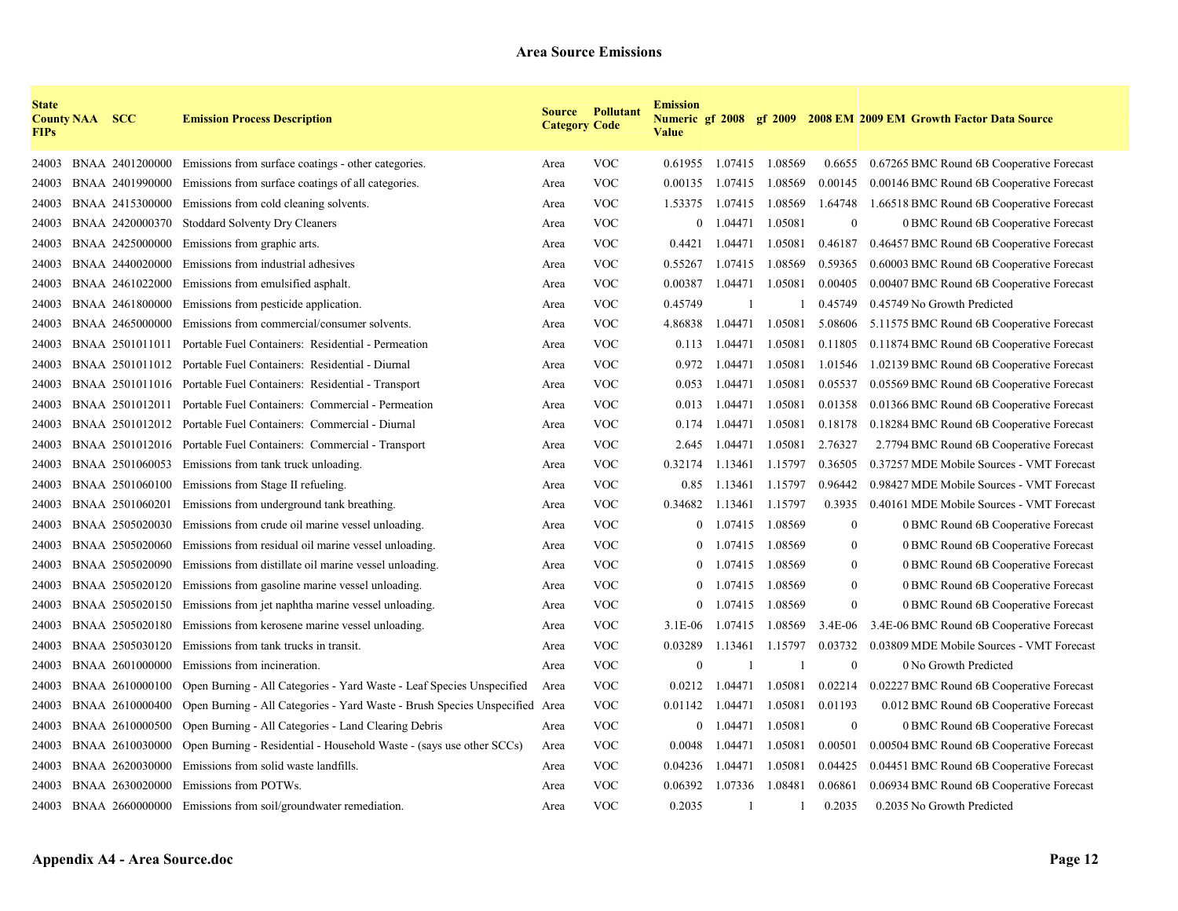| <b>State</b><br><b>FIPs</b> | <b>County NAA</b> | <b>SCC</b>      | <b>Emission Process Description</b>                                         | <b>Category Code</b> | <b>Source Pollutant</b> | <b>Emission</b><br><b>Value</b> |              |                         |                  | Numeric gf 2008 gf 2009 2008 EM 2009 EM Growth Factor Data Source |
|-----------------------------|-------------------|-----------------|-----------------------------------------------------------------------------|----------------------|-------------------------|---------------------------------|--------------|-------------------------|------------------|-------------------------------------------------------------------|
| 24003                       |                   |                 | BNAA 2401200000 Emissions from surface coatings - other categories.         | Area                 | <b>VOC</b>              |                                 |              | 0.61955 1.07415 1.08569 | 0.6655           | 0.67265 BMC Round 6B Cooperative Forecast                         |
| 24003                       |                   | BNAA 2401990000 | Emissions from surface coatings of all categories.                          | Area                 | <b>VOC</b>              | 0.00135                         | 1.07415      | 1.08569                 | 0.00145          | 0.00146 BMC Round 6B Cooperative Forecast                         |
| 24003                       |                   | BNAA 2415300000 | Emissions from cold cleaning solvents.                                      | Area                 | <b>VOC</b>              | 1.53375                         |              | 1.07415 1.08569         | 1.64748          | 1.66518 BMC Round 6B Cooperative Forecast                         |
| 24003                       |                   | BNAA 2420000370 | <b>Stoddard Solventy Dry Cleaners</b>                                       | Area                 | VOC                     | $\overline{0}$                  | 1.04471      | 1.05081                 | $\mathbf{0}$     | 0 BMC Round 6B Cooperative Forecast                               |
| 24003                       |                   | BNAA 2425000000 | Emissions from graphic arts.                                                | Area                 | <b>VOC</b>              | 0.4421                          | 1.04471      | 1.05081                 | 0.46187          | 0.46457 BMC Round 6B Cooperative Forecast                         |
| 24003                       |                   | BNAA 2440020000 | Emissions from industrial adhesives                                         | Area                 | <b>VOC</b>              | 0.55267                         | 1.07415      | 1.08569                 | 0.59365          | 0.60003 BMC Round 6B Cooperative Forecast                         |
| 24003                       |                   | BNAA 2461022000 | Emissions from emulsified asphalt.                                          | Area                 | <b>VOC</b>              | 0.00387                         | 1.04471      | 1.05081                 | 0.00405          | 0.00407 BMC Round 6B Cooperative Forecast                         |
| 24003                       |                   | BNAA 2461800000 | Emissions from pesticide application.                                       | Area                 | <b>VOC</b>              | 0.45749                         | $\mathbf{1}$ |                         | 0.45749          | 0.45749 No Growth Predicted                                       |
| 24003                       |                   | BNAA 2465000000 | Emissions from commercial/consumer solvents.                                | Area                 | <b>VOC</b>              | 4.86838                         | 1.04471      | 1.05081                 | 5.08606          | 5.11575 BMC Round 6B Cooperative Forecast                         |
| 24003                       |                   | BNAA 2501011011 | Portable Fuel Containers: Residential - Permeation                          | Area                 | <b>VOC</b>              | 0.113                           | 1.04471      | 1.05081                 | 0.11805          | 0.11874 BMC Round 6B Cooperative Forecast                         |
| 24003                       |                   |                 | BNAA 2501011012 Portable Fuel Containers: Residential - Diurnal             | Area                 | <b>VOC</b>              | 0.972                           | 1.04471      | 1.05081                 | 1.01546          | 1.02139 BMC Round 6B Cooperative Forecast                         |
| 24003                       |                   |                 | BNAA 2501011016 Portable Fuel Containers: Residential - Transport           | Area                 | <b>VOC</b>              | 0.053                           | 1.04471      | 1.05081                 | 0.05537          | 0.05569 BMC Round 6B Cooperative Forecast                         |
| 24003                       |                   | BNAA 2501012011 | Portable Fuel Containers: Commercial - Permeation                           | Area                 | <b>VOC</b>              | 0.013                           | 1.04471      | 1.05081                 | 0.01358          | 0.01366 BMC Round 6B Cooperative Forecast                         |
| 24003                       |                   | BNAA 2501012012 | Portable Fuel Containers: Commercial - Diurnal                              | Area                 | <b>VOC</b>              | 0.174                           | 1.04471      | 1.05081                 | 0.18178          | 0.18284 BMC Round 6B Cooperative Forecast                         |
| 24003                       |                   |                 | BNAA 2501012016 Portable Fuel Containers: Commercial - Transport            | Area                 | <b>VOC</b>              | 2.645                           | 1.04471      | 1.05081                 | 2.76327          | 2.7794 BMC Round 6B Cooperative Forecast                          |
| 24003                       |                   |                 | BNAA 2501060053 Emissions from tank truck unloading.                        | Area                 | <b>VOC</b>              | 0.32174                         | 1.13461      | 1.15797                 | 0.36505          | 0.37257 MDE Mobile Sources - VMT Forecast                         |
| 24003                       |                   | BNAA 2501060100 | Emissions from Stage II refueling.                                          | Area                 | <b>VOC</b>              | 0.85                            | 1.13461      | 1.15797                 | 0.96442          | 0.98427 MDE Mobile Sources - VMT Forecast                         |
| 24003                       |                   | BNAA 2501060201 | Emissions from underground tank breathing.                                  | Area                 | <b>VOC</b>              | 0.34682                         | 1.13461      | 1.15797                 | 0.3935           | 0.40161 MDE Mobile Sources - VMT Forecast                         |
| 24003                       |                   | BNAA 2505020030 | Emissions from crude oil marine vessel unloading.                           | Area                 | <b>VOC</b>              | $\theta$                        |              | 1.07415 1.08569         | $\theta$         | 0 BMC Round 6B Cooperative Forecast                               |
| 24003                       |                   | BNAA 2505020060 | Emissions from residual oil marine vessel unloading.                        | Area                 | <b>VOC</b>              | $\theta$                        | 1.07415      | 1.08569                 | $\theta$         | 0 BMC Round 6B Cooperative Forecast                               |
| 24003                       |                   | BNAA 2505020090 | Emissions from distillate oil marine vessel unloading.                      | Area                 | <b>VOC</b>              | $\mathbf{0}$                    | 1.07415      | 1.08569                 | $\boldsymbol{0}$ | 0 BMC Round 6B Cooperative Forecast                               |
| 24003                       |                   | BNAA 2505020120 | Emissions from gasoline marine vessel unloading.                            | Area                 | <b>VOC</b>              | $\overline{0}$                  | 1.07415      | 1.08569                 | $\mathbf{0}$     | 0 BMC Round 6B Cooperative Forecast                               |
| 24003                       |                   | BNAA 2505020150 | Emissions from jet naphtha marine vessel unloading.                         | Area                 | <b>VOC</b>              | $\overline{0}$                  | 1.07415      | 1.08569                 | $\mathbf{0}$     | 0 BMC Round 6B Cooperative Forecast                               |
| 24003                       |                   | BNAA 2505020180 | Emissions from kerosene marine vessel unloading.                            | Area                 | <b>VOC</b>              | $3.1E-06$                       | 1.07415      | 1.08569                 | 3.4E-06          | 3.4E-06 BMC Round 6B Cooperative Forecast                         |
| 24003                       |                   | BNAA 2505030120 | Emissions from tank trucks in transit.                                      | Area                 | <b>VOC</b>              | 0.03289                         | 1.13461      | 1.15797                 | 0.03732          | 0.03809 MDE Mobile Sources - VMT Forecast                         |
| 24003                       |                   | BNAA 2601000000 | Emissions from incineration.                                                | Area                 | <b>VOC</b>              | $\theta$                        | $\mathbf{1}$ |                         | $\theta$         | 0 No Growth Predicted                                             |
| 24003                       |                   | BNAA 2610000100 | Open Burning - All Categories - Yard Waste - Leaf Species Unspecified       | Area                 | <b>VOC</b>              | 0.0212                          | 1.04471      | 1.05081                 | 0.02214          | 0.02227 BMC Round 6B Cooperative Forecast                         |
| 24003                       |                   | BNAA 2610000400 | Open Burning - All Categories - Yard Waste - Brush Species Unspecified Area |                      | <b>VOC</b>              | 0.01142                         | 1.04471      | 1.05081                 | 0.01193          | 0.012 BMC Round 6B Cooperative Forecast                           |
| 24003                       |                   | BNAA 2610000500 | Open Burning - All Categories - Land Clearing Debris                        | Area                 | <b>VOC</b>              | $\overline{0}$                  | 1.04471      | 1.05081                 | $\overline{0}$   | 0 BMC Round 6B Cooperative Forecast                               |
| 24003                       |                   | BNAA 2610030000 | Open Burning - Residential - Household Waste - (says use other SCCs)        | Area                 | <b>VOC</b>              | 0.0048                          | 1.04471      | 1.05081                 | 0.00501          | 0.00504 BMC Round 6B Cooperative Forecast                         |
| 24003                       |                   | BNAA 2620030000 | Emissions from solid waste landfills.                                       | Area                 | <b>VOC</b>              | 0.04236                         | 1.04471      | 1.05081                 | 0.04425          | 0.04451 BMC Round 6B Cooperative Forecast                         |
| 24003                       |                   | BNAA 2630020000 | Emissions from POTWs.                                                       | Area                 | <b>VOC</b>              | 0.06392                         | 1.07336      | 1.08481                 | 0.06861          | 0.06934 BMC Round 6B Cooperative Forecast                         |
| 24003                       |                   |                 | BNAA 2660000000 Emissions from soil/groundwater remediation.                | Area                 | <b>VOC</b>              | 0.2035                          | -1           |                         | 0.2035           | 0.2035 No Growth Predicted                                        |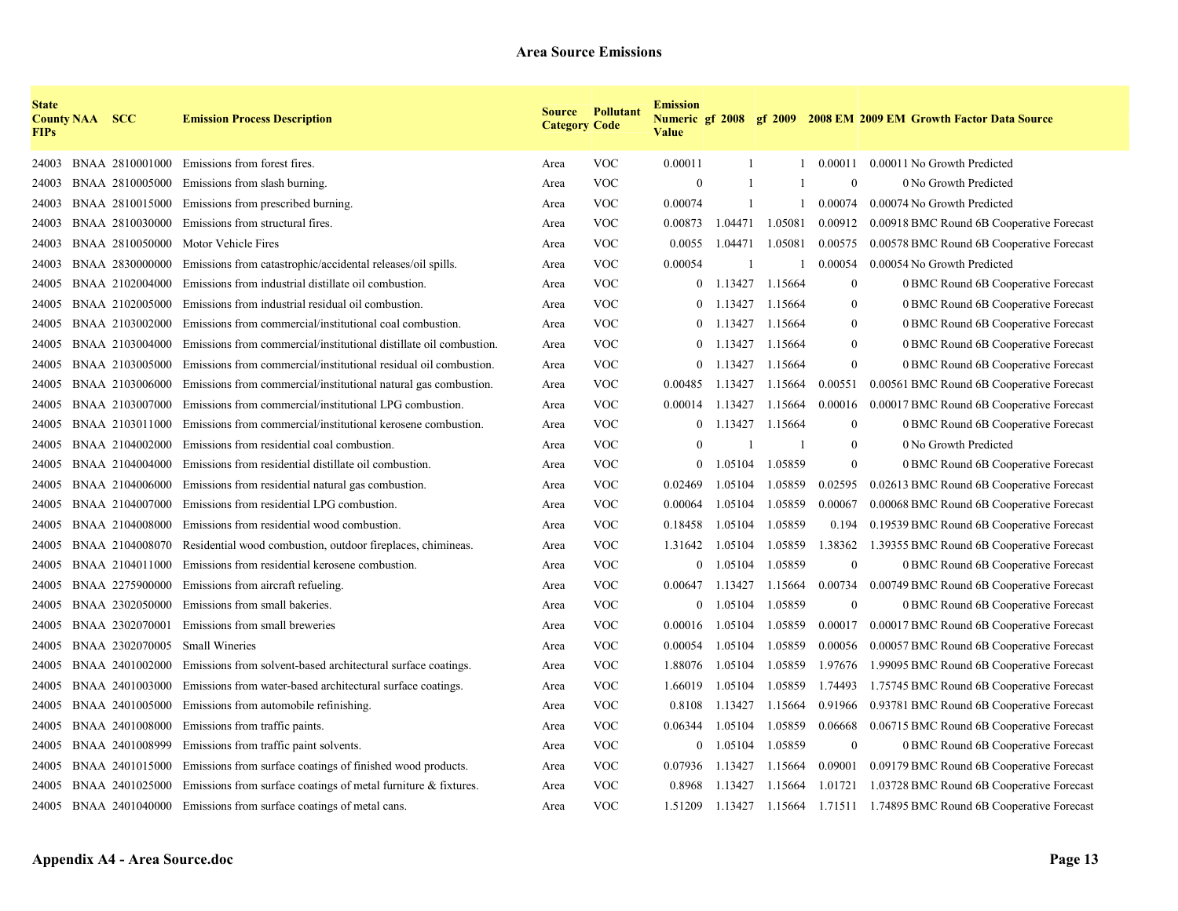| <b>State</b><br><b>FIPs</b> | <b>County NAA SCC</b> |                 | <b>Emission Process Description</b>                                  | <b>Category Code</b> | <b>Source Pollutant</b> | <b>Emission</b><br><b>Value</b> |              |              |                  | Numeric gf 2008 gf 2009 2008 EM 2009 EM Growth Factor Data Source |
|-----------------------------|-----------------------|-----------------|----------------------------------------------------------------------|----------------------|-------------------------|---------------------------------|--------------|--------------|------------------|-------------------------------------------------------------------|
| 24003                       |                       | BNAA 2810001000 | Emissions from forest fires.                                         | Area                 | <b>VOC</b>              | 0.00011                         | 1            |              | 0.00011          | 0.00011 No Growth Predicted                                       |
| 24003                       |                       | BNAA 2810005000 | Emissions from slash burning.                                        | Area                 | <b>VOC</b>              | $\theta$                        | -1           |              | $\boldsymbol{0}$ | 0 No Growth Predicted                                             |
| 24003                       |                       | BNAA 2810015000 | Emissions from prescribed burning.                                   | Area                 | <b>VOC</b>              | 0.00074                         | $\mathbf{1}$ |              | 0.00074          | 0.00074 No Growth Predicted                                       |
| 24003                       |                       | BNAA 2810030000 | Emissions from structural fires.                                     | Area                 | <b>VOC</b>              | 0.00873                         | 1.04471      | 1.05081      | 0.00912          | 0.00918 BMC Round 6B Cooperative Forecast                         |
| 24003                       |                       | BNAA 2810050000 | Motor Vehicle Fires                                                  | Area                 | <b>VOC</b>              | 0.0055                          | 1.04471      | 1.05081      | 0.00575          | 0.00578 BMC Round 6B Cooperative Forecast                         |
| 24003                       |                       | BNAA 2830000000 | Emissions from catastrophic/accidental releases/oil spills.          | Area                 | VOC                     | 0.00054                         |              |              | 0.00054          | 0.00054 No Growth Predicted                                       |
| 24005                       |                       | BNAA 2102004000 | Emissions from industrial distillate oil combustion.                 | Area                 | <b>VOC</b>              | $\mathbf{0}$                    | 1.13427      | 1.15664      | $\boldsymbol{0}$ | 0 BMC Round 6B Cooperative Forecast                               |
| 24005                       |                       | BNAA 2102005000 | Emissions from industrial residual oil combustion.                   | Area                 | <b>VOC</b>              | $\theta$                        | 1.13427      | 1.15664      | $\mathbf{0}$     | 0 BMC Round 6B Cooperative Forecast                               |
| 24005                       |                       | BNAA 2103002000 | Emissions from commercial/institutional coal combustion.             | Area                 | <b>VOC</b>              | $\mathbf{0}$                    | 1.13427      | 1.15664      | $\mathbf{0}$     | 0 BMC Round 6B Cooperative Forecast                               |
| 24005                       |                       | BNAA 2103004000 | Emissions from commercial/institutional distillate oil combustion.   | Area                 | <b>VOC</b>              | $\overline{0}$                  | 1.13427      | 1.15664      | $\mathbf{0}$     | 0 BMC Round 6B Cooperative Forecast                               |
| 24005                       |                       | BNAA 2103005000 | Emissions from commercial/institutional residual oil combustion.     | Area                 | <b>VOC</b>              | $\mathbf{0}$                    | 1.13427      | 1.15664      | $\boldsymbol{0}$ | 0 BMC Round 6B Cooperative Forecast                               |
| 24005                       |                       | BNAA 2103006000 | Emissions from commercial/institutional natural gas combustion.      | Area                 | <b>VOC</b>              | 0.00485                         | 1.13427      | 1.15664      | 0.00551          | 0.00561 BMC Round 6B Cooperative Forecast                         |
| 24005                       |                       | BNAA 2103007000 | Emissions from commercial/institutional LPG combustion.              | Area                 | <b>VOC</b>              | 0.00014                         | 1.13427      | 1.15664      | 0.00016          | 0.00017 BMC Round 6B Cooperative Forecast                         |
| 24005                       |                       | BNAA 2103011000 | Emissions from commercial/institutional kerosene combustion.         | Area                 | <b>VOC</b>              | $\bf{0}$                        | 1.13427      | 1.15664      | $\boldsymbol{0}$ | 0 BMC Round 6B Cooperative Forecast                               |
| 24005                       |                       | BNAA 2104002000 | Emissions from residential coal combustion.                          | Area                 | <b>VOC</b>              | $\mathbf{0}$                    |              | $\mathbf{1}$ | $\overline{0}$   | 0 No Growth Predicted                                             |
| 24005                       |                       | BNAA 2104004000 | Emissions from residential distillate oil combustion.                | Area                 | <b>VOC</b>              | $\mathbf{0}$                    | 1.05104      | 1.05859      | $\bf{0}$         | 0 BMC Round 6B Cooperative Forecast                               |
| 24005                       |                       | BNAA 2104006000 | Emissions from residential natural gas combustion.                   | Area                 | <b>VOC</b>              | 0.02469                         | 1.05104      | 1.05859      | 0.02595          | 0.02613 BMC Round 6B Cooperative Forecast                         |
| 24005                       |                       | BNAA 2104007000 | Emissions from residential LPG combustion.                           | Area                 | <b>VOC</b>              | 0.00064                         | 1.05104      | 1.05859      | 0.00067          | 0.00068 BMC Round 6B Cooperative Forecast                         |
| 24005                       |                       | BNAA 2104008000 | Emissions from residential wood combustion.                          | Area                 | <b>VOC</b>              | 0.18458                         | 1.05104      | 1.05859      | 0.194            | 0.19539 BMC Round 6B Cooperative Forecast                         |
| 24005                       |                       | BNAA 2104008070 | Residential wood combustion, outdoor fireplaces, chimineas.          | Area                 | <b>VOC</b>              | 1.31642                         | 1.05104      | 1.05859      | 1.38362          | 1.39355 BMC Round 6B Cooperative Forecast                         |
| 24005                       |                       | BNAA 2104011000 | Emissions from residential kerosene combustion.                      | Area                 | <b>VOC</b>              | $\mathbf{0}$                    | 1.05104      | 1.05859      | $\boldsymbol{0}$ | 0 BMC Round 6B Cooperative Forecast                               |
| 24005                       |                       | BNAA 2275900000 | Emissions from aircraft refueling.                                   | Area                 | <b>VOC</b>              | 0.00647                         | 1.13427      | 1.15664      | 0.00734          | 0.00749 BMC Round 6B Cooperative Forecast                         |
| 24005                       |                       | BNAA 2302050000 | Emissions from small bakeries.                                       | Area                 | <b>VOC</b>              | $\theta$                        | 1.05104      | 1.05859      | $\overline{0}$   | 0 BMC Round 6B Cooperative Forecast                               |
| 24005                       |                       | BNAA 2302070001 | Emissions from small breweries                                       | Area                 | <b>VOC</b>              | 0.00016                         | 1.05104      | 1.05859      | 0.00017          | 0.00017 BMC Round 6B Cooperative Forecast                         |
| 24005                       |                       | BNAA 2302070005 | <b>Small Wineries</b>                                                | Area                 | <b>VOC</b>              | 0.00054                         | 1.05104      | 1.05859      | 0.00056          | 0.00057 BMC Round 6B Cooperative Forecast                         |
| 24005                       |                       | BNAA 2401002000 | Emissions from solvent-based architectural surface coatings.         | Area                 | <b>VOC</b>              | 1.88076                         | 1.05104      | 1.05859      | 1.97676          | 1.99095 BMC Round 6B Cooperative Forecast                         |
| 24005                       |                       | BNAA 2401003000 | Emissions from water-based architectural surface coatings.           | Area                 | <b>VOC</b>              | 1.66019                         | 1.05104      | 1.05859      | 1.74493          | 1.75745 BMC Round 6B Cooperative Forecast                         |
| 24005                       |                       | BNAA 2401005000 | Emissions from automobile refinishing.                               | Area                 | <b>VOC</b>              | 0.8108                          | 1.13427      | 1.15664      | 0.91966          | 0.93781 BMC Round 6B Cooperative Forecast                         |
| 24005                       |                       | BNAA 2401008000 | Emissions from traffic paints.                                       | Area                 | <b>VOC</b>              | 0.06344                         | 1.05104      | 1.05859      | 0.06668          | 0.06715 BMC Round 6B Cooperative Forecast                         |
| 24005                       |                       | BNAA 2401008999 | Emissions from traffic paint solvents.                               | Area                 | <b>VOC</b>              | $\mathbf{0}$                    | 1.05104      | 1.05859      | $\overline{0}$   | 0 BMC Round 6B Cooperative Forecast                               |
| 24005                       |                       | BNAA 2401015000 | Emissions from surface coatings of finished wood products.           | Area                 | <b>VOC</b>              | 0.07936                         | 1.13427      | 1.15664      | 0.09001          | 0.09179 BMC Round 6B Cooperative Forecast                         |
| 24005                       |                       | BNAA 2401025000 | Emissions from surface coatings of metal furniture $\&$ fixtures.    | Area                 | <b>VOC</b>              | 0.8968                          | 1.13427      | 1.15664      | 1.01721          | 1.03728 BMC Round 6B Cooperative Forecast                         |
|                             |                       |                 | 24005 BNAA 2401040000 Emissions from surface coatings of metal cans. | Area                 | <b>VOC</b>              | 1.51209                         | 1.13427      | 1.15664      |                  | 1.71511 1.74895 BMC Round 6B Cooperative Forecast                 |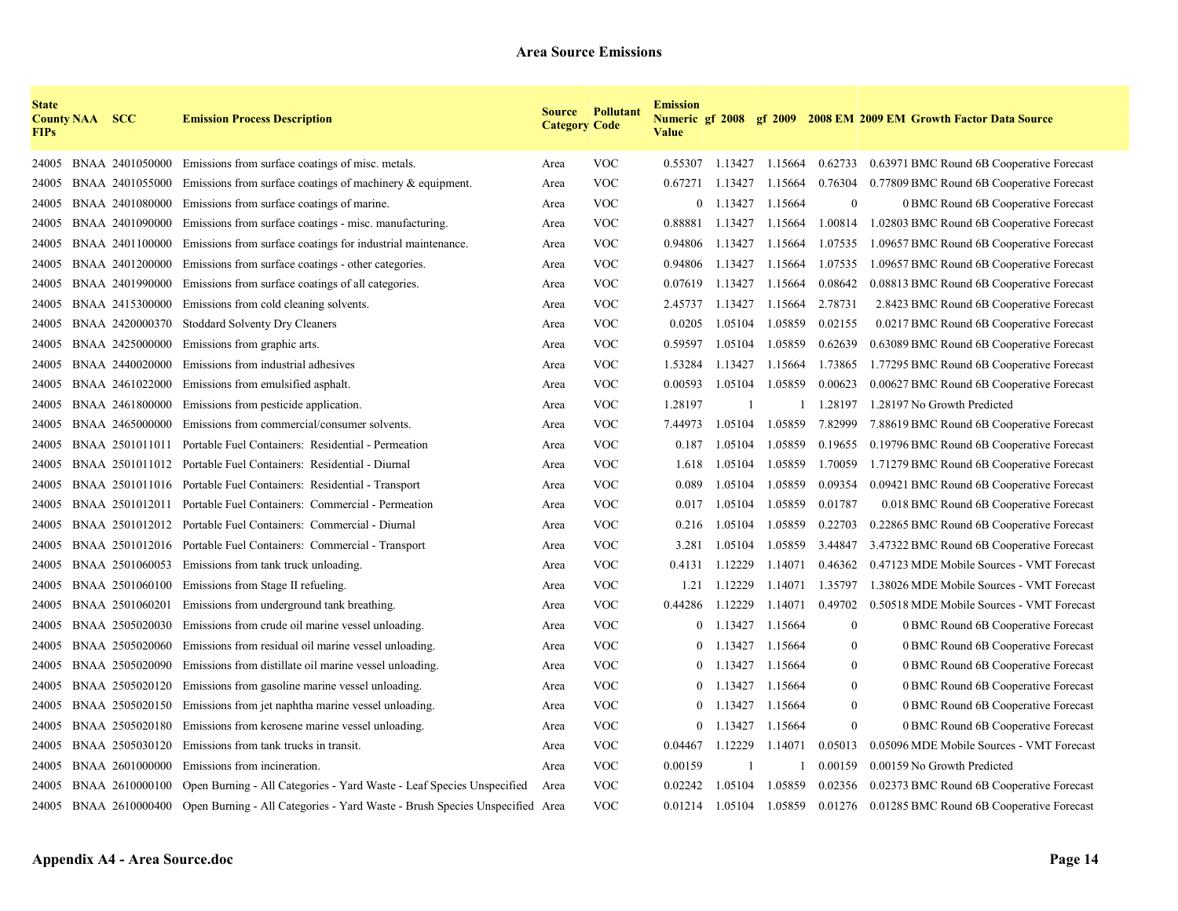| <b>State</b><br><b>FIPs</b> | <b>County NAA SCC</b> |                 | <b>Emission Process Description</b>                                                               | <b>Category Code</b> | <b>Source Pollutant</b> | <b>Emission</b><br><b>Value</b> |             |                         |                  | Numeric gf 2008 gf 2009 2008 EM 2009 EM Growth Factor Data Source |
|-----------------------------|-----------------------|-----------------|---------------------------------------------------------------------------------------------------|----------------------|-------------------------|---------------------------------|-------------|-------------------------|------------------|-------------------------------------------------------------------|
| 24005                       |                       | BNAA 2401050000 | Emissions from surface coatings of misc. metals.                                                  | Area                 | <b>VOC</b>              | 0.55307                         |             | 1.13427 1.15664 0.62733 |                  | 0.63971 BMC Round 6B Cooperative Forecast                         |
| 24005                       |                       | BNAA 2401055000 | Emissions from surface coatings of machinery $\&$ equipment.                                      | Area                 | <b>VOC</b>              | 0.67271                         | 1.13427     | 1.15664                 | 0.76304          | 0.77809 BMC Round 6B Cooperative Forecast                         |
| 24005                       |                       | BNAA 2401080000 | Emissions from surface coatings of marine.                                                        | Area                 | <b>VOC</b>              |                                 | $0$ 1.13427 | 1.15664                 | $\boldsymbol{0}$ | 0 BMC Round 6B Cooperative Forecast                               |
| 24005                       |                       | BNAA 2401090000 | Emissions from surface coatings - misc. manufacturing.                                            | Area                 | <b>VOC</b>              | 0.88881                         | 1.13427     | 1.15664                 | 1.00814          | 1.02803 BMC Round 6B Cooperative Forecast                         |
| 24005                       |                       | BNAA 2401100000 | Emissions from surface coatings for industrial maintenance.                                       | Area                 | VOC                     | 0.94806                         | 1.13427     | 1.15664                 | 1.07535          | 1.09657 BMC Round 6B Cooperative Forecast                         |
| 24005                       |                       | BNAA 2401200000 | Emissions from surface coatings - other categories.                                               | Area                 | <b>VOC</b>              | 0.94806                         | 1.13427     | 1.15664                 | 1.07535          | 1.09657 BMC Round 6B Cooperative Forecast                         |
| 24005                       |                       | BNAA 2401990000 | Emissions from surface coatings of all categories.                                                | Area                 | <b>VOC</b>              | 0.07619                         | 1.13427     | 1.15664                 | 0.08642          | 0.08813 BMC Round 6B Cooperative Forecast                         |
| 24005                       |                       | BNAA 2415300000 | Emissions from cold cleaning solvents.                                                            | Area                 | <b>VOC</b>              | 2.45737                         | 1.13427     | 1.15664                 | 2.78731          | 2.8423 BMC Round 6B Cooperative Forecast                          |
| 24005                       |                       | BNAA 2420000370 | <b>Stoddard Solventy Dry Cleaners</b>                                                             | Area                 | <b>VOC</b>              | 0.0205                          | 1.05104     | 1.05859                 | 0.02155          | 0.0217 BMC Round 6B Cooperative Forecast                          |
| 24005                       |                       | BNAA 2425000000 | Emissions from graphic arts.                                                                      | Area                 | <b>VOC</b>              | 0.59597                         | 1.05104     | 1.05859                 | 0.62639          | 0.63089 BMC Round 6B Cooperative Forecast                         |
| 24005                       |                       | BNAA 2440020000 | Emissions from industrial adhesives                                                               | Area                 | <b>VOC</b>              | 1.53284                         | 1.13427     | 1.15664                 | 1.73865          | 1.77295 BMC Round 6B Cooperative Forecast                         |
| 24005                       |                       | BNAA 2461022000 | Emissions from emulsified asphalt.                                                                | Area                 | <b>VOC</b>              | 0.00593                         | 1.05104     | 1.05859                 | 0.00623          | 0.00627 BMC Round 6B Cooperative Forecast                         |
| 24005                       |                       | BNAA 2461800000 | Emissions from pesticide application.                                                             | Area                 | <b>VOC</b>              | 1.28197                         | -1          |                         | 1.28197          | 1.28197 No Growth Predicted                                       |
| 24005                       |                       | BNAA 2465000000 | Emissions from commercial/consumer solvents.                                                      | Area                 | <b>VOC</b>              | 7.44973                         | 1.05104     | 1.05859                 | 7.82999          | 7.88619 BMC Round 6B Cooperative Forecast                         |
| 24005                       |                       | BNAA 2501011011 | Portable Fuel Containers: Residential - Permeation                                                | Area                 | <b>VOC</b>              | 0.187                           | 1.05104     | 1.05859                 | 0.19655          | 0.19796 BMC Round 6B Cooperative Forecast                         |
| 24005                       |                       |                 | BNAA 2501011012 Portable Fuel Containers: Residential - Diurnal                                   | Area                 | <b>VOC</b>              | 1.618                           | 1.05104     | 1.05859                 | 1.70059          | 1.71279 BMC Round 6B Cooperative Forecast                         |
| 24005                       |                       |                 | BNAA 2501011016 Portable Fuel Containers: Residential - Transport                                 | Area                 | <b>VOC</b>              | 0.089                           | 1.05104     | 1.05859                 | 0.09354          | 0.09421 BMC Round 6B Cooperative Forecast                         |
| 24005                       |                       |                 | BNAA 2501012011 Portable Fuel Containers: Commercial - Permeation                                 | Area                 | <b>VOC</b>              | 0.017                           | 1.05104     | 1.05859                 | 0.01787          | 0.018 BMC Round 6B Cooperative Forecast                           |
| 24005                       |                       |                 | BNAA 2501012012 Portable Fuel Containers: Commercial - Diurnal                                    | Area                 | VOC                     | 0.216                           | 1.05104     | 1.05859                 | 0.22703          | 0.22865 BMC Round 6B Cooperative Forecast                         |
| 24005                       |                       |                 | BNAA 2501012016 Portable Fuel Containers: Commercial - Transport                                  | Area                 | <b>VOC</b>              | 3.281                           | 1.05104     | 1.05859                 | 3.44847          | 3.47322 BMC Round 6B Cooperative Forecast                         |
| 24005                       |                       | BNAA 2501060053 | Emissions from tank truck unloading.                                                              | Area                 | <b>VOC</b>              | 0.4131                          | 1.12229     | 1.14071                 | 0.46362          | 0.47123 MDE Mobile Sources - VMT Forecast                         |
| 24005                       |                       | BNAA 2501060100 | Emissions from Stage II refueling.                                                                | Area                 | <b>VOC</b>              | 1.21                            | 1.12229     | 1.14071                 | 1.35797          | 1.38026 MDE Mobile Sources - VMT Forecast                         |
| 24005                       |                       | BNAA 2501060201 | Emissions from underground tank breathing.                                                        | Area                 | <b>VOC</b>              | 0.44286                         | 1.12229     | 1.14071                 | 0.49702          | 0.50518 MDE Mobile Sources - VMT Forecast                         |
| 24005                       |                       | BNAA 2505020030 | Emissions from crude oil marine vessel unloading.                                                 | Area                 | <b>VOC</b>              | $\theta$                        | 1.13427     | 1.15664                 | $\mathbf{0}$     | 0 BMC Round 6B Cooperative Forecast                               |
| 24005                       |                       | BNAA 2505020060 | Emissions from residual oil marine vessel unloading.                                              | Area                 | <b>VOC</b>              | $\overline{0}$                  | 1.13427     | 1.15664                 | $\bf{0}$         | 0 BMC Round 6B Cooperative Forecast                               |
| 24005                       |                       | BNAA 2505020090 | Emissions from distillate oil marine vessel unloading.                                            | Area                 | <b>VOC</b>              | $\mathbf{0}$                    | 1.13427     | 1.15664                 | $\bf{0}$         | 0 BMC Round 6B Cooperative Forecast                               |
| 24005                       |                       | BNAA 2505020120 | Emissions from gasoline marine vessel unloading.                                                  | Area                 | <b>VOC</b>              | $\overline{0}$                  | 1.13427     | 1.15664                 | $\overline{0}$   | 0 BMC Round 6B Cooperative Forecast                               |
| 24005                       |                       | BNAA 2505020150 | Emissions from jet naphtha marine vessel unloading.                                               | Area                 | <b>VOC</b>              | $\overline{0}$                  | 1.13427     | 1.15664                 | $\overline{0}$   | 0 BMC Round 6B Cooperative Forecast                               |
| 24005                       |                       | BNAA 2505020180 | Emissions from kerosene marine vessel unloading.                                                  | Area                 | <b>VOC</b>              | $\overline{0}$                  | 1.13427     | 1.15664                 | $\mathbf{0}$     | 0 BMC Round 6B Cooperative Forecast                               |
| 24005                       |                       | BNAA 2505030120 | Emissions from tank trucks in transit.                                                            | Area                 | <b>VOC</b>              | 0.04467                         | 1.12229     | 1.14071                 | 0.05013          | 0.05096 MDE Mobile Sources - VMT Forecast                         |
| 24005                       |                       | BNAA 2601000000 | Emissions from incineration.                                                                      | Area                 | <b>VOC</b>              | 0.00159                         |             |                         | 0.00159          | 0.00159 No Growth Predicted                                       |
| 24005                       |                       | BNAA 2610000100 | Open Burning - All Categories - Yard Waste - Leaf Species Unspecified                             | Area                 | <b>VOC</b>              | 0.02242                         | 1.05104     | 1.05859                 | 0.02356          | 0.02373 BMC Round 6B Cooperative Forecast                         |
|                             |                       |                 | 24005 BNAA 2610000400 Open Burning - All Categories - Yard Waste - Brush Species Unspecified Area |                      | <b>VOC</b>              | 0.01214                         | 1.05104     | 1.05859                 | 0.01276          | 0.01285 BMC Round 6B Cooperative Forecast                         |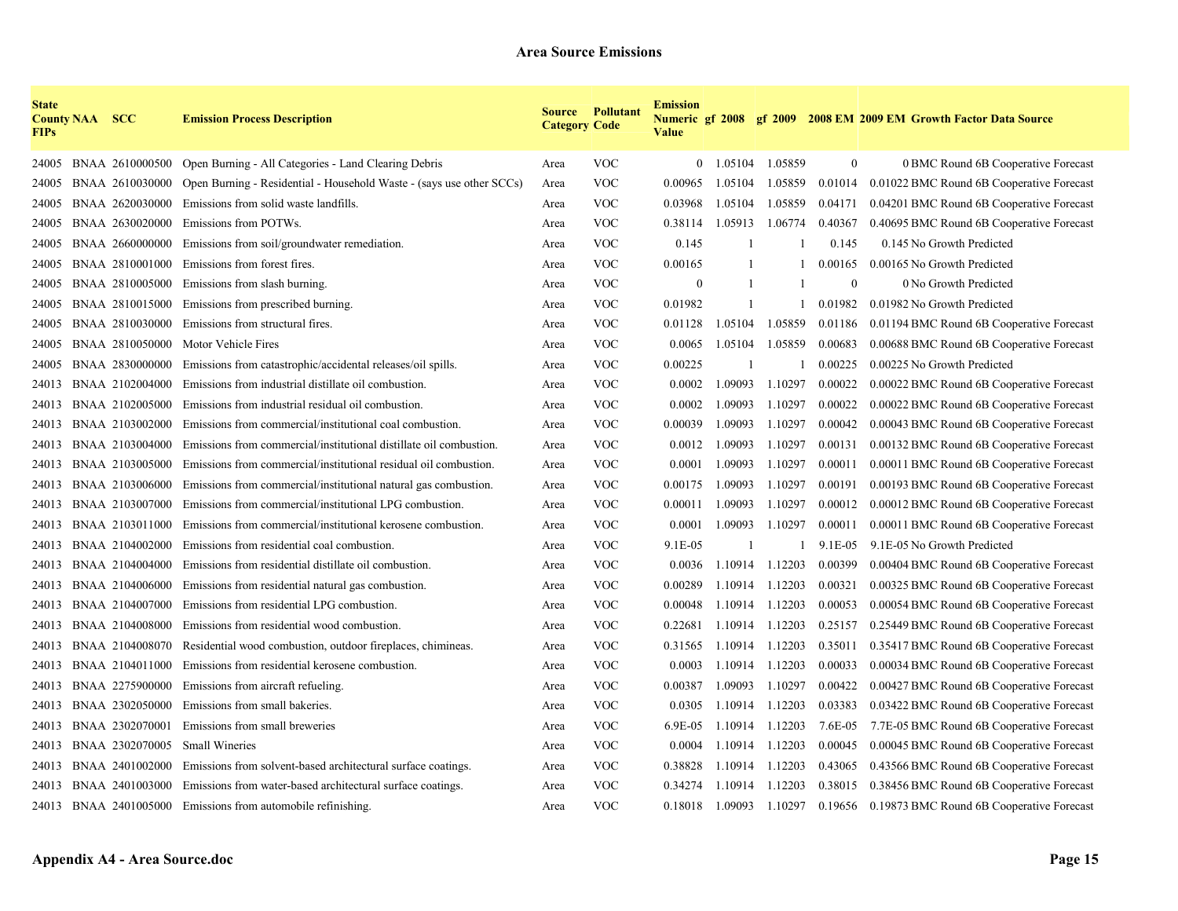| <b>State</b><br><b>FIPs</b> | <b>County NAA SCC</b> |                 | <b>Emission Process Description</b>                                          | <b>Category Code</b> | <b>Source Pollutant</b> | <b>Emission</b><br><b>Value</b> |         |              |                | Numeric gf 2008 gf 2009 2008 EM 2009 EM Growth Factor Data Source |
|-----------------------------|-----------------------|-----------------|------------------------------------------------------------------------------|----------------------|-------------------------|---------------------------------|---------|--------------|----------------|-------------------------------------------------------------------|
| 24005                       |                       |                 | BNAA 2610000500 Open Burning - All Categories - Land Clearing Debris         | Area                 | <b>VOC</b>              | $\overline{0}$                  | 1.05104 | 1.05859      | $\mathbf{0}$   | 0 BMC Round 6B Cooperative Forecast                               |
| 24005                       |                       | BNAA 2610030000 | Open Burning - Residential - Household Waste - (says use other SCCs)         | Area                 | <b>VOC</b>              | 0.00965                         | 1.05104 | 1.05859      | 0.01014        | 0.01022 BMC Round 6B Cooperative Forecast                         |
| 24005                       |                       | BNAA 2620030000 | Emissions from solid waste landfills.                                        | Area                 | <b>VOC</b>              | 0.03968                         | 1.05104 | 1.05859      | 0.04171        | 0.04201 BMC Round 6B Cooperative Forecast                         |
| 24005                       |                       | BNAA 2630020000 | Emissions from POTWs.                                                        | Area                 | <b>VOC</b>              | 0.38114                         | 1.05913 | 1.06774      | 0.40367        | 0.40695 BMC Round 6B Cooperative Forecast                         |
| 24005                       |                       | BNAA 2660000000 | Emissions from soil/groundwater remediation.                                 | Area                 | <b>VOC</b>              | 0.145                           |         |              | 0.145          | 0.145 No Growth Predicted                                         |
| 24005                       |                       | BNAA 2810001000 | Emissions from forest fires.                                                 | Area                 | <b>VOC</b>              | 0.00165                         |         |              | 0.00165        | 0.00165 No Growth Predicted                                       |
| 24005                       |                       | BNAA 2810005000 | Emissions from slash burning.                                                | Area                 | <b>VOC</b>              | $\theta$                        | -1      |              | $\overline{0}$ | 0 No Growth Predicted                                             |
| 24005                       |                       | BNAA 2810015000 | Emissions from prescribed burning.                                           | Area                 | <b>VOC</b>              | 0.01982                         | -1      |              | 0.01982        | 0.01982 No Growth Predicted                                       |
| 24005                       |                       | BNAA 2810030000 | Emissions from structural fires.                                             | Area                 | <b>VOC</b>              | 0.01128                         | 1.05104 | 1.05859      | 0.01186        | 0.01194 BMC Round 6B Cooperative Forecast                         |
| 24005                       |                       | BNAA 2810050000 | Motor Vehicle Fires                                                          | Area                 | <b>VOC</b>              | 0.0065                          | 1.05104 | 1.05859      | 0.00683        | 0.00688 BMC Round 6B Cooperative Forecast                         |
| 24005                       |                       | BNAA 2830000000 | Emissions from catastrophic/accidental releases/oil spills.                  | Area                 | <b>VOC</b>              | 0.00225                         | -1      | $\mathbf{1}$ | 0.00225        | 0.00225 No Growth Predicted                                       |
| 24013                       |                       | BNAA 2102004000 | Emissions from industrial distillate oil combustion.                         | Area                 | <b>VOC</b>              | 0.0002                          | 1.09093 | 1.10297      | 0.00022        | 0.00022 BMC Round 6B Cooperative Forecast                         |
| 24013                       |                       | BNAA 2102005000 | Emissions from industrial residual oil combustion.                           | Area                 | <b>VOC</b>              | 0.0002                          | 1.09093 | 1.10297      | 0.00022        | 0.00022 BMC Round 6B Cooperative Forecast                         |
| 24013                       |                       | BNAA 2103002000 | Emissions from commercial/institutional coal combustion.                     | Area                 | <b>VOC</b>              | 0.00039                         | 1.09093 | 1.10297      | 0.00042        | 0.00043 BMC Round 6B Cooperative Forecast                         |
| 24013                       |                       | BNAA 2103004000 | Emissions from commercial/institutional distillate oil combustion.           | Area                 | <b>VOC</b>              | 0.0012                          | 1.09093 | 1.10297      | 0.00131        | 0.00132 BMC Round 6B Cooperative Forecast                         |
| 24013                       |                       | BNAA 2103005000 | Emissions from commercial/institutional residual oil combustion.             | Area                 | <b>VOC</b>              | 0.0001                          | 1.09093 | 1.10297      | 0.00011        | 0.00011 BMC Round 6B Cooperative Forecast                         |
| 24013                       |                       | BNAA 2103006000 | Emissions from commercial/institutional natural gas combustion.              | Area                 | <b>VOC</b>              | 0.00175                         | 1.09093 | 1.10297      | 0.00191        | 0.00193 BMC Round 6B Cooperative Forecast                         |
| 24013                       |                       | BNAA 2103007000 | Emissions from commercial/institutional LPG combustion.                      | Area                 | <b>VOC</b>              | 0.00011                         | 1.09093 | 1.10297      | 0.00012        | 0.00012 BMC Round 6B Cooperative Forecast                         |
| 24013                       |                       | BNAA 2103011000 | Emissions from commercial/institutional kerosene combustion.                 | Area                 | <b>VOC</b>              | 0.0001                          | 1.09093 | 1.10297      | 0.00011        | 0.00011 BMC Round 6B Cooperative Forecast                         |
| 24013                       |                       | BNAA 2104002000 | Emissions from residential coal combustion.                                  | Area                 | <b>VOC</b>              | 9.1E-05                         |         |              | 9.1E-05        | 9.1E-05 No Growth Predicted                                       |
| 24013                       |                       | BNAA 2104004000 | Emissions from residential distillate oil combustion.                        | Area                 | <b>VOC</b>              | 0.0036                          | 1.10914 | 1.12203      | 0.00399        | 0.00404 BMC Round 6B Cooperative Forecast                         |
| 24013                       |                       | BNAA 2104006000 | Emissions from residential natural gas combustion.                           | Area                 | <b>VOC</b>              | 0.00289                         | 1.10914 | 1.12203      | 0.00321        | 0.00325 BMC Round 6B Cooperative Forecast                         |
| 24013                       |                       | BNAA 2104007000 | Emissions from residential LPG combustion.                                   | Area                 | <b>VOC</b>              | 0.00048                         | 1.10914 | 1.12203      | 0.00053        | 0.00054 BMC Round 6B Cooperative Forecast                         |
| 24013                       |                       | BNAA 2104008000 | Emissions from residential wood combustion.                                  | Area                 | <b>VOC</b>              | 0.22681                         | 1.10914 | 1.12203      | 0.25157        | 0.25449 BMC Round 6B Cooperative Forecast                         |
| 24013                       |                       | BNAA 2104008070 | Residential wood combustion, outdoor fireplaces, chimineas.                  | Area                 | <b>VOC</b>              | 0.31565                         | 1.10914 | 1.12203      | 0.35011        | 0.35417 BMC Round 6B Cooperative Forecast                         |
| 24013                       |                       | BNAA 2104011000 | Emissions from residential kerosene combustion.                              | Area                 | <b>VOC</b>              | 0.0003                          | 1.10914 | 1.12203      | 0.00033        | 0.00034 BMC Round 6B Cooperative Forecast                         |
| 24013                       |                       | BNAA 2275900000 | Emissions from aircraft refueling.                                           | Area                 | <b>VOC</b>              | 0.00387                         | 1.09093 | 1.10297      | 0.00422        | 0.00427 BMC Round 6B Cooperative Forecast                         |
| 24013                       |                       | BNAA 2302050000 | Emissions from small bakeries.                                               | Area                 | <b>VOC</b>              | 0.0305                          | 1.10914 | 1.12203      | 0.03383        | 0.03422 BMC Round 6B Cooperative Forecast                         |
| 24013                       |                       | BNAA 2302070001 | Emissions from small breweries                                               | Area                 | <b>VOC</b>              | 6.9E-05                         | 1.10914 | 1.12203      | 7.6E-05        | 7.7E-05 BMC Round 6B Cooperative Forecast                         |
| 24013                       |                       | BNAA 2302070005 | <b>Small Wineries</b>                                                        | Area                 | <b>VOC</b>              | 0.0004                          | 1.10914 | 1.12203      | 0.00045        | 0.00045 BMC Round 6B Cooperative Forecast                         |
| 24013                       |                       |                 | BNAA 2401002000 Emissions from solvent-based architectural surface coatings. | Area                 | <b>VOC</b>              | 0.38828                         | 1.10914 | 1.12203      | 0.43065        | 0.43566 BMC Round 6B Cooperative Forecast                         |
| 24013                       |                       |                 | BNAA 2401003000 Emissions from water-based architectural surface coatings.   | Area                 | <b>VOC</b>              | 0.34274                         | 1.10914 | 1.12203      | 0.38015        | 0.38456 BMC Round 6B Cooperative Forecast                         |
|                             |                       |                 | 24013 BNAA 2401005000 Emissions from automobile refinishing.                 | Area                 | <b>VOC</b>              | 0.18018                         | 1.09093 | 1.10297      | 0.19656        | 0.19873 BMC Round 6B Cooperative Forecast                         |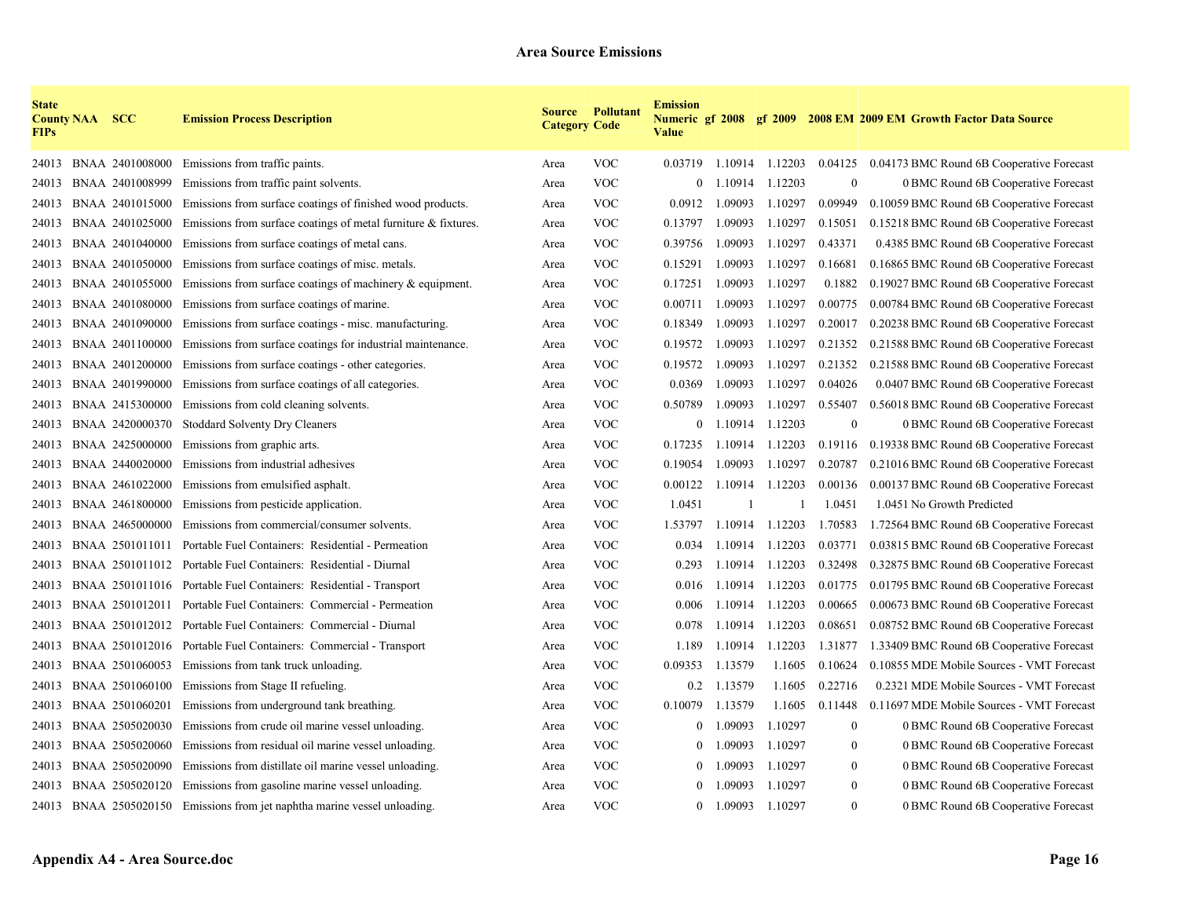| <b>State</b><br><b>FIPs</b> | <b>County NAA SCC</b> |                 | <b>Emission Process Description</b>                                       | <b>Category Code</b> | <b>Source Pollutant</b> | <b>Emission</b><br><b>Value</b> |         |         |                  | Numeric gf 2008 gf 2009 2008 EM 2009 EM Growth Factor Data Source |
|-----------------------------|-----------------------|-----------------|---------------------------------------------------------------------------|----------------------|-------------------------|---------------------------------|---------|---------|------------------|-------------------------------------------------------------------|
| 24013                       |                       | BNAA 2401008000 | Emissions from traffic paints.                                            | Area                 | <b>VOC</b>              | 0.03719                         | 1.10914 | 1.12203 | 0.04125          | 0.04173 BMC Round 6B Cooperative Forecast                         |
| 24013                       |                       | BNAA 2401008999 | Emissions from traffic paint solvents.                                    | Area                 | <b>VOC</b>              | $\overline{0}$                  | 1.10914 | 1.12203 | $\boldsymbol{0}$ | 0 BMC Round 6B Cooperative Forecast                               |
| 24013                       |                       | BNAA 2401015000 | Emissions from surface coatings of finished wood products.                | Area                 | <b>VOC</b>              | 0.0912                          | 1.09093 | 1.10297 | 0.09949          | 0.10059 BMC Round 6B Cooperative Forecast                         |
| 24013                       |                       | BNAA 2401025000 | Emissions from surface coatings of metal furniture & fixtures.            | Area                 | <b>VOC</b>              | 0.13797                         | 1.09093 | 1.10297 | 0.15051          | 0.15218 BMC Round 6B Cooperative Forecast                         |
| 24013                       |                       | BNAA 2401040000 | Emissions from surface coatings of metal cans.                            | Area                 | <b>VOC</b>              | 0.39756                         | 1.09093 | 1.10297 | 0.43371          | 0.4385 BMC Round 6B Cooperative Forecast                          |
| 24013                       |                       | BNAA 2401050000 | Emissions from surface coatings of misc. metals.                          | Area                 | <b>VOC</b>              | 0.15291                         | 1.09093 | 1.10297 | 0.16681          | 0.16865 BMC Round 6B Cooperative Forecast                         |
| 24013                       |                       | BNAA 2401055000 | Emissions from surface coatings of machinery $\&$ equipment.              | Area                 | <b>VOC</b>              | 0.17251                         | 1.09093 | 1.10297 | 0.1882           | 0.19027 BMC Round 6B Cooperative Forecast                         |
| 24013                       |                       | BNAA 2401080000 | Emissions from surface coatings of marine.                                | Area                 | <b>VOC</b>              | 0.00711                         | 1.09093 | 1.10297 | 0.00775          | 0.00784 BMC Round 6B Cooperative Forecast                         |
| 24013                       |                       | BNAA 2401090000 | Emissions from surface coatings - misc. manufacturing.                    | Area                 | <b>VOC</b>              | 0.18349                         | 1.09093 | 1.10297 | 0.20017          | 0.20238 BMC Round 6B Cooperative Forecast                         |
| 24013                       |                       | BNAA 2401100000 | Emissions from surface coatings for industrial maintenance.               | Area                 | <b>VOC</b>              | 0.19572                         | 1.09093 | 1.10297 | 0.21352          | 0.21588 BMC Round 6B Cooperative Forecast                         |
| 24013                       |                       | BNAA 2401200000 | Emissions from surface coatings - other categories.                       | Area                 | <b>VOC</b>              | 0.19572                         | 1.09093 | 1.10297 | 0.21352          | 0.21588 BMC Round 6B Cooperative Forecast                         |
| 24013                       |                       | BNAA 2401990000 | Emissions from surface coatings of all categories.                        | Area                 | <b>VOC</b>              | 0.0369                          | 1.09093 | 1.10297 | 0.04026          | 0.0407 BMC Round 6B Cooperative Forecast                          |
| 24013                       |                       | BNAA 2415300000 | Emissions from cold cleaning solvents.                                    | Area                 | <b>VOC</b>              | 0.50789                         | 1.09093 | 1.10297 | 0.55407          | 0.56018 BMC Round 6B Cooperative Forecast                         |
| 24013                       |                       | BNAA 2420000370 | <b>Stoddard Solventy Dry Cleaners</b>                                     | Area                 | <b>VOC</b>              | $\mathbf{0}$                    | 1.10914 | 1.12203 | $\boldsymbol{0}$ | 0 BMC Round 6B Cooperative Forecast                               |
| 24013                       |                       | BNAA 2425000000 | Emissions from graphic arts.                                              | Area                 | <b>VOC</b>              | 0.17235                         | 1.10914 | 1.12203 | 0.19116          | 0.19338 BMC Round 6B Cooperative Forecast                         |
| 24013                       |                       | BNAA 2440020000 | Emissions from industrial adhesives                                       | Area                 | <b>VOC</b>              | 0.19054                         | 1.09093 | 1.10297 | 0.20787          | 0.21016 BMC Round 6B Cooperative Forecast                         |
| 24013                       |                       | BNAA 2461022000 | Emissions from emulsified asphalt.                                        | Area                 | <b>VOC</b>              | 0.00122                         | 1.10914 | 1.12203 | 0.00136          | 0.00137 BMC Round 6B Cooperative Forecast                         |
| 24013                       |                       | BNAA 2461800000 | Emissions from pesticide application.                                     | Area                 | <b>VOC</b>              | 1.0451                          |         |         | 1.0451           | 1.0451 No Growth Predicted                                        |
| 24013                       |                       |                 | BNAA 2465000000 Emissions from commercial/consumer solvents.              | Area                 | <b>VOC</b>              | 1.53797                         | 1.10914 | 1.12203 | 1.70583          | 1.72564 BMC Round 6B Cooperative Forecast                         |
| 24013                       |                       |                 | BNAA 2501011011 Portable Fuel Containers: Residential - Permeation        | Area                 | <b>VOC</b>              | 0.034                           | 1.10914 | 1.12203 | 0.03771          | 0.03815 BMC Round 6B Cooperative Forecast                         |
| 24013                       |                       |                 | BNAA 2501011012 Portable Fuel Containers: Residential - Diurnal           | Area                 | <b>VOC</b>              | 0.293                           | 1.10914 | 1.12203 | 0.32498          | 0.32875 BMC Round 6B Cooperative Forecast                         |
| 24013                       |                       |                 | BNAA 2501011016 Portable Fuel Containers: Residential - Transport         | Area                 | <b>VOC</b>              | 0.016                           | 1.10914 | 1.12203 | 0.01775          | 0.01795 BMC Round 6B Cooperative Forecast                         |
| 24013                       |                       |                 | BNAA 2501012011 Portable Fuel Containers: Commercial - Permeation         | Area                 | <b>VOC</b>              | 0.006                           | 1.10914 | 1.12203 | 0.00665          | 0.00673 BMC Round 6B Cooperative Forecast                         |
| 24013                       |                       |                 | BNAA 2501012012 Portable Fuel Containers: Commercial - Diurnal            | Area                 | <b>VOC</b>              | 0.078                           | 1.10914 | 1.12203 | 0.08651          | 0.08752 BMC Round 6B Cooperative Forecast                         |
| 24013                       |                       |                 | BNAA 2501012016 Portable Fuel Containers: Commercial - Transport          | Area                 | <b>VOC</b>              | 1.189                           | 1.10914 | 1.12203 | 1.31877          | 1.33409 BMC Round 6B Cooperative Forecast                         |
| 24013                       |                       |                 | BNAA 2501060053 Emissions from tank truck unloading.                      | Area                 | <b>VOC</b>              | 0.09353                         | 1.13579 | 1.1605  | 0.10624          | 0.10855 MDE Mobile Sources - VMT Forecast                         |
| 24013                       |                       | BNAA 2501060100 | Emissions from Stage II refueling.                                        | Area                 | <b>VOC</b>              | 0.2                             | 1.13579 | 1.1605  | 0.22716          | 0.2321 MDE Mobile Sources - VMT Forecast                          |
| 24013                       |                       | BNAA 2501060201 | Emissions from underground tank breathing.                                | Area                 | <b>VOC</b>              | 0.10079                         | 1.13579 | 1.1605  | 0.11448          | 0.11697 MDE Mobile Sources - VMT Forecast                         |
| 24013                       |                       | BNAA 2505020030 | Emissions from crude oil marine vessel unloading.                         | Area                 | <b>VOC</b>              | $\theta$                        | 1.09093 | 1.10297 | $\overline{0}$   | 0 BMC Round 6B Cooperative Forecast                               |
| 24013                       |                       | BNAA 2505020060 | Emissions from residual oil marine vessel unloading.                      | Area                 | <b>VOC</b>              | $\mathbf{0}$                    | 1.09093 | 1.10297 | $\overline{0}$   | 0 BMC Round 6B Cooperative Forecast                               |
| 24013                       |                       |                 | BNAA 2505020090 Emissions from distillate oil marine vessel unloading.    | Area                 | <b>VOC</b>              | $\overline{0}$                  | .09093  | 1.10297 | $\theta$         | 0 BMC Round 6B Cooperative Forecast                               |
| 24013                       |                       |                 | BNAA 2505020120 Emissions from gasoline marine vessel unloading.          | Area                 | <b>VOC</b>              |                                 | .09093  | 1.10297 | $\boldsymbol{0}$ | 0 BMC Round 6B Cooperative Forecast                               |
|                             |                       |                 | 24013 BNAA 2505020150 Emissions from jet naphtha marine vessel unloading. | Area                 | <b>VOC</b>              | $\theta$                        | 1.09093 | 1.10297 | $\overline{0}$   | 0 BMC Round 6B Cooperative Forecast                               |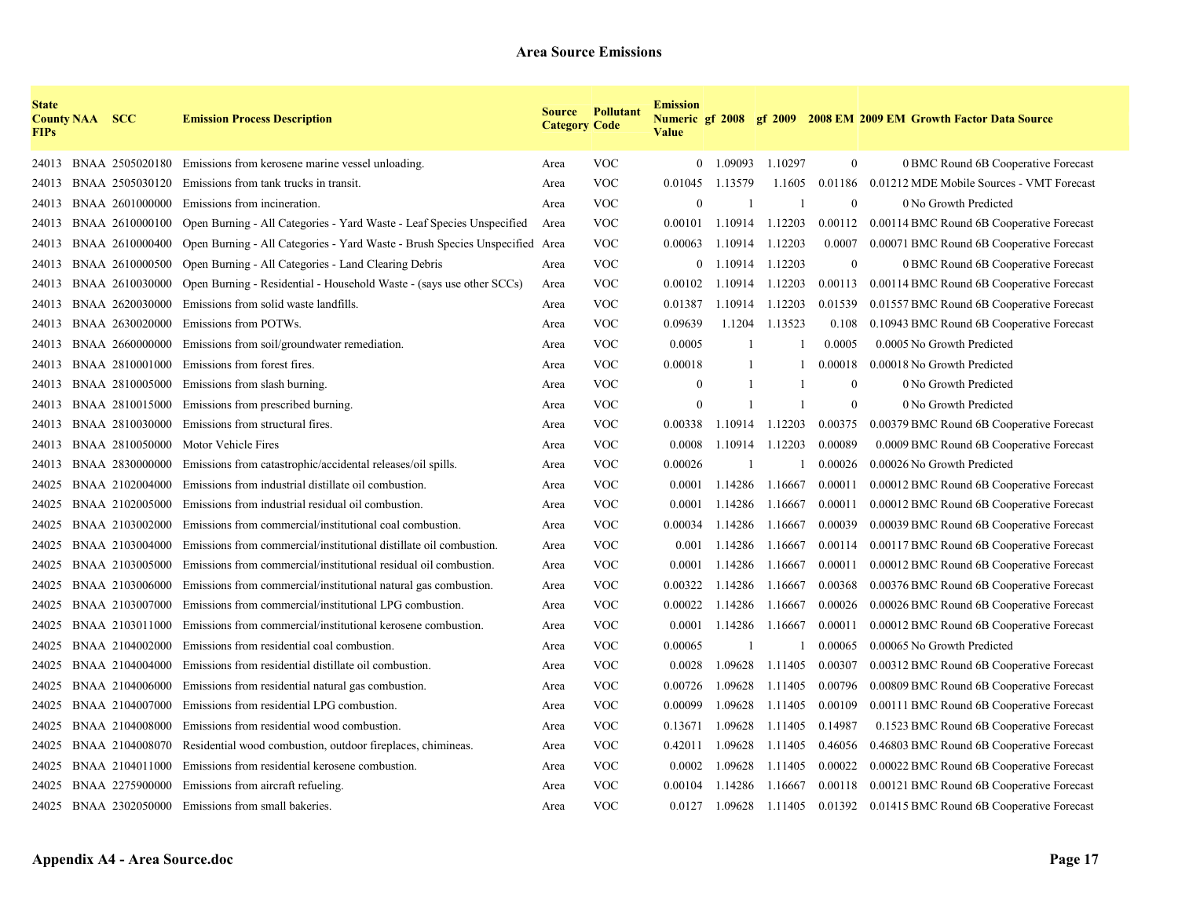| <b>State</b><br><b>FIPs</b> | <b>County NAA SCC</b> |                 | <b>Emission Process Description</b>                                         | <b>Category Code</b> | <b>Source Pollutant</b> | <b>Emission</b><br><b>Value</b> |         |         |                  | Numeric gf 2008 gf 2009 2008 EM 2009 EM Growth Factor Data Source |
|-----------------------------|-----------------------|-----------------|-----------------------------------------------------------------------------|----------------------|-------------------------|---------------------------------|---------|---------|------------------|-------------------------------------------------------------------|
| 24013                       |                       |                 | BNAA 2505020180 Emissions from kerosene marine vessel unloading.            | Area                 | <b>VOC</b>              | $\overline{0}$                  | 1.09093 | 1.10297 | $\boldsymbol{0}$ | 0 BMC Round 6B Cooperative Forecast                               |
| 24013                       |                       | BNAA 2505030120 | Emissions from tank trucks in transit.                                      | Area                 | <b>VOC</b>              | 0.01045                         | 1.13579 | 1.1605  | 0.01186          | 0.01212 MDE Mobile Sources - VMT Forecast                         |
| 24013                       |                       | BNAA 2601000000 | Emissions from incineration.                                                | Area                 | <b>VOC</b>              | $\Omega$                        |         |         | $\Omega$         | 0 No Growth Predicted                                             |
| 24013                       |                       | BNAA 2610000100 | Open Burning - All Categories - Yard Waste - Leaf Species Unspecified       | Area                 | <b>VOC</b>              | 0.00101                         | 1.10914 | 1.12203 | 0.00112          | 0.00114 BMC Round 6B Cooperative Forecast                         |
| 24013                       |                       | BNAA 2610000400 | Open Burning - All Categories - Yard Waste - Brush Species Unspecified Area |                      | <b>VOC</b>              | 0.00063                         | 1.10914 | 1.12203 | 0.0007           | 0.00071 BMC Round 6B Cooperative Forecast                         |
| 24013                       |                       | BNAA 2610000500 | Open Burning - All Categories - Land Clearing Debris                        | Area                 | <b>VOC</b>              | $\theta$                        | 1.10914 | 1.12203 | $\theta$         | 0 BMC Round 6B Cooperative Forecast                               |
| 24013                       |                       | BNAA 2610030000 | Open Burning - Residential - Household Waste - (says use other SCCs)        | Area                 | <b>VOC</b>              | 0.00102                         | 1.10914 | 1.12203 | 0.00113          | 0.00114 BMC Round 6B Cooperative Forecast                         |
| 24013                       |                       | BNAA 2620030000 | Emissions from solid waste landfills.                                       | Area                 | <b>VOC</b>              | 0.01387                         | 1.10914 | 1.12203 | 0.01539          | 0.01557 BMC Round 6B Cooperative Forecast                         |
| 24013                       |                       | BNAA 2630020000 | Emissions from POTWs.                                                       | Area                 | <b>VOC</b>              | 0.09639                         | 1.1204  | 1.13523 | 0.108            | 0.10943 BMC Round 6B Cooperative Forecast                         |
| 24013                       |                       | BNAA 2660000000 | Emissions from soil/groundwater remediation.                                | Area                 | <b>VOC</b>              | 0.0005                          |         |         | 0.0005           | 0.0005 No Growth Predicted                                        |
| 24013                       |                       | BNAA 2810001000 | Emissions from forest fires.                                                | Area                 | <b>VOC</b>              | 0.00018                         |         |         | 0.00018          | 0.00018 No Growth Predicted                                       |
| 24013                       |                       | BNAA 2810005000 | Emissions from slash burning.                                               | Area                 | <b>VOC</b>              | $\theta$                        |         |         | $\theta$         | 0 No Growth Predicted                                             |
| 24013                       |                       | BNAA 2810015000 | Emissions from prescribed burning.                                          | Area                 | <b>VOC</b>              | $\theta$                        | -1      |         | $\theta$         | 0 No Growth Predicted                                             |
| 24013                       |                       | BNAA 2810030000 | Emissions from structural fires.                                            | Area                 | <b>VOC</b>              | 0.00338                         | 1.10914 | 1.12203 | 0.00375          | 0.00379 BMC Round 6B Cooperative Forecast                         |
| 24013                       |                       | BNAA 2810050000 | Motor Vehicle Fires                                                         | Area                 | <b>VOC</b>              | 0.0008                          | 1.10914 | 1.12203 | 0.00089          | 0.0009 BMC Round 6B Cooperative Forecast                          |
| 24013                       |                       | BNAA 2830000000 | Emissions from catastrophic/accidental releases/oil spills.                 | Area                 | <b>VOC</b>              | 0.00026                         |         |         | 0.00026          | 0.00026 No Growth Predicted                                       |
| 24025                       |                       | BNAA 2102004000 | Emissions from industrial distillate oil combustion.                        | Area                 | <b>VOC</b>              | 0.0001                          | 1.14286 | 1.16667 | 0.00011          | 0.00012 BMC Round 6B Cooperative Forecast                         |
| 24025                       |                       | BNAA 2102005000 | Emissions from industrial residual oil combustion.                          | Area                 | <b>VOC</b>              | 0.0001                          | 1.14286 | 1.16667 | 0.00011          | 0.00012 BMC Round 6B Cooperative Forecast                         |
| 24025                       |                       | BNAA 2103002000 | Emissions from commercial/institutional coal combustion.                    | Area                 | <b>VOC</b>              | 0.00034                         | 1.14286 | 1.16667 | 0.00039          | 0.00039 BMC Round 6B Cooperative Forecast                         |
| 24025                       |                       | BNAA 2103004000 | Emissions from commercial/institutional distillate oil combustion.          | Area                 | <b>VOC</b>              | 0.001                           | 1.14286 | 1.16667 | 0.00114          | 0.00117 BMC Round 6B Cooperative Forecast                         |
| 24025                       |                       | BNAA 2103005000 | Emissions from commercial/institutional residual oil combustion.            | Area                 | <b>VOC</b>              | 0.0001                          | 1.14286 | 1.16667 | 0.00011          | 0.00012 BMC Round 6B Cooperative Forecast                         |
| 24025                       |                       | BNAA 2103006000 | Emissions from commercial/institutional natural gas combustion.             | Area                 | <b>VOC</b>              | 0.00322                         | 1.14286 | 1.16667 | 0.00368          | 0.00376 BMC Round 6B Cooperative Forecast                         |
| 24025                       |                       | BNAA 2103007000 | Emissions from commercial/institutional LPG combustion.                     | Area                 | <b>VOC</b>              | 0.00022                         | 1.14286 | 1.16667 | 0.00026          | 0.00026 BMC Round 6B Cooperative Forecast                         |
| 24025                       |                       | BNAA 2103011000 | Emissions from commercial/institutional kerosene combustion.                | Area                 | <b>VOC</b>              | 0.0001                          | 1.14286 | 1.16667 | 0.00011          | 0.00012 BMC Round 6B Cooperative Forecast                         |
| 24025                       |                       | BNAA 2104002000 | Emissions from residential coal combustion.                                 | Area                 | <b>VOC</b>              | 0.00065                         |         |         | 0.00065          | 0.00065 No Growth Predicted                                       |
| 24025                       |                       | BNAA 2104004000 | Emissions from residential distillate oil combustion.                       | Area                 | <b>VOC</b>              | 0.0028                          | 1.09628 | 1.11405 | 0.00307          | 0.00312 BMC Round 6B Cooperative Forecast                         |
| 24025                       |                       | BNAA 2104006000 | Emissions from residential natural gas combustion.                          | Area                 | <b>VOC</b>              | 0.00726                         | 1.09628 | 1.11405 | 0.00796          | 0.00809 BMC Round 6B Cooperative Forecast                         |
| 24025                       |                       | BNAA 2104007000 | Emissions from residential LPG combustion.                                  | Area                 | <b>VOC</b>              | 0.00099                         | 1.09628 | 1.11405 | 0.00109          | 0.00111 BMC Round 6B Cooperative Forecast                         |
| 24025                       |                       | BNAA 2104008000 | Emissions from residential wood combustion.                                 | Area                 | <b>VOC</b>              | 0.13671                         | 1.09628 | 1.11405 | 0.14987          | 0.1523 BMC Round 6B Cooperative Forecast                          |
| 24025                       |                       | BNAA 2104008070 | Residential wood combustion, outdoor fireplaces, chimineas.                 | Area                 | <b>VOC</b>              | 0.42011                         | 1.09628 | 1.11405 | 0.46056          | 0.46803 BMC Round 6B Cooperative Forecast                         |
| 24025                       |                       | BNAA 2104011000 | Emissions from residential kerosene combustion.                             | Area                 | <b>VOC</b>              | 0.0002                          | 1.09628 | 1.11405 | 0.00022          | 0.00022 BMC Round 6B Cooperative Forecast                         |
| 24025                       |                       | BNAA 2275900000 | Emissions from aircraft refueling.                                          | Area                 | <b>VOC</b>              | 0.00104                         | 1.14286 | 1.16667 | 0.00118          | 0.00121 BMC Round 6B Cooperative Forecast                         |
|                             |                       |                 | 24025 BNAA 2302050000 Emissions from small bakeries.                        | Area                 | <b>VOC</b>              | 0.0127                          | 1.09628 |         |                  | 1.11405 0.01392 0.01415 BMC Round 6B Cooperative Forecast         |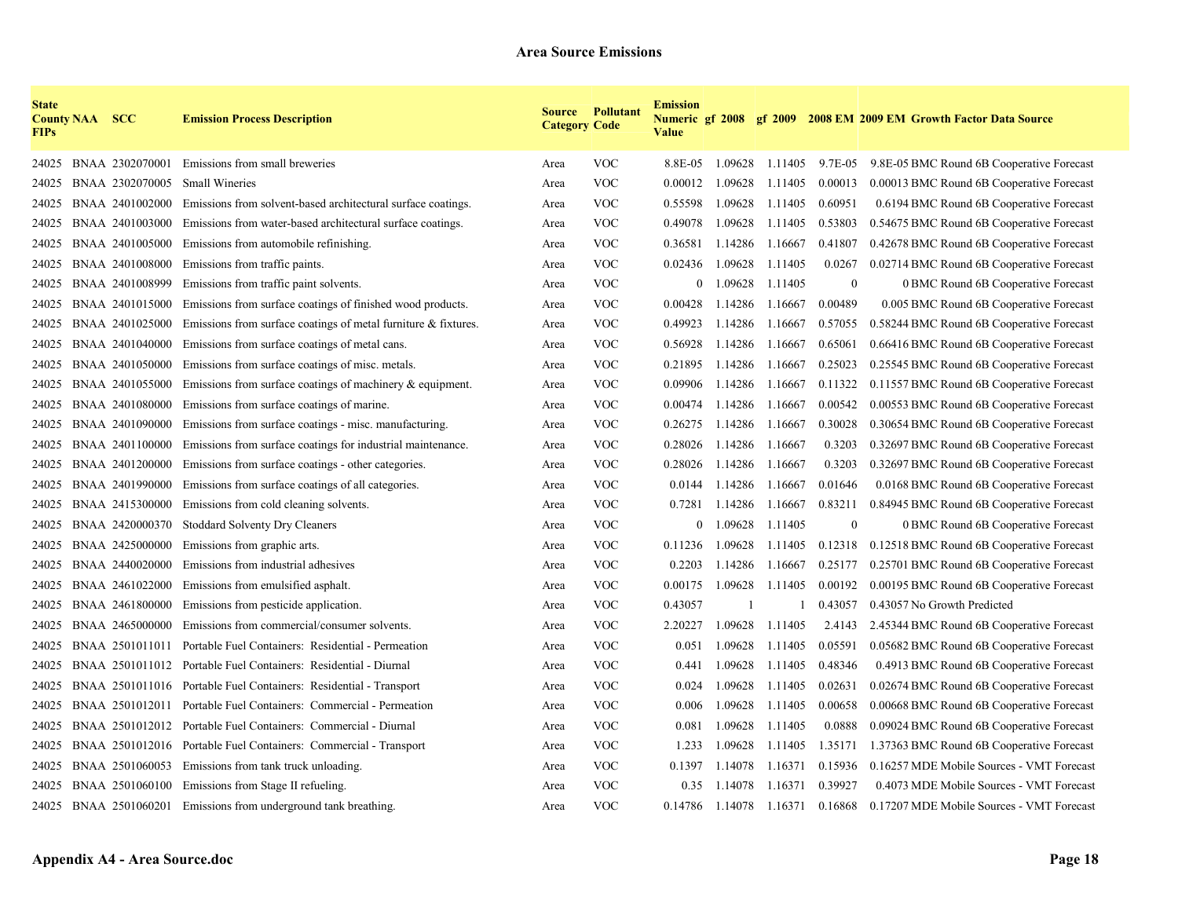| <b>State</b><br><b>FIPs</b> | <b>County NAA SCC</b> |                 | <b>Emission Process Description</b>                               | <b>Category Code</b> | <b>Source Pollutant</b> | <b>Emission</b><br><b>Value</b> |              |                 |                  | Numeric gf 2008 gf 2009 2008 EM 2009 EM Growth Factor Data Source |
|-----------------------------|-----------------------|-----------------|-------------------------------------------------------------------|----------------------|-------------------------|---------------------------------|--------------|-----------------|------------------|-------------------------------------------------------------------|
| 24025                       |                       | BNAA 2302070001 | Emissions from small breweries                                    | Area                 | <b>VOC</b>              | 8.8E-05                         |              | 1.09628 1.11405 | 9.7E-05          | 9.8E-05 BMC Round 6B Cooperative Forecast                         |
| 24025                       |                       | BNAA 2302070005 | <b>Small Wineries</b>                                             | Area                 | <b>VOC</b>              | 0.00012                         | 1.09628      | 1.11405         | 0.00013          | 0.00013 BMC Round 6B Cooperative Forecast                         |
| 24025                       |                       | BNAA 2401002000 | Emissions from solvent-based architectural surface coatings.      | Area                 | <b>VOC</b>              | 0.55598                         | 1.09628      | 1.11405         | 0.60951          | 0.6194 BMC Round 6B Cooperative Forecast                          |
| 24025                       |                       | BNAA 2401003000 | Emissions from water-based architectural surface coatings.        | Area                 | <b>VOC</b>              | 0.49078                         | 1.09628      | 1.11405         | 0.53803          | 0.54675 BMC Round 6B Cooperative Forecast                         |
| 24025                       |                       | BNAA 2401005000 | Emissions from automobile refinishing.                            | Area                 | <b>VOC</b>              | 0.36581                         | 1.14286      | 1.16667         | 0.41807          | 0.42678 BMC Round 6B Cooperative Forecast                         |
| 24025                       |                       | BNAA 2401008000 | Emissions from traffic paints.                                    | Area                 | <b>VOC</b>              | 0.02436                         | 1.09628      | 1.11405         | 0.0267           | 0.02714 BMC Round 6B Cooperative Forecast                         |
| 24025                       |                       | BNAA 2401008999 | Emissions from traffic paint solvents.                            | Area                 | <b>VOC</b>              | $\overline{0}$                  | 1.09628      | 1.11405         | $\boldsymbol{0}$ | 0 BMC Round 6B Cooperative Forecast                               |
| 24025                       |                       | BNAA 2401015000 | Emissions from surface coatings of finished wood products.        | Area                 | <b>VOC</b>              | 0.00428                         | 1.14286      | 1.16667         | 0.00489          | 0.005 BMC Round 6B Cooperative Forecast                           |
| 24025                       |                       | BNAA 2401025000 | Emissions from surface coatings of metal furniture $\&$ fixtures. | Area                 | <b>VOC</b>              | 0.49923                         | 1.14286      | 1.16667         | 0.57055          | 0.58244 BMC Round 6B Cooperative Forecast                         |
| 24025                       |                       | BNAA 2401040000 | Emissions from surface coatings of metal cans.                    | Area                 | <b>VOC</b>              | 0.56928                         | 1.14286      | 1.16667         | 0.65061          | 0.66416 BMC Round 6B Cooperative Forecast                         |
| 24025                       |                       | BNAA 2401050000 | Emissions from surface coatings of misc. metals.                  | Area                 | <b>VOC</b>              | 0.21895                         | 1.14286      | 1.16667         | 0.25023          | 0.25545 BMC Round 6B Cooperative Forecast                         |
| 24025                       |                       | BNAA 2401055000 | Emissions from surface coatings of machinery $\&$ equipment.      | Area                 | <b>VOC</b>              | 0.09906                         | 1.14286      | 1.16667         | 0.11322          | 0.11557 BMC Round 6B Cooperative Forecast                         |
| 24025                       |                       | BNAA 2401080000 | Emissions from surface coatings of marine.                        | Area                 | <b>VOC</b>              | 0.00474                         | 1.14286      | 1.16667         | 0.00542          | 0.00553 BMC Round 6B Cooperative Forecast                         |
| 24025                       |                       | BNAA 2401090000 | Emissions from surface coatings - misc. manufacturing.            | Area                 | <b>VOC</b>              | 0.26275                         | 1.14286      | 1.16667         | 0.30028          | 0.30654 BMC Round 6B Cooperative Forecast                         |
| 24025                       |                       | BNAA 2401100000 | Emissions from surface coatings for industrial maintenance.       | Area                 | <b>VOC</b>              | 0.28026                         | 1.14286      | 1.16667         | 0.3203           | 0.32697 BMC Round 6B Cooperative Forecast                         |
| 24025                       |                       | BNAA 2401200000 | Emissions from surface coatings - other categories.               | Area                 | <b>VOC</b>              | 0.28026                         | 1.14286      | 1.16667         | 0.3203           | 0.32697 BMC Round 6B Cooperative Forecast                         |
| 24025                       |                       | BNAA 2401990000 | Emissions from surface coatings of all categories.                | Area                 | <b>VOC</b>              | 0.0144                          | 1.14286      | 1.16667         | 0.01646          | 0.0168 BMC Round 6B Cooperative Forecast                          |
| 24025                       |                       | BNAA 2415300000 | Emissions from cold cleaning solvents.                            | Area                 | <b>VOC</b>              | 0.7281                          | 1.14286      | 1.16667         | 0.83211          | 0.84945 BMC Round 6B Cooperative Forecast                         |
| 24025                       |                       | BNAA 2420000370 | Stoddard Solventy Dry Cleaners                                    | Area                 | <b>VOC</b>              | $\overline{0}$                  | 1.09628      | 1.11405         | $\mathbf{0}$     | 0 BMC Round 6B Cooperative Forecast                               |
| 24025                       |                       | BNAA 2425000000 | Emissions from graphic arts.                                      | Area                 | <b>VOC</b>              | 0.11236                         | 1.09628      | 1.11405         | 0.12318          | 0.12518 BMC Round 6B Cooperative Forecast                         |
| 24025                       |                       | BNAA 2440020000 | Emissions from industrial adhesives                               | Area                 | <b>VOC</b>              | 0.2203                          | 1.14286      | 1.16667         | 0.25177          | 0.25701 BMC Round 6B Cooperative Forecast                         |
| 24025                       |                       | BNAA 2461022000 | Emissions from emulsified asphalt.                                | Area                 | <b>VOC</b>              | 0.00175                         | 1.09628      | 1.11405         | 0.00192          | 0.00195 BMC Round 6B Cooperative Forecast                         |
| 24025                       |                       | BNAA 2461800000 | Emissions from pesticide application.                             | Area                 | <b>VOC</b>              | 0.43057                         | $\mathbf{1}$ |                 | 0.43057          | 0.43057 No Growth Predicted                                       |
| 24025                       |                       | BNAA 2465000000 | Emissions from commercial/consumer solvents.                      | Area                 | <b>VOC</b>              | 2.20227                         | 1.09628      | 1.11405         | 2.4143           | 2.45344 BMC Round 6B Cooperative Forecast                         |
| 24025                       |                       | BNAA 2501011011 | Portable Fuel Containers: Residential - Permeation                | Area                 | <b>VOC</b>              | 0.051                           | 1.09628      | 1.11405         | 0.05591          | 0.05682 BMC Round 6B Cooperative Forecast                         |
| 24025                       |                       |                 | BNAA 2501011012 Portable Fuel Containers: Residential - Diurnal   | Area                 | <b>VOC</b>              | 0.441                           | 1.09628      | 1.11405         | 0.48346          | 0.4913 BMC Round 6B Cooperative Forecast                          |
| 24025                       |                       |                 | BNAA 2501011016 Portable Fuel Containers: Residential - Transport | Area                 | <b>VOC</b>              | 0.024                           | 1.09628      | 1.11405         | 0.02631          | 0.02674 BMC Round 6B Cooperative Forecast                         |
| 24025                       |                       |                 | BNAA 2501012011 Portable Fuel Containers: Commercial - Permeation | Area                 | <b>VOC</b>              | 0.006                           | 1.09628      | 1.11405         | 0.00658          | 0.00668 BMC Round 6B Cooperative Forecast                         |
| 24025                       |                       |                 | BNAA 2501012012 Portable Fuel Containers: Commercial - Diurnal    | Area                 | <b>VOC</b>              | 0.081                           | 1.09628      | 1.11405         | 0.0888           | 0.09024 BMC Round 6B Cooperative Forecast                         |
| 24025                       |                       |                 | BNAA 2501012016 Portable Fuel Containers: Commercial - Transport  | Area                 | <b>VOC</b>              | 1.233                           | 1.09628      | 1.11405         | 1.35171          | 1.37363 BMC Round 6B Cooperative Forecast                         |
| 24025                       |                       |                 | BNAA 2501060053 Emissions from tank truck unloading.              | Area                 | <b>VOC</b>              | 0.1397                          | 1.14078      | 1.16371         | 0.15936          | 0.16257 MDE Mobile Sources - VMT Forecast                         |
| 24025                       |                       |                 | BNAA 2501060100 Emissions from Stage II refueling.                | Area                 | <b>VOC</b>              | 0.35                            | 1.14078      | 1.16371         | 0.39927          | 0.4073 MDE Mobile Sources - VMT Forecast                          |
|                             |                       |                 | 24025 BNAA 2501060201 Emissions from underground tank breathing.  | Area                 | <b>VOC</b>              | 0.14786                         | 1.14078      | 1.16371         | 0.16868          | 0.17207 MDE Mobile Sources - VMT Forecast                         |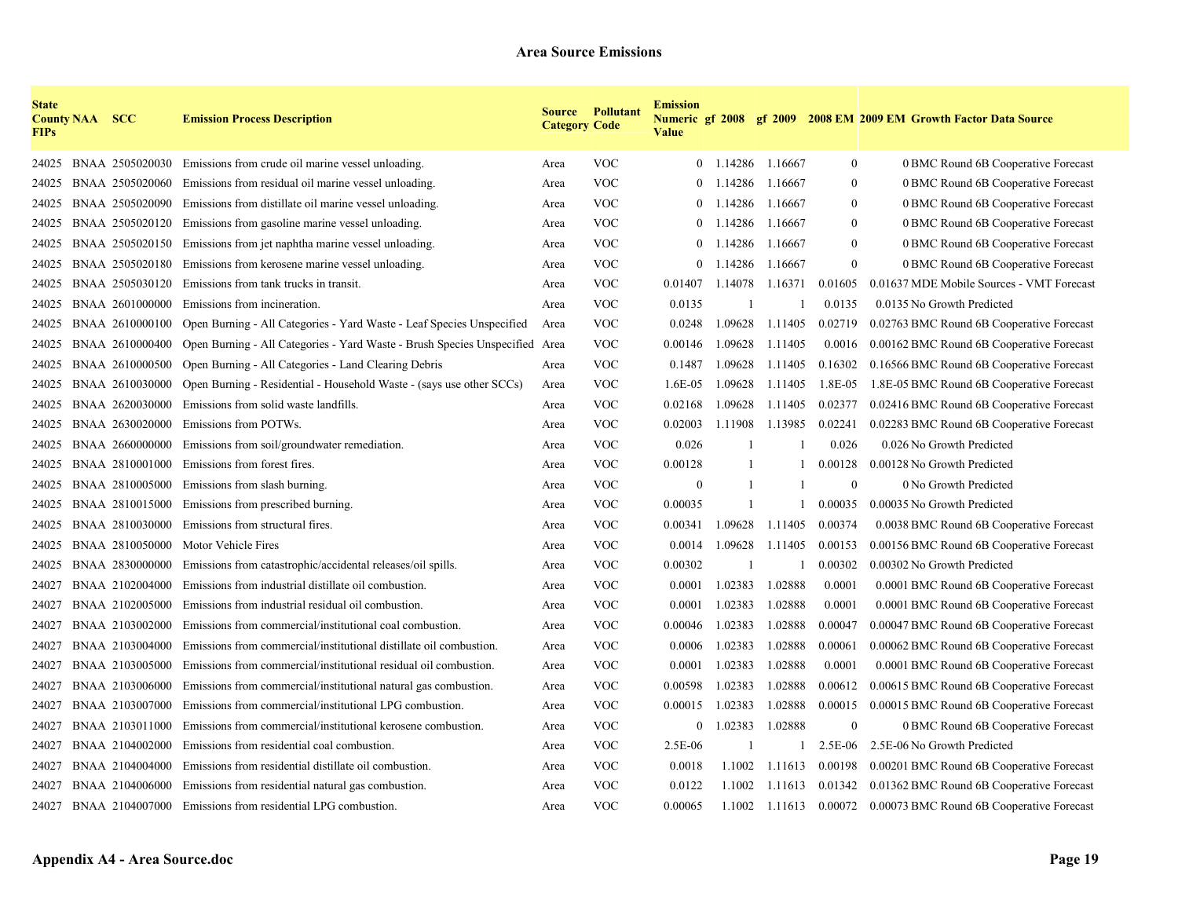| <b>State</b><br><b>FIPs</b> | <b>County NAA SCC</b> |                       | <b>Emission Process Description</b>                                         | <b>Category Code</b> | <b>Source Pollutant</b> | <b>Emission</b><br><b>Value</b> |         |         |          | Numeric gf 2008 gf 2009 2008 EM 2009 EM Growth Factor Data Source |
|-----------------------------|-----------------------|-----------------------|-----------------------------------------------------------------------------|----------------------|-------------------------|---------------------------------|---------|---------|----------|-------------------------------------------------------------------|
| 24025                       |                       | BNAA 2505020030       | Emissions from crude oil marine vessel unloading.                           | Area                 | <b>VOC</b>              | $\theta$                        | 1.14286 | 1.16667 | $\bf{0}$ | 0 BMC Round 6B Cooperative Forecast                               |
| 24025                       |                       | BNAA 2505020060       | Emissions from residual oil marine vessel unloading.                        | Area                 | <b>VOC</b>              | $\Omega$                        | 1.14286 | 1.16667 | $\theta$ | 0 BMC Round 6B Cooperative Forecast                               |
| 24025                       |                       | BNAA 2505020090       | Emissions from distillate oil marine vessel unloading.                      | Area                 | <b>VOC</b>              | $\Omega$                        | 1.14286 | 1.16667 | $\theta$ | 0 BMC Round 6B Cooperative Forecast                               |
| 24025                       |                       | BNAA 2505020120       | Emissions from gasoline marine vessel unloading.                            | Area                 | <b>VOC</b>              | $\theta$                        | 1.14286 | 1.16667 | $\Omega$ | 0 BMC Round 6B Cooperative Forecast                               |
| 24025                       |                       | BNAA 2505020150       | Emissions from jet naphtha marine vessel unloading.                         | Area                 | <b>VOC</b>              | $\theta$                        | 1.14286 | 1.16667 | $\Omega$ | 0 BMC Round 6B Cooperative Forecast                               |
| 24025                       |                       | BNAA 2505020180       | Emissions from kerosene marine vessel unloading.                            | Area                 | <b>VOC</b>              | $\theta$                        | 1.14286 | 1.16667 | $\theta$ | 0 BMC Round 6B Cooperative Forecast                               |
| 24025                       |                       | BNAA 2505030120       | Emissions from tank trucks in transit.                                      | Area                 | <b>VOC</b>              | 0.01407                         | 1.14078 | 1.16371 | 0.01605  | 0.01637 MDE Mobile Sources - VMT Forecast                         |
| 24025                       |                       | BNAA 2601000000       | Emissions from incineration.                                                | Area                 | <b>VOC</b>              | 0.0135                          |         |         | 0.0135   | 0.0135 No Growth Predicted                                        |
| 24025                       |                       | BNAA 2610000100       | Open Burning - All Categories - Yard Waste - Leaf Species Unspecified       | Area                 | <b>VOC</b>              | 0.0248                          | 1.09628 | 1.11405 | 0.02719  | 0.02763 BMC Round 6B Cooperative Forecast                         |
| 24025                       |                       | BNAA 2610000400       | Open Burning - All Categories - Yard Waste - Brush Species Unspecified Area |                      | <b>VOC</b>              | 0.00146                         | 1.09628 | 1.11405 | 0.0016   | 0.00162 BMC Round 6B Cooperative Forecast                         |
| 24025                       |                       | BNAA 2610000500       | Open Burning - All Categories - Land Clearing Debris                        | Area                 | <b>VOC</b>              | 0.1487                          | 1.09628 | 1.11405 | 0.16302  | 0.16566 BMC Round 6B Cooperative Forecast                         |
| 24025                       |                       | BNAA 2610030000       | Open Burning - Residential - Household Waste - (says use other SCCs)        | Area                 | <b>VOC</b>              | $1.6E-05$                       | 1.09628 | 1.11405 | 1.8E-05  | 1.8E-05 BMC Round 6B Cooperative Forecast                         |
| 24025                       |                       | BNAA 2620030000       | Emissions from solid waste landfills.                                       | Area                 | <b>VOC</b>              | 0.02168                         | 1.09628 | 1.11405 | 0.02377  | 0.02416 BMC Round 6B Cooperative Forecast                         |
| 24025                       |                       | BNAA 2630020000       | Emissions from POTWs.                                                       | Area                 | <b>VOC</b>              | 0.02003                         | 1.11908 | 1.13985 | 0.02241  | 0.02283 BMC Round 6B Cooperative Forecast                         |
| 24025                       |                       | BNAA 2660000000       | Emissions from soil/groundwater remediation.                                | Area                 | <b>VOC</b>              | 0.026                           |         |         | 0.026    | 0.026 No Growth Predicted                                         |
| 24025                       |                       | BNAA 2810001000       | Emissions from forest fires.                                                | Area                 | <b>VOC</b>              | 0.00128                         |         |         | 0.00128  | 0.00128 No Growth Predicted                                       |
| 24025                       |                       | BNAA 2810005000       | Emissions from slash burning.                                               | Area                 | <b>VOC</b>              | $\theta$                        |         |         | $\Omega$ | 0 No Growth Predicted                                             |
| 24025                       |                       | BNAA 2810015000       | Emissions from prescribed burning.                                          | Area                 | <b>VOC</b>              | 0.00035                         |         |         | 0.00035  | 0.00035 No Growth Predicted                                       |
| 24025                       |                       | BNAA 2810030000       | Emissions from structural fires.                                            | Area                 | <b>VOC</b>              | 0.00341                         | 1.09628 | 1.11405 | 0.00374  | 0.0038 BMC Round 6B Cooperative Forecast                          |
| 24025                       |                       | BNAA 2810050000       | Motor Vehicle Fires                                                         | Area                 | <b>VOC</b>              | 0.0014                          | 1.09628 | 1.11405 | 0.00153  | 0.00156 BMC Round 6B Cooperative Forecast                         |
| 24025                       |                       | BNAA 2830000000       | Emissions from catastrophic/accidental releases/oil spills.                 | Area                 | <b>VOC</b>              | 0.00302                         |         |         | 0.00302  | 0.00302 No Growth Predicted                                       |
| 24027                       |                       | BNAA 2102004000       | Emissions from industrial distillate oil combustion.                        | Area                 | <b>VOC</b>              | 0.0001                          | 1.02383 | 1.02888 | 0.0001   | 0.0001 BMC Round 6B Cooperative Forecast                          |
| 24027                       |                       | BNAA 2102005000       | Emissions from industrial residual oil combustion.                          | Area                 | <b>VOC</b>              | 0.0001                          | 1.02383 | 1.02888 | 0.0001   | 0.0001 BMC Round 6B Cooperative Forecast                          |
| 24027                       |                       | BNAA 2103002000       | Emissions from commercial/institutional coal combustion.                    | Area                 | <b>VOC</b>              | 0.00046                         | 1.02383 | 1.02888 | 0.00047  | 0.00047 BMC Round 6B Cooperative Forecast                         |
| 24027                       |                       | BNAA 2103004000       | Emissions from commercial/institutional distillate oil combustion.          | Area                 | <b>VOC</b>              | 0.0006                          | 1.02383 | 1.02888 | 0.00061  | 0.00062 BMC Round 6B Cooperative Forecast                         |
| 24027                       |                       | BNAA 2103005000       | Emissions from commercial/institutional residual oil combustion.            | Area                 | <b>VOC</b>              | 0.0001                          | 1.02383 | 1.02888 | 0.0001   | 0.0001 BMC Round 6B Cooperative Forecast                          |
| 24027                       |                       | BNAA 2103006000       | Emissions from commercial/institutional natural gas combustion.             | Area                 | <b>VOC</b>              | 0.00598                         | 1.02383 | 1.02888 | 0.00612  | 0.00615 BMC Round 6B Cooperative Forecast                         |
| 24027                       |                       | BNAA 2103007000       | Emissions from commercial/institutional LPG combustion.                     | Area                 | <b>VOC</b>              | 0.00015                         | 1.02383 | 1.02888 | 0.00015  | 0.00015 BMC Round 6B Cooperative Forecast                         |
| 24027                       |                       | BNAA 2103011000       | Emissions from commercial/institutional kerosene combustion.                | Area                 | <b>VOC</b>              | $\overline{0}$                  | 1.02383 | 1.02888 | $\theta$ | 0 BMC Round 6B Cooperative Forecast                               |
| 24027                       |                       | BNAA 2104002000       | Emissions from residential coal combustion.                                 | Area                 | <b>VOC</b>              | 2.5E-06                         |         |         | 2.5E-06  | 2.5E-06 No Growth Predicted                                       |
| 24027                       |                       | BNAA 2104004000       | Emissions from residential distillate oil combustion.                       | Area                 | <b>VOC</b>              | 0.0018                          | 1.1002  | 1.11613 | 0.00198  | 0.00201 BMC Round 6B Cooperative Forecast                         |
| 24027                       |                       | BNAA 2104006000       | Emissions from residential natural gas combustion.                          | Area                 | <b>VOC</b>              | 0.0122                          | 1.1002  | 1.11613 | 0.01342  | 0.01362 BMC Round 6B Cooperative Forecast                         |
|                             |                       | 24027 BNAA 2104007000 | Emissions from residential LPG combustion.                                  | Area                 | <b>VOC</b>              | 0.00065                         | 1.1002  |         |          | 1.11613 0.00072 0.00073 BMC Round 6B Cooperative Forecast         |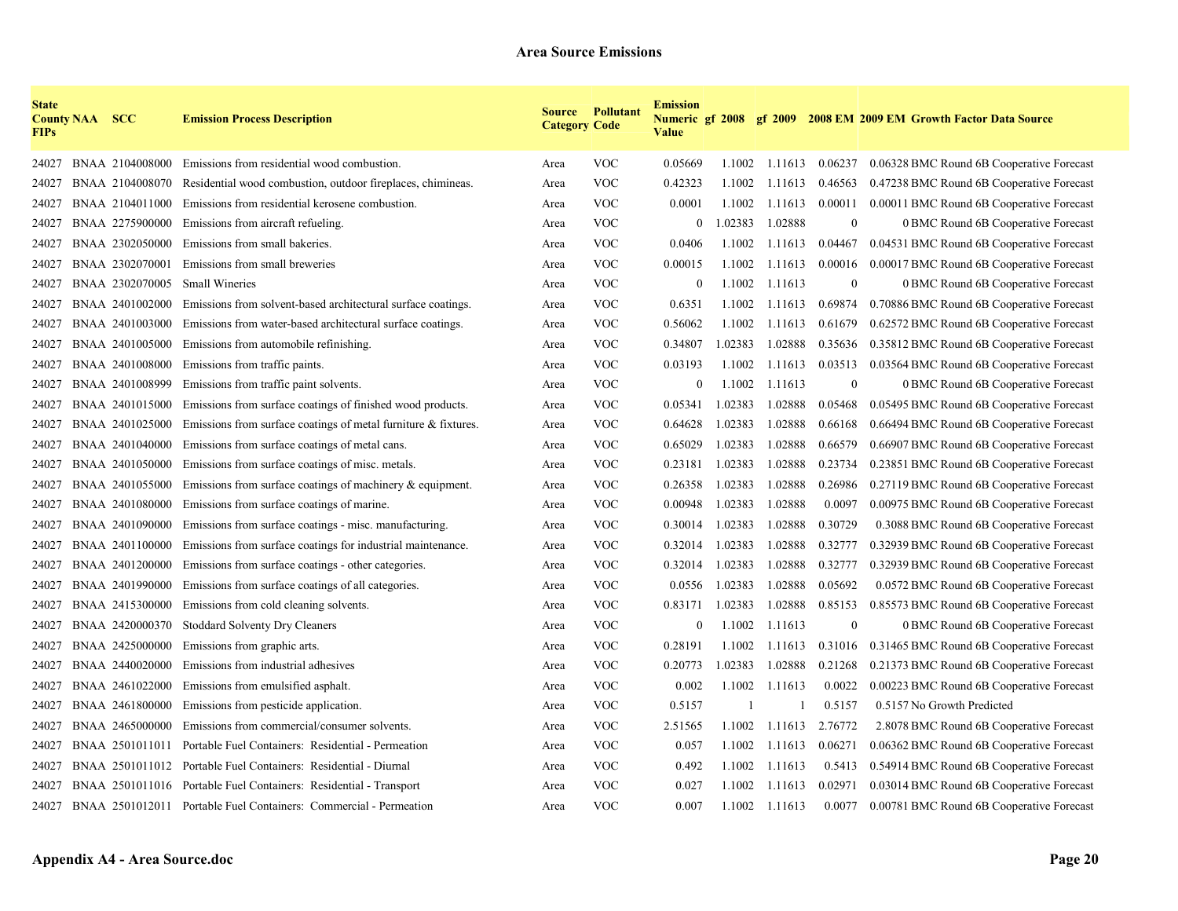| <b>State</b><br><b>FIPs</b> | <b>County NAA SCC</b> |                 | <b>Emission Process Description</b>                                | <b>Category Code</b> | <b>Source Pollutant</b> | <b>Emission</b><br><b>Value</b> |              |         |                  | Numeric gf 2008 gf 2009 2008 EM 2009 EM Growth Factor Data Source |
|-----------------------------|-----------------------|-----------------|--------------------------------------------------------------------|----------------------|-------------------------|---------------------------------|--------------|---------|------------------|-------------------------------------------------------------------|
| 24027                       |                       | BNAA 2104008000 | Emissions from residential wood combustion.                        | Area                 | <b>VOC</b>              | 0.05669                         | 1.1002       | 1.11613 | 0.06237          | 0.06328 BMC Round 6B Cooperative Forecast                         |
| 24027                       |                       | BNAA 2104008070 | Residential wood combustion, outdoor fireplaces, chimineas.        | Area                 | <b>VOC</b>              | 0.42323                         | 1.1002       | 1.11613 | 0.46563          | 0.47238 BMC Round 6B Cooperative Forecast                         |
| 24027                       |                       | BNAA 2104011000 | Emissions from residential kerosene combustion.                    | Area                 | <b>VOC</b>              | 0.0001                          | 1.1002       | 1.11613 | 0.00011          | 0.00011 BMC Round 6B Cooperative Forecast                         |
| 24027                       |                       | BNAA 2275900000 | Emissions from aircraft refueling.                                 | Area                 | <b>VOC</b>              | $\theta$                        | 1.02383      | 1.02888 | $\mathbf{0}$     | 0 BMC Round 6B Cooperative Forecast                               |
| 24027                       |                       | BNAA 2302050000 | Emissions from small bakeries.                                     | Area                 | <b>VOC</b>              | 0.0406                          | 1.1002       | 1.11613 | 0.04467          | 0.04531 BMC Round 6B Cooperative Forecast                         |
| 24027                       |                       | BNAA 2302070001 | Emissions from small breweries                                     | Area                 | <b>VOC</b>              | 0.00015                         | 1.1002       | 1.11613 | 0.00016          | 0.00017 BMC Round 6B Cooperative Forecast                         |
| 24027                       |                       | BNAA 2302070005 | <b>Small Wineries</b>                                              | Area                 | <b>VOC</b>              | $\boldsymbol{0}$                | 1.1002       | 1.11613 | $\boldsymbol{0}$ | 0 BMC Round 6B Cooperative Forecast                               |
| 24027                       |                       | BNAA 2401002000 | Emissions from solvent-based architectural surface coatings.       | Area                 | <b>VOC</b>              | 0.6351                          | 1.1002       | 1.11613 | 0.69874          | 0.70886 BMC Round 6B Cooperative Forecast                         |
| 24027                       |                       | BNAA 2401003000 | Emissions from water-based architectural surface coatings.         | Area                 | <b>VOC</b>              | 0.56062                         | 1.1002       | 1.11613 | 0.61679          | 0.62572 BMC Round 6B Cooperative Forecast                         |
| 24027                       |                       | BNAA 2401005000 | Emissions from automobile refinishing.                             | Area                 | <b>VOC</b>              | 0.34807                         | 1.02383      | 1.02888 | 0.35636          | 0.35812 BMC Round 6B Cooperative Forecast                         |
| 24027                       |                       | BNAA 2401008000 | Emissions from traffic paints.                                     | Area                 | <b>VOC</b>              | 0.03193                         | 1.1002       | 1.11613 | 0.03513          | 0.03564 BMC Round 6B Cooperative Forecast                         |
| 24027                       |                       | BNAA 2401008999 | Emissions from traffic paint solvents.                             | Area                 | <b>VOC</b>              | $\boldsymbol{0}$                | 1.1002       | 1.11613 | $\mathbf{0}$     | 0 BMC Round 6B Cooperative Forecast                               |
| 24027                       |                       | BNAA 2401015000 | Emissions from surface coatings of finished wood products.         | Area                 | <b>VOC</b>              | 0.05341                         | 1.02383      | 1.02888 | 0.05468          | 0.05495 BMC Round 6B Cooperative Forecast                         |
| 24027                       |                       | BNAA 2401025000 | Emissions from surface coatings of metal furniture $\&$ fixtures.  | Area                 | <b>VOC</b>              | 0.64628                         | 1.02383      | 1.02888 | 0.66168          | 0.66494 BMC Round 6B Cooperative Forecast                         |
| 24027                       |                       | BNAA 2401040000 | Emissions from surface coatings of metal cans.                     | Area                 | <b>VOC</b>              | 0.65029                         | 1.02383      | 1.02888 | 0.66579          | 0.66907 BMC Round 6B Cooperative Forecast                         |
| 24027                       |                       | BNAA 2401050000 | Emissions from surface coatings of misc. metals.                   | Area                 | <b>VOC</b>              | 0.23181                         | 1.02383      | 1.02888 | 0.23734          | 0.23851 BMC Round 6B Cooperative Forecast                         |
| 24027                       |                       | BNAA 2401055000 | Emissions from surface coatings of machinery $\&$ equipment.       | Area                 | <b>VOC</b>              | 0.26358                         | 1.02383      | 1.02888 | 0.26986          | 0.27119 BMC Round 6B Cooperative Forecast                         |
| 24027                       |                       | BNAA 2401080000 | Emissions from surface coatings of marine.                         | Area                 | <b>VOC</b>              | 0.00948                         | 1.02383      | 1.02888 | 0.0097           | 0.00975 BMC Round 6B Cooperative Forecast                         |
| 24027                       |                       | BNAA 2401090000 | Emissions from surface coatings - misc. manufacturing.             | Area                 | <b>VOC</b>              | 0.30014                         | 1.02383      | 1.02888 | 0.30729          | 0.3088 BMC Round 6B Cooperative Forecast                          |
| 24027                       |                       | BNAA 2401100000 | Emissions from surface coatings for industrial maintenance.        | Area                 | <b>VOC</b>              | 0.32014                         | 1.02383      | 1.02888 | 0.32777          | 0.32939 BMC Round 6B Cooperative Forecast                         |
| 24027                       |                       | BNAA 2401200000 | Emissions from surface coatings - other categories.                | Area                 | <b>VOC</b>              | 0.32014                         | 1.02383      | 1.02888 | 0.32777          | 0.32939 BMC Round 6B Cooperative Forecast                         |
| 24027                       |                       | BNAA 2401990000 | Emissions from surface coatings of all categories.                 | Area                 | <b>VOC</b>              | 0.0556                          | 1.02383      | 1.02888 | 0.05692          | 0.0572 BMC Round 6B Cooperative Forecast                          |
| 24027                       |                       | BNAA 2415300000 | Emissions from cold cleaning solvents.                             | Area                 | <b>VOC</b>              | 0.83171                         | 1.02383      | 1.02888 | 0.85153          | 0.85573 BMC Round 6B Cooperative Forecast                         |
| 24027                       |                       | BNAA 2420000370 | Stoddard Solventy Dry Cleaners                                     | Area                 | <b>VOC</b>              | $\mathbf{0}$                    | 1.1002       | 1.11613 | $\mathbf{0}$     | 0 BMC Round 6B Cooperative Forecast                               |
| 24027                       |                       | BNAA 2425000000 | Emissions from graphic arts.                                       | Area                 | <b>VOC</b>              | 0.28191                         | 1.1002       | 1.11613 | 0.31016          | 0.31465 BMC Round 6B Cooperative Forecast                         |
| 24027                       |                       | BNAA 2440020000 | Emissions from industrial adhesives                                | Area                 | <b>VOC</b>              | 0.20773                         | 1.02383      | 1.02888 | 0.21268          | 0.21373 BMC Round 6B Cooperative Forecast                         |
| 24027                       |                       | BNAA 2461022000 | Emissions from emulsified asphalt.                                 | Area                 | <b>VOC</b>              | 0.002                           | 1.1002       | 1.11613 | 0.0022           | 0.00223 BMC Round 6B Cooperative Forecast                         |
| 24027                       |                       | BNAA 2461800000 | Emissions from pesticide application.                              | Area                 | <b>VOC</b>              | 0.5157                          | $\mathbf{1}$ |         | 0.5157           | 0.5157 No Growth Predicted                                        |
| 24027                       |                       | BNAA 2465000000 | Emissions from commercial/consumer solvents.                       | Area                 | <b>VOC</b>              | 2.51565                         | 1.1002       | 1.11613 | 2.76772          | 2.8078 BMC Round 6B Cooperative Forecast                          |
| 24027                       |                       |                 | BNAA 2501011011 Portable Fuel Containers: Residential - Permeation | Area                 | <b>VOC</b>              | 0.057                           | 1.1002       | 1.11613 | 0.06271          | 0.06362 BMC Round 6B Cooperative Forecast                         |
| 24027                       |                       |                 | BNAA 2501011012 Portable Fuel Containers: Residential - Diurnal    | Area                 | <b>VOC</b>              | 0.492                           | 1.1002       | 1.11613 | 0.5413           | 0.54914 BMC Round 6B Cooperative Forecast                         |
| 24027                       |                       |                 | BNAA 2501011016 Portable Fuel Containers: Residential - Transport  | Area                 | <b>VOC</b>              | 0.027                           | 1.1002       | 1.11613 | 0.02971          | 0.03014 BMC Round 6B Cooperative Forecast                         |
| 24027                       |                       |                 | BNAA 2501012011 Portable Fuel Containers: Commercial - Permeation  | Area                 | <b>VOC</b>              | 0.007                           | 1.1002       | 1.11613 | 0.0077           | 0.00781 BMC Round 6B Cooperative Forecast                         |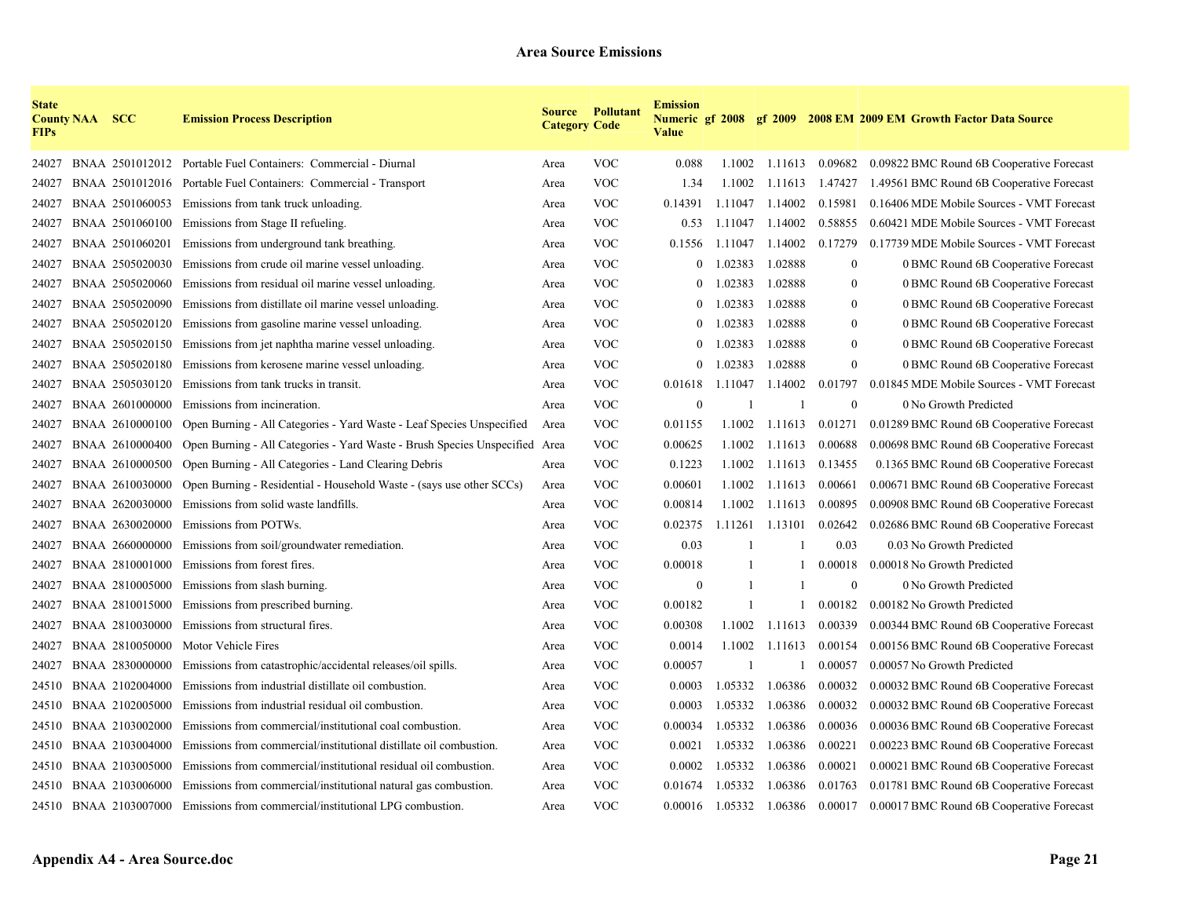| <b>State</b><br><b>FIPs</b> | <b>County NAA SCC</b> |                 | <b>Emission Process Description</b>                                              | <b>Category Code</b> | <b>Source Pollutant</b> | <b>Emission</b><br><b>Value</b> |              |                 |                  | Numeric gf 2008 gf 2009 2008 EM 2009 EM Growth Factor Data Source |
|-----------------------------|-----------------------|-----------------|----------------------------------------------------------------------------------|----------------------|-------------------------|---------------------------------|--------------|-----------------|------------------|-------------------------------------------------------------------|
| 24027                       |                       |                 | BNAA 2501012012 Portable Fuel Containers: Commercial - Diurnal                   | Area                 | <b>VOC</b>              | 0.088                           | 1.1002       |                 | 1.11613 0.09682  | 0.09822 BMC Round 6B Cooperative Forecast                         |
| 24027                       |                       |                 | BNAA 2501012016 Portable Fuel Containers: Commercial - Transport                 | Area                 | <b>VOC</b>              | 1.34                            | 1.1002       | 1.11613         | 1.47427          | 1.49561 BMC Round 6B Cooperative Forecast                         |
| 24027                       |                       | BNAA 2501060053 | Emissions from tank truck unloading.                                             | Area                 | <b>VOC</b>              | 0.14391                         | 1.11047      | 1.14002         | 0.15981          | 0.16406 MDE Mobile Sources - VMT Forecast                         |
| 24027                       |                       |                 | BNAA 2501060100 Emissions from Stage II refueling.                               | Area                 | <b>VOC</b>              | 0.53                            | 1.11047      | 1.14002         | 0.58855          | 0.60421 MDE Mobile Sources - VMT Forecast                         |
| 24027                       |                       | BNAA 2501060201 | Emissions from underground tank breathing.                                       | Area                 | <b>VOC</b>              | 0.1556                          | 1.11047      | 1.14002         | 0.17279          | 0.17739 MDE Mobile Sources - VMT Forecast                         |
| 24027                       |                       | BNAA 2505020030 | Emissions from crude oil marine vessel unloading.                                | Area                 | <b>VOC</b>              | $\theta$                        | 1.02383      | 1.02888         | $\bf{0}$         | 0 BMC Round 6B Cooperative Forecast                               |
| 24027                       |                       | BNAA 2505020060 | Emissions from residual oil marine vessel unloading.                             | Area                 | <b>VOC</b>              | $\overline{0}$                  | 1.02383      | 1.02888         | $\boldsymbol{0}$ | 0 BMC Round 6B Cooperative Forecast                               |
| 24027                       |                       | BNAA 2505020090 | Emissions from distillate oil marine vessel unloading.                           | Area                 | <b>VOC</b>              | $\theta$                        | 1.02383      | 1.02888         | $\overline{0}$   | 0 BMC Round 6B Cooperative Forecast                               |
| 24027                       |                       | BNAA 2505020120 | Emissions from gasoline marine vessel unloading.                                 | Area                 | <b>VOC</b>              | $\theta$                        | .02383       | 1.02888         | $\overline{0}$   | 0 BMC Round 6B Cooperative Forecast                               |
| 24027                       |                       | BNAA 2505020150 | Emissions from jet naphtha marine vessel unloading.                              | Area                 | <b>VOC</b>              | $\overline{0}$                  | .02383       | 1.02888         | $\overline{0}$   | 0 BMC Round 6B Cooperative Forecast                               |
| 24027                       |                       | BNAA 2505020180 | Emissions from kerosene marine vessel unloading.                                 | Area                 | <b>VOC</b>              | $\mathbf{0}$                    | .02383       | 1.02888         | $\overline{0}$   | 0 BMC Round 6B Cooperative Forecast                               |
| 24027                       |                       | BNAA 2505030120 | Emissions from tank trucks in transit.                                           | Area                 | <b>VOC</b>              | 0.01618                         | 1.11047      | 1.14002         | 0.01797          | 0.01845 MDE Mobile Sources - VMT Forecast                         |
| 24027                       |                       | BNAA 2601000000 | Emissions from incineration.                                                     | Area                 | <b>VOC</b>              | $\theta$                        | -1           | $\mathbf{1}$    | $\overline{0}$   | 0 No Growth Predicted                                             |
| 24027                       |                       | BNAA 2610000100 | Open Burning - All Categories - Yard Waste - Leaf Species Unspecified            | Area                 | <b>VOC</b>              | 0.01155                         | 1.1002       | 1.11613         | 0.01271          | 0.01289 BMC Round 6B Cooperative Forecast                         |
| 24027                       |                       | BNAA 2610000400 | Open Burning - All Categories - Yard Waste - Brush Species Unspecified Area      |                      | <b>VOC</b>              | 0.00625                         | 1.1002       | 1.11613         | 0.00688          | 0.00698 BMC Round 6B Cooperative Forecast                         |
| 24027                       |                       | BNAA 2610000500 | Open Burning - All Categories - Land Clearing Debris                             | Area                 | <b>VOC</b>              | 0.1223                          | 1.1002       | 1.11613         | 0.13455          | 0.1365 BMC Round 6B Cooperative Forecast                          |
| 24027                       |                       | BNAA 2610030000 | Open Burning - Residential - Household Waste - (says use other SCCs)             | Area                 | <b>VOC</b>              | 0.00601                         | 1.1002       | 1.11613         | 0.00661          | 0.00671 BMC Round 6B Cooperative Forecast                         |
| 24027                       |                       | BNAA 2620030000 | Emissions from solid waste landfills.                                            | Area                 | <b>VOC</b>              | 0.00814                         | 1.1002       | 1.11613         | 0.00895          | 0.00908 BMC Round 6B Cooperative Forecast                         |
| 24027                       |                       | BNAA 2630020000 | Emissions from POTWs.                                                            | Area                 | <b>VOC</b>              | 0.02375                         | 1.11261      | 1.13101         | 0.02642          | 0.02686 BMC Round 6B Cooperative Forecast                         |
| 24027                       |                       | BNAA 2660000000 | Emissions from soil/groundwater remediation.                                     | Area                 | <b>VOC</b>              | 0.03                            | -1           |                 | 0.03             | 0.03 No Growth Predicted                                          |
| 24027                       |                       | BNAA 2810001000 | Emissions from forest fires.                                                     | Area                 | <b>VOC</b>              | 0.00018                         | -1           |                 | 0.00018          | 0.00018 No Growth Predicted                                       |
| 24027                       |                       | BNAA 2810005000 | Emissions from slash burning.                                                    | Area                 | <b>VOC</b>              | $\theta$                        | $\mathbf{1}$ |                 | $\overline{0}$   | 0 No Growth Predicted                                             |
| 24027                       |                       | BNAA 2810015000 | Emissions from prescribed burning.                                               | Area                 | <b>VOC</b>              | 0.00182                         | $\mathbf{1}$ | 1               | 0.00182          | 0.00182 No Growth Predicted                                       |
| 24027                       |                       | BNAA 2810030000 | Emissions from structural fires.                                                 | Area                 | <b>VOC</b>              | 0.00308                         | 1.1002       | 1.11613         | 0.00339          | 0.00344 BMC Round 6B Cooperative Forecast                         |
| 24027                       |                       | BNAA 2810050000 | Motor Vehicle Fires                                                              | Area                 | <b>VOC</b>              | 0.0014                          | 1.1002       | 1.11613         | 0.00154          | 0.00156 BMC Round 6B Cooperative Forecast                         |
| 24027                       |                       | BNAA 2830000000 | Emissions from catastrophic/accidental releases/oil spills.                      | Area                 | <b>VOC</b>              | 0.00057                         | -1           | 1               | 0.00057          | 0.00057 No Growth Predicted                                       |
| 24510                       |                       | BNAA 2102004000 | Emissions from industrial distillate oil combustion.                             | Area                 | <b>VOC</b>              | 0.0003                          | 1.05332      | 1.06386         | 0.00032          | 0.00032 BMC Round 6B Cooperative Forecast                         |
| 24510                       |                       | BNAA 2102005000 | Emissions from industrial residual oil combustion.                               | Area                 | <b>VOC</b>              | 0.0003                          | 1.05332      | 1.06386         | 0.00032          | 0.00032 BMC Round 6B Cooperative Forecast                         |
| 24510                       |                       | BNAA 2103002000 | Emissions from commercial/institutional coal combustion.                         | Area                 | <b>VOC</b>              | 0.00034                         | 1.05332      | 1.06386         | 0.00036          | 0.00036 BMC Round 6B Cooperative Forecast                         |
| 24510                       |                       | BNAA 2103004000 | Emissions from commercial/institutional distillate oil combustion.               | Area                 | <b>VOC</b>              | 0.0021                          | 1.05332      | 1.06386         | 0.00221          | 0.00223 BMC Round 6B Cooperative Forecast                         |
| 24510                       |                       |                 | BNAA 2103005000 Emissions from commercial/institutional residual oil combustion. | Area                 | <b>VOC</b>              | 0.0002                          | 1.05332      | 1.06386         | 0.00021          | 0.00021 BMC Round 6B Cooperative Forecast                         |
| 24510                       |                       |                 | BNAA 2103006000 Emissions from commercial/institutional natural gas combustion.  | Area                 | <b>VOC</b>              | 0.01674                         | 1.05332      | 1.06386         | 0.01763          | 0.01781 BMC Round 6B Cooperative Forecast                         |
|                             |                       |                 | 24510 BNAA 2103007000 Emissions from commercial/institutional LPG combustion.    | Area                 | <b>VOC</b>              | 0.00016                         |              | 1.05332 1.06386 | 0.00017          | 0.00017 BMC Round 6B Cooperative Forecast                         |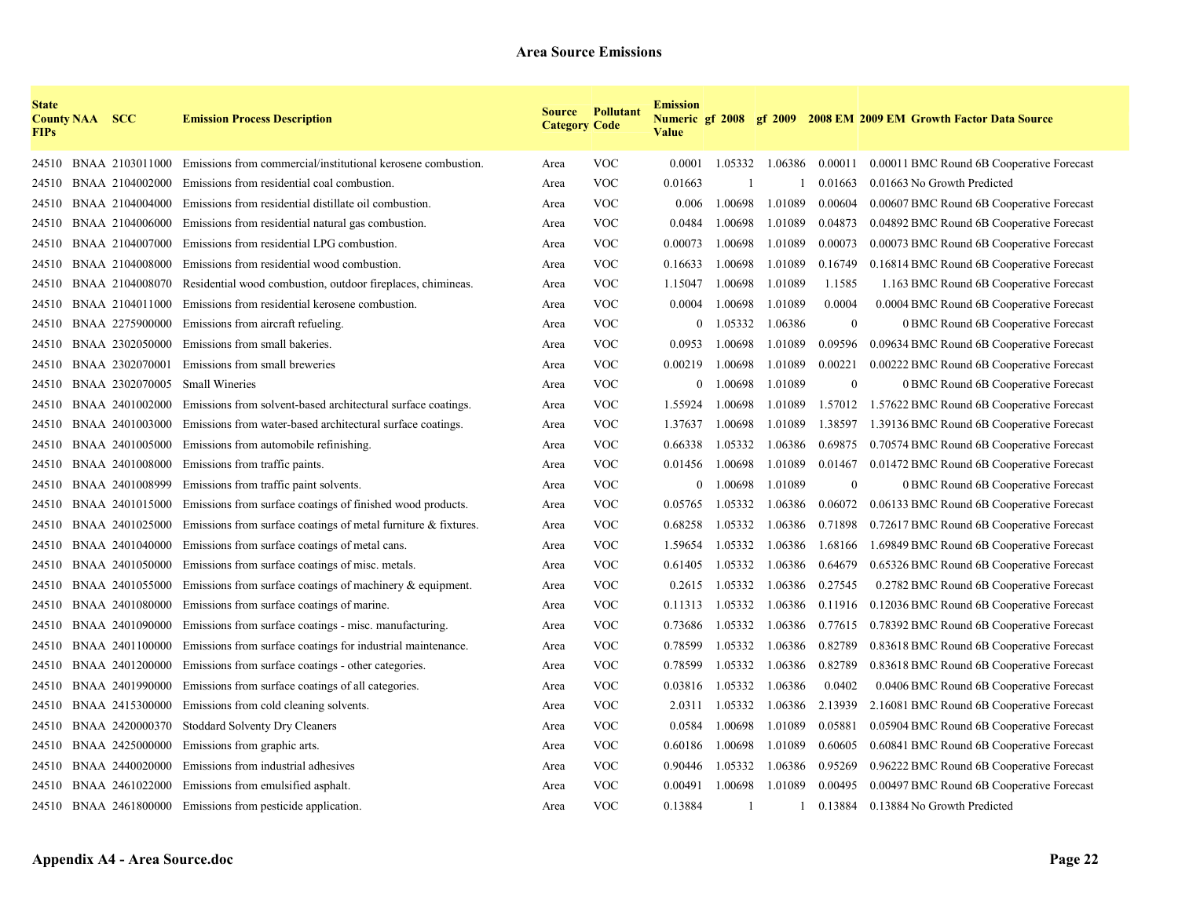| <b>State</b><br><b>FIPs</b> | <b>County NAA SCC</b> |                 | <b>Emission Process Description</b>                               | <b>Category Code</b> | <b>Source Pollutant</b> | <b>Emission</b><br><b>Value</b> |         |         |                | Numeric gf 2008 gf 2009 2008 EM 2009 EM Growth Factor Data Source |
|-----------------------------|-----------------------|-----------------|-------------------------------------------------------------------|----------------------|-------------------------|---------------------------------|---------|---------|----------------|-------------------------------------------------------------------|
| 24510                       |                       | BNAA 2103011000 | Emissions from commercial/institutional kerosene combustion.      | Area                 | <b>VOC</b>              | 0.0001                          | 1.05332 | 1.06386 | 0.00011        | 0.00011 BMC Round 6B Cooperative Forecast                         |
| 24510                       |                       | BNAA 2104002000 | Emissions from residential coal combustion.                       | Area                 | <b>VOC</b>              | 0.01663                         |         |         | 0.01663        | 0.01663 No Growth Predicted                                       |
| 24510                       |                       | BNAA 2104004000 | Emissions from residential distillate oil combustion.             | Area                 | <b>VOC</b>              | 0.006                           | 1.00698 | 1.01089 | 0.00604        | 0.00607 BMC Round 6B Cooperative Forecast                         |
| 24510                       |                       | BNAA 2104006000 | Emissions from residential natural gas combustion.                | Area                 | <b>VOC</b>              | 0.0484                          | 1.00698 | 1.01089 | 0.04873        | 0.04892 BMC Round 6B Cooperative Forecast                         |
| 24510                       |                       | BNAA 2104007000 | Emissions from residential LPG combustion.                        | Area                 | <b>VOC</b>              | 0.00073                         | 1.00698 | 1.01089 | 0.00073        | 0.00073 BMC Round 6B Cooperative Forecast                         |
| 24510                       |                       | BNAA 2104008000 | Emissions from residential wood combustion.                       | Area                 | <b>VOC</b>              | 0.16633                         | 1.00698 | 1.01089 | 0.16749        | 0.16814 BMC Round 6B Cooperative Forecast                         |
| 24510                       |                       | BNAA 2104008070 | Residential wood combustion, outdoor fireplaces, chimineas.       | Area                 | <b>VOC</b>              | 1.15047                         | 1.00698 | 1.01089 | 1.1585         | 1.163 BMC Round 6B Cooperative Forecast                           |
| 24510                       |                       | BNAA 2104011000 | Emissions from residential kerosene combustion.                   | Area                 | <b>VOC</b>              | 0.0004                          | 1.00698 | 1.01089 | 0.0004         | 0.0004 BMC Round 6B Cooperative Forecast                          |
| 24510                       |                       | BNAA 2275900000 | Emissions from aircraft refueling.                                | Area                 | <b>VOC</b>              | $\mathbf{0}$                    | 1.05332 | 1.06386 | $\theta$       | 0 BMC Round 6B Cooperative Forecast                               |
| 24510                       |                       | BNAA 2302050000 | Emissions from small bakeries.                                    | Area                 | <b>VOC</b>              | 0.0953                          | 1.00698 | 1.01089 | 0.09596        | 0.09634 BMC Round 6B Cooperative Forecast                         |
| 24510                       |                       | BNAA 2302070001 | Emissions from small breweries                                    | Area                 | <b>VOC</b>              | 0.00219                         | 1.00698 | 1.01089 | 0.00221        | 0.00222 BMC Round 6B Cooperative Forecast                         |
| 24510                       |                       | BNAA 2302070005 | <b>Small Wineries</b>                                             | Area                 | <b>VOC</b>              | $\boldsymbol{0}$                | 1.00698 | 1.01089 | $\theta$       | 0 BMC Round 6B Cooperative Forecast                               |
| 24510                       |                       | BNAA 2401002000 | Emissions from solvent-based architectural surface coatings.      | Area                 | <b>VOC</b>              | 1.55924                         | 1.00698 | 1.01089 | 1.57012        | 1.57622 BMC Round 6B Cooperative Forecast                         |
| 24510                       |                       | BNAA 2401003000 | Emissions from water-based architectural surface coatings.        | Area                 | <b>VOC</b>              | 1.37637                         | 1.00698 | 1.01089 | 1.38597        | 1.39136 BMC Round 6B Cooperative Forecast                         |
| 24510                       |                       | BNAA 2401005000 | Emissions from automobile refinishing.                            | Area                 | <b>VOC</b>              | 0.66338                         | 1.05332 | 1.06386 | 0.69875        | 0.70574 BMC Round 6B Cooperative Forecast                         |
| 24510                       |                       | BNAA 2401008000 | Emissions from traffic paints.                                    | Area                 | <b>VOC</b>              | 0.01456                         | 1.00698 | 1.01089 | 0.01467        | 0.01472 BMC Round 6B Cooperative Forecast                         |
| 24510                       |                       | BNAA 2401008999 | Emissions from traffic paint solvents.                            | Area                 | <b>VOC</b>              | $\mathbf{0}$                    | 1.00698 | 1.01089 | $\overline{0}$ | 0 BMC Round 6B Cooperative Forecast                               |
| 24510                       |                       | BNAA 2401015000 | Emissions from surface coatings of finished wood products.        | Area                 | <b>VOC</b>              | 0.05765                         | 1.05332 | 1.06386 | 0.06072        | 0.06133 BMC Round 6B Cooperative Forecast                         |
| 24510                       |                       | BNAA 2401025000 | Emissions from surface coatings of metal furniture $\&$ fixtures. | Area                 | <b>VOC</b>              | 0.68258                         | 1.05332 | 1.06386 | 0.71898        | 0.72617 BMC Round 6B Cooperative Forecast                         |
| 24510                       |                       | BNAA 2401040000 | Emissions from surface coatings of metal cans.                    | Area                 | <b>VOC</b>              | 1.59654                         | 1.05332 | 1.06386 | 1.68166        | 1.69849 BMC Round 6B Cooperative Forecast                         |
| 24510                       |                       | BNAA 2401050000 | Emissions from surface coatings of misc. metals.                  | Area                 | <b>VOC</b>              | 0.61405                         | 1.05332 | 1.06386 | 0.64679        | 0.65326 BMC Round 6B Cooperative Forecast                         |
| 24510                       |                       | BNAA 2401055000 | Emissions from surface coatings of machinery $\&$ equipment.      | Area                 | <b>VOC</b>              | 0.2615                          | 1.05332 | 1.06386 | 0.27545        | 0.2782 BMC Round 6B Cooperative Forecast                          |
| 24510                       |                       | BNAA 2401080000 | Emissions from surface coatings of marine.                        | Area                 | <b>VOC</b>              | 0.11313                         | 1.05332 | 1.06386 | 0.11916        | 0.12036 BMC Round 6B Cooperative Forecast                         |
| 24510                       |                       | BNAA 2401090000 | Emissions from surface coatings - misc. manufacturing.            | Area                 | <b>VOC</b>              | 0.73686                         | 1.05332 | 1.06386 | 0.77615        | 0.78392 BMC Round 6B Cooperative Forecast                         |
| 24510                       |                       | BNAA 2401100000 | Emissions from surface coatings for industrial maintenance.       | Area                 | <b>VOC</b>              | 0.78599                         | 1.05332 | 1.06386 | 0.82789        | 0.83618 BMC Round 6B Cooperative Forecast                         |
| 24510                       |                       | BNAA 2401200000 | Emissions from surface coatings - other categories.               | Area                 | <b>VOC</b>              | 0.78599                         | 1.05332 | 1.06386 | 0.82789        | 0.83618 BMC Round 6B Cooperative Forecast                         |
| 24510                       |                       | BNAA 2401990000 | Emissions from surface coatings of all categories.                | Area                 | <b>VOC</b>              | 0.03816                         | 1.05332 | 1.06386 | 0.0402         | 0.0406 BMC Round 6B Cooperative Forecast                          |
| 24510                       |                       | BNAA 2415300000 | Emissions from cold cleaning solvents.                            | Area                 | <b>VOC</b>              | 2.0311                          | 1.05332 | 1.06386 | 2.13939        | 2.16081 BMC Round 6B Cooperative Forecast                         |
| 24510                       |                       | BNAA 2420000370 | Stoddard Solventy Dry Cleaners                                    | Area                 | <b>VOC</b>              | 0.0584                          | 1.00698 | 1.01089 | 0.05881        | 0.05904 BMC Round 6B Cooperative Forecast                         |
| 24510                       |                       | BNAA 2425000000 | Emissions from graphic arts.                                      | Area                 | <b>VOC</b>              | 0.60186                         | 1.00698 | 1.01089 | 0.60605        | 0.60841 BMC Round 6B Cooperative Forecast                         |
| 24510                       |                       | BNAA 2440020000 | Emissions from industrial adhesives                               | Area                 | <b>VOC</b>              | 0.90446                         | 1.05332 | 1.06386 | 0.95269        | 0.96222 BMC Round 6B Cooperative Forecast                         |
| 24510                       |                       | BNAA 2461022000 | Emissions from emulsified asphalt.                                | Area                 | <b>VOC</b>              | 0.00491                         | 1.00698 | 1.01089 | 0.00495        | 0.00497 BMC Round 6B Cooperative Forecast                         |
|                             |                       |                 | 24510 BNAA 2461800000 Emissions from pesticide application.       | Area                 | <b>VOC</b>              | 0.13884                         |         | 1       | 0.13884        | 0.13884 No Growth Predicted                                       |